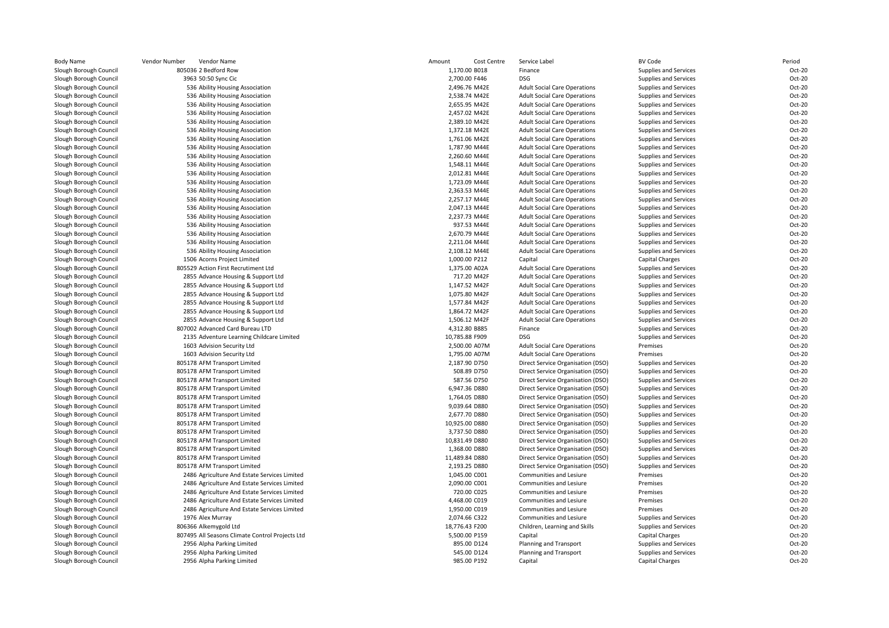| Body Name              | Vendor Number<br>Vendor Name                    | Amount         | Cost Centre   | Service Label                       | <b>BV Code</b>         | Period |
|------------------------|-------------------------------------------------|----------------|---------------|-------------------------------------|------------------------|--------|
| Slough Borough Council | 805036 2 Bedford Row                            | 1,170.00 B018  |               | Finance                             | Supplies and Services  | Oct-20 |
| Slough Borough Council | 3963 50:50 Sync Cic                             | 2,700.00 F446  |               | DSG                                 | Supplies and Services  | Oct-20 |
| Slough Borough Council | 536 Ability Housing Association                 |                | 2,496.76 M42E | <b>Adult Social Care Operations</b> | Supplies and Services  | Oct-20 |
| Slough Borough Council | 536 Ability Housing Association                 |                | 2,538.74 M42E | <b>Adult Social Care Operations</b> | Supplies and Services  | Oct-20 |
| Slough Borough Council | 536 Ability Housing Association                 |                | 2,655.95 M42E | <b>Adult Social Care Operations</b> | Supplies and Services  | Oct-20 |
| Slough Borough Council | 536 Ability Housing Association                 |                | 2,457.02 M42E | <b>Adult Social Care Operations</b> | Supplies and Services  | Oct-20 |
| Slough Borough Council | 536 Ability Housing Association                 |                | 2,389.10 M42E | <b>Adult Social Care Operations</b> | Supplies and Services  | Oct-20 |
| Slough Borough Council | 536 Ability Housing Association                 |                | 1,372.18 M42E | <b>Adult Social Care Operations</b> | Supplies and Services  | Oct-20 |
| Slough Borough Council | 536 Ability Housing Association                 |                | 1,761.06 M42E | <b>Adult Social Care Operations</b> | Supplies and Services  | Oct-20 |
| Slough Borough Council | 536 Ability Housing Association                 |                | 1,787.90 M44E | <b>Adult Social Care Operations</b> | Supplies and Services  | Oct-20 |
| Slough Borough Council | 536 Ability Housing Association                 |                | 2,260.60 M44E | <b>Adult Social Care Operations</b> | Supplies and Services  | Oct-20 |
| Slough Borough Council | 536 Ability Housing Association                 |                | 1,548.11 M44E | <b>Adult Social Care Operations</b> | Supplies and Services  | Oct-20 |
| Slough Borough Council | 536 Ability Housing Association                 |                | 2,012.81 M44E | <b>Adult Social Care Operations</b> | Supplies and Services  | Oct-20 |
| Slough Borough Council | 536 Ability Housing Association                 |                | 1,723.09 M44E | <b>Adult Social Care Operations</b> | Supplies and Services  | Oct-20 |
| Slough Borough Council | 536 Ability Housing Association                 |                | 2,363.53 M44E | <b>Adult Social Care Operations</b> | Supplies and Services  | Oct-20 |
| Slough Borough Council | 536 Ability Housing Association                 |                | 2,257.17 M44E | <b>Adult Social Care Operations</b> | Supplies and Services  | Oct-20 |
| Slough Borough Council | 536 Ability Housing Association                 |                | 2,047.13 M44E | <b>Adult Social Care Operations</b> | Supplies and Services  | Oct-20 |
| Slough Borough Council | 536 Ability Housing Association                 |                | 2,237.73 M44E | <b>Adult Social Care Operations</b> | Supplies and Services  | Oct-20 |
| Slough Borough Council | 536 Ability Housing Association                 |                | 937.53 M44E   | <b>Adult Social Care Operations</b> | Supplies and Services  | Oct-20 |
| Slough Borough Council | 536 Ability Housing Association                 |                | 2,670.79 M44E | <b>Adult Social Care Operations</b> | Supplies and Services  | Oct-20 |
| Slough Borough Council | 536 Ability Housing Association                 |                | 2,211.04 M44E | <b>Adult Social Care Operations</b> | Supplies and Services  | Oct-20 |
| Slough Borough Council | 536 Ability Housing Association                 |                | 2,108.12 M44E | <b>Adult Social Care Operations</b> | Supplies and Services  | Oct-20 |
| Slough Borough Council | 1506 Acorns Project Limited                     | 1,000.00 P212  |               | Capital                             | <b>Capital Charges</b> | Oct-20 |
| Slough Borough Council | 805529 Action First Recrutiment Ltd             |                | 1,375.00 A02A | <b>Adult Social Care Operations</b> | Supplies and Services  | Oct-20 |
| Slough Borough Council | 2855 Advance Housing & Support Ltd              |                | 717.20 M42F   | <b>Adult Social Care Operations</b> | Supplies and Services  | Oct-20 |
| Slough Borough Council | 2855 Advance Housing & Support Ltd              |                | 1,147.52 M42F | <b>Adult Social Care Operations</b> | Supplies and Services  | Oct-20 |
| Slough Borough Council | 2855 Advance Housing & Support Ltd              |                | 1,075.80 M42F | <b>Adult Social Care Operations</b> | Supplies and Services  | Oct-20 |
| Slough Borough Council | 2855 Advance Housing & Support Ltd              |                | 1,577.84 M42F | <b>Adult Social Care Operations</b> | Supplies and Services  | Oct-20 |
| Slough Borough Council | 2855 Advance Housing & Support Ltd              |                | 1,864.72 M42F | <b>Adult Social Care Operations</b> | Supplies and Services  | Oct-20 |
| Slough Borough Council | 2855 Advance Housing & Support Ltd              |                | 1,506.12 M42F | <b>Adult Social Care Operations</b> | Supplies and Services  | Oct-20 |
| Slough Borough Council | 807002 Advanced Card Bureau LTD                 | 4,312.80 B885  |               | Finance                             | Supplies and Services  | Oct-20 |
| Slough Borough Council | 2135 Adventure Learning Childcare Limited       | 10,785.88 F909 |               | <b>DSG</b>                          | Supplies and Services  | Oct-20 |
| Slough Borough Council | 1603 Advision Security Ltd                      |                | 2,500.00 A07M | <b>Adult Social Care Operations</b> | Premises               | Oct-20 |
| Slough Borough Council | 1603 Advision Security Ltd                      |                | 1,795.00 A07M | <b>Adult Social Care Operations</b> | Premises               | Oct-20 |
| Slough Borough Council | 805178 AFM Transport Limited                    |                | 2,187.90 D750 | Direct Service Organisation (DSO)   | Supplies and Services  | Oct-20 |
| Slough Borough Council | 805178 AFM Transport Limited                    |                | 508.89 D750   | Direct Service Organisation (DSO)   | Supplies and Services  | Oct-20 |
| Slough Borough Council | 805178 AFM Transport Limited                    |                | 587.56 D750   | Direct Service Organisation (DSO)   | Supplies and Services  | Oct-20 |
| Slough Borough Council | 805178 AFM Transport Limited                    |                | 6,947.36 D880 | Direct Service Organisation (DSO)   | Supplies and Services  | Oct-20 |
| Slough Borough Council | 805178 AFM Transport Limited                    |                | 1,764.05 D880 | Direct Service Organisation (DSO)   | Supplies and Services  | Oct-20 |
| Slough Borough Council | 805178 AFM Transport Limited                    | 9,039.64 D880  |               | Direct Service Organisation (DSO)   | Supplies and Services  | Oct-20 |
| Slough Borough Council | 805178 AFM Transport Limited                    |                | 2,677.70 D880 | Direct Service Organisation (DSO)   | Supplies and Services  | Oct-20 |
| Slough Borough Council | 805178 AFM Transport Limited                    | 10,925.00 D880 |               | Direct Service Organisation (DSO)   | Supplies and Services  | Oct-20 |
| Slough Borough Council | 805178 AFM Transport Limited                    |                | 3,737.50 D880 | Direct Service Organisation (DSO)   | Supplies and Services  | Oct-20 |
| Slough Borough Council | 805178 AFM Transport Limited                    | 10,831.49 D880 |               | Direct Service Organisation (DSO)   | Supplies and Services  | Oct-20 |
| Slough Borough Council | 805178 AFM Transport Limited                    |                | 1,368.00 D880 | Direct Service Organisation (DSO)   | Supplies and Services  | Oct-20 |
| Slough Borough Council | 805178 AFM Transport Limited                    | 11,489.84 D880 |               | Direct Service Organisation (DSO)   | Supplies and Services  | Oct-20 |
| Slough Borough Council | 805178 AFM Transport Limited                    |                | 2,193.25 D880 | Direct Service Organisation (DSO)   | Supplies and Services  | Oct-20 |
| Slough Borough Council | 2486 Agriculture And Estate Services Limited    | 1,045.00 C001  |               | Communities and Lesiure             | Premises               | Oct-20 |
| Slough Borough Council | 2486 Agriculture And Estate Services Limited    | 2,090.00 C001  |               | Communities and Lesiure             | Premises               | Oct-20 |
| Slough Borough Council | 2486 Agriculture And Estate Services Limited    |                | 720.00 C025   | <b>Communities and Lesiure</b>      | Premises               | Oct-20 |
| Slough Borough Council | 2486 Agriculture And Estate Services Limited    |                | 4,468.00 C019 | Communities and Lesiure             | Premises               | Oct-20 |
| Slough Borough Council | 2486 Agriculture And Estate Services Limited    | 1,950.00 C019  |               | Communities and Lesiure             | Premises               | Oct-20 |
| Slough Borough Council | 1976 Alex Murray                                | 2,074.66 C322  |               | Communities and Lesiure             | Supplies and Services  | Oct-20 |
| Slough Borough Council | 806366 Alkemygold Ltd                           | 18,776.43 F200 |               | Children, Learning and Skills       | Supplies and Services  | Oct-20 |
| Slough Borough Council | 807495 All Seasons Climate Control Projects Ltd | 5,500.00 P159  |               | Capital                             | <b>Capital Charges</b> | Oct-20 |
| Slough Borough Council | 2956 Alpha Parking Limited                      |                | 895.00 D124   | Planning and Transport              | Supplies and Services  | Oct-20 |
| Slough Borough Council | 2956 Alpha Parking Limited                      |                | 545.00 D124   | Planning and Transport              | Supplies and Services  | Oct-20 |
| Slough Borough Council | 2956 Alpha Parking Limited                      |                | 985.00 P192   | Capital                             | <b>Capital Charges</b> | Oct-20 |
|                        |                                                 |                |               |                                     |                        |        |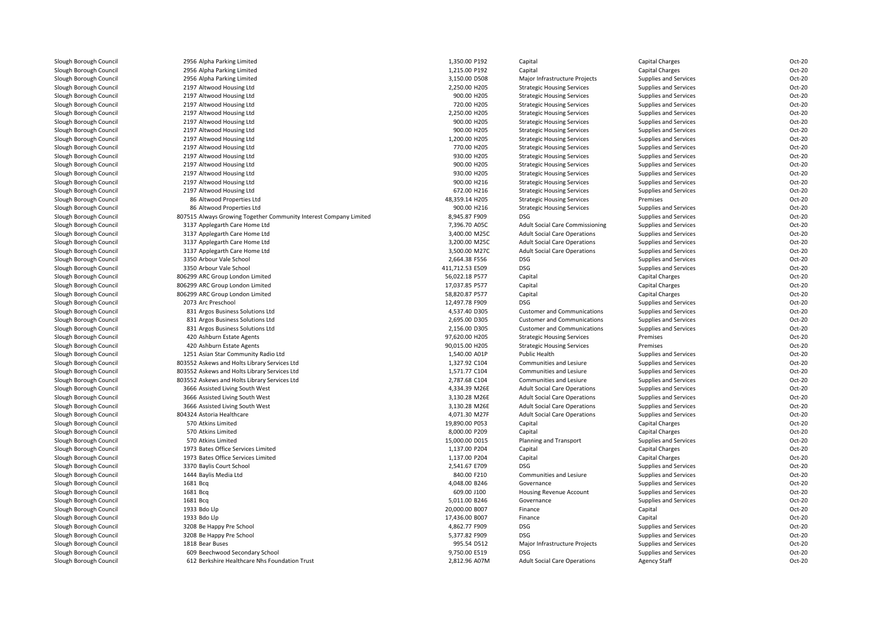| Slough Borough Council                           | 2956 Alpha Parking Limited                                                      | 1,350.00 P192   | Capital                             | Capital Charges                              | Oct-20 |
|--------------------------------------------------|---------------------------------------------------------------------------------|-----------------|-------------------------------------|----------------------------------------------|--------|
| Slough Borough Council                           | 2956 Alpha Parking Limited                                                      | 1,215.00 P192   | Capital                             | Capital Charges                              | Oct-20 |
| Slough Borough Council                           | 2956 Alpha Parking Limited                                                      | 3.150.00 D508   | Major Infrastructure Projects       | Supplies and Services                        | Oct-20 |
| Slough Borough Council                           | 2197 Altwood Housing Ltd                                                        | 2,250.00 H205   | <b>Strategic Housing Services</b>   | Supplies and Services                        | Oct-20 |
| Slough Borough Council                           | 2197 Altwood Housing Ltd                                                        | 900.00 H205     | <b>Strategic Housing Services</b>   | Supplies and Services                        | Oct-20 |
| Slough Borough Council                           | 2197 Altwood Housing Ltd                                                        | 720.00 H205     | <b>Strategic Housing Services</b>   | Supplies and Services                        | Oct-20 |
| Slough Borough Council                           | 2197 Altwood Housing Ltd                                                        | 2,250.00 H205   | <b>Strategic Housing Services</b>   | Supplies and Services                        | Oct-20 |
| Slough Borough Council                           | 2197 Altwood Housing Ltd                                                        | 900.00 H205     | <b>Strategic Housing Services</b>   | Supplies and Services                        | Oct-20 |
| Slough Borough Council                           | 2197 Altwood Housing Ltd                                                        | 900.00 H205     | <b>Strategic Housing Services</b>   | Supplies and Services                        | Oct-20 |
| Slough Borough Council                           | 2197 Altwood Housing Ltd                                                        | 1,200.00 H205   | <b>Strategic Housing Services</b>   | Supplies and Services                        | Oct-20 |
| Slough Borough Council                           | 2197 Altwood Housing Ltd                                                        | 770.00 H205     | <b>Strategic Housing Services</b>   | Supplies and Services                        | Oct-20 |
| Slough Borough Council                           | 2197 Altwood Housing Ltd                                                        | 930.00 H205     | <b>Strategic Housing Services</b>   | Supplies and Services                        | Oct-20 |
| Slough Borough Council                           | 2197 Altwood Housing Ltd                                                        | 900.00 H205     | <b>Strategic Housing Services</b>   | Supplies and Services                        | Oct-20 |
| Slough Borough Council                           | 2197 Altwood Housing Ltd                                                        | 930.00 H205     | <b>Strategic Housing Services</b>   | Supplies and Services                        | Oct-20 |
| Slough Borough Council                           | 2197 Altwood Housing Ltd                                                        | 900.00 H216     | <b>Strategic Housing Services</b>   | Supplies and Services                        | Oct-20 |
| Slough Borough Council                           | 2197 Altwood Housing Ltd                                                        | 672.00 H216     | <b>Strategic Housing Services</b>   | Supplies and Services                        | Oct-20 |
| Slough Borough Council                           | 86 Altwood Properties Ltd                                                       | 48,359.14 H205  | <b>Strategic Housing Services</b>   | Premises                                     | Oct-20 |
|                                                  |                                                                                 |                 |                                     |                                              | Oct-20 |
| Slough Borough Council                           | 86 Altwood Properties Ltd                                                       | 900.00 H216     | <b>Strategic Housing Services</b>   | Supplies and Services                        |        |
| Slough Borough Council                           | 807515 Always Growing Together Community Interest Company Limited               | 8,945.87 F909   | <b>DSG</b>                          | Supplies and Services                        | Oct-20 |
| Slough Borough Council                           | 3137 Applegarth Care Home Ltd                                                   | 7,396.70 A05C   | Adult Social Care Commissioning     | Supplies and Services                        | Oct-20 |
| Slough Borough Council                           | 3137 Applegarth Care Home Ltd                                                   | 3,400.00 M25C   | <b>Adult Social Care Operations</b> | Supplies and Services                        | Oct-20 |
| Slough Borough Council                           | 3137 Applegarth Care Home Ltd                                                   | 3,200.00 M25C   | <b>Adult Social Care Operations</b> | Supplies and Services                        | Oct-20 |
| Slough Borough Council                           | 3137 Applegarth Care Home Ltd                                                   | 3,500.00 M27C   | <b>Adult Social Care Operations</b> | Supplies and Services                        | Oct-20 |
| Slough Borough Council                           | 3350 Arbour Vale School                                                         | 2,664.38 F556   | <b>DSG</b>                          | Supplies and Services                        | Oct-20 |
| Slough Borough Council                           | 3350 Arbour Vale School                                                         | 411,712.53 E509 | <b>DSG</b>                          | Supplies and Services                        | Oct-20 |
| Slough Borough Council                           | 806299 ARC Group London Limited                                                 | 56,022.18 P577  | Capital                             | <b>Capital Charges</b>                       | Oct-20 |
| Slough Borough Council                           | 806299 ARC Group London Limited                                                 | 17,037.85 P577  | Capital                             | Capital Charges                              | Oct-20 |
| Slough Borough Council                           | 806299 ARC Group London Limited                                                 | 58,820.87 P577  | Capital                             | Capital Charges                              | Oct-20 |
| Slough Borough Council                           | 2073 Arc Preschool                                                              | 12,497.78 F909  | <b>DSG</b>                          | Supplies and Services                        | Oct-20 |
| Slough Borough Council                           | 831 Argos Business Solutions Ltd                                                | 4,537.40 D305   | <b>Customer and Communications</b>  | Supplies and Services                        | Oct-20 |
| Slough Borough Council                           | 831 Argos Business Solutions Ltd                                                | 2,695.00 D305   | <b>Customer and Communications</b>  | Supplies and Services                        | Oct-20 |
| Slough Borough Council                           | 831 Argos Business Solutions Ltd                                                | 2,156.00 D305   | <b>Customer and Communications</b>  | Supplies and Services                        | Oct-20 |
| Slough Borough Council                           | 420 Ashburn Estate Agents                                                       | 97,620.00 H205  | <b>Strategic Housing Services</b>   | Premises                                     | Oct-20 |
| Slough Borough Council                           | 420 Ashburn Estate Agents                                                       | 90,015.00 H205  | <b>Strategic Housing Services</b>   | Premises                                     | Oct-20 |
| Slough Borough Council                           | 1251 Asian Star Community Radio Ltd                                             | 1,540.00 A01P   | Public Health                       | Supplies and Services                        | Oct-20 |
| Slough Borough Council                           | 803552 Askews and Holts Library Services Ltd                                    | 1,327.92 C104   | Communities and Lesiure             | Supplies and Services                        | Oct-20 |
| Slough Borough Council                           | 803552 Askews and Holts Library Services Ltd                                    | 1,571.77 C104   | Communities and Lesiure             | Supplies and Services                        | Oct-20 |
| Slough Borough Council                           | 803552 Askews and Holts Library Services Ltd                                    | 2,787.68 C104   | Communities and Lesiure             | Supplies and Services                        | Oct-20 |
| Slough Borough Council                           | 3666 Assisted Living South West                                                 | 4,334.39 M26E   | <b>Adult Social Care Operations</b> | Supplies and Services                        | Oct-20 |
| Slough Borough Council                           | 3666 Assisted Living South West                                                 | 3,130.28 M26E   | <b>Adult Social Care Operations</b> | Supplies and Services                        | Oct-20 |
| Slough Borough Council                           | 3666 Assisted Living South West                                                 | 3,130.28 M26E   | <b>Adult Social Care Operations</b> | <b>Supplies and Services</b>                 | Oct-20 |
| Slough Borough Council                           | 804324 Astoria Healthcare                                                       | 4,071.30 M27F   | <b>Adult Social Care Operations</b> | Supplies and Services                        | Oct-20 |
| Slough Borough Council                           | 570 Atkins Limited                                                              | 19,890.00 P053  | Capital                             | Capital Charges                              | Oct-20 |
| Slough Borough Council                           | 570 Atkins Limited                                                              | 8,000.00 P209   | Capital                             | Capital Charges                              | Oct-20 |
| Slough Borough Council                           | 570 Atkins Limited                                                              | 15,000.00 D015  | <b>Planning and Transport</b>       | Supplies and Services                        | Oct-20 |
| Slough Borough Council                           | 1973 Bates Office Services Limited                                              | 1,137.00 P204   | Capital                             | Capital Charges                              | Oct-20 |
| Slough Borough Council                           | 1973 Bates Office Services Limited                                              | 1,137.00 P204   | Capital                             | Capital Charges                              | Oct-20 |
| Slough Borough Council                           | 3370 Baylis Court School                                                        | 2,541.67 E709   | <b>DSG</b>                          | Supplies and Services                        | Oct-20 |
| Slough Borough Council                           | 1444 Baylis Media Ltd                                                           | 840.00 F210     | Communities and Lesiure             | Supplies and Services                        | Oct-20 |
| Slough Borough Council                           | 1681 Bcq                                                                        | 4,048.00 B246   | Governance                          | <b>Supplies and Services</b>                 | Oct-20 |
| Slough Borough Council                           | 1681 Bcq                                                                        | 609.00 J100     | Housing Revenue Account             | Supplies and Services                        | Oct-20 |
| Slough Borough Council                           | 1681 Bcq                                                                        | 5,011.00 B246   | Governance                          | <b>Supplies and Services</b>                 | Oct-20 |
| Slough Borough Council                           | 1933 Bdo Llp                                                                    | 20,000.00 B007  | Finance                             | Capital                                      | Oct-20 |
| Slough Borough Council                           | 1933 Bdo Llp                                                                    | 17,436.00 B007  | Finance                             | Capital                                      | Oct-20 |
| Slough Borough Council                           | 3208 Be Happy Pre School                                                        | 4,862.77 F909   | <b>DSG</b>                          | Supplies and Services                        | Oct-20 |
| Slough Borough Council                           | 3208 Be Happy Pre School                                                        | 5,377.82 F909   | <b>DSG</b>                          | Supplies and Services                        | Oct-20 |
| Slough Borough Council                           | 1818 Bear Buses                                                                 | 995.54 D512     | Major Infrastructure Projects       | Supplies and Services                        | Oct-20 |
|                                                  |                                                                                 | 9,750.00 E519   | <b>DSG</b>                          |                                              | Oct-20 |
| Slough Borough Council<br>Slough Borough Council | 609 Beechwood Secondary School<br>612 Berkshire Healthcare Nhs Foundation Trust | 2,812.96 A07M   | <b>Adult Social Care Operations</b> | Supplies and Services<br><b>Agency Staff</b> | Oct-20 |
|                                                  |                                                                                 |                 |                                     |                                              |        |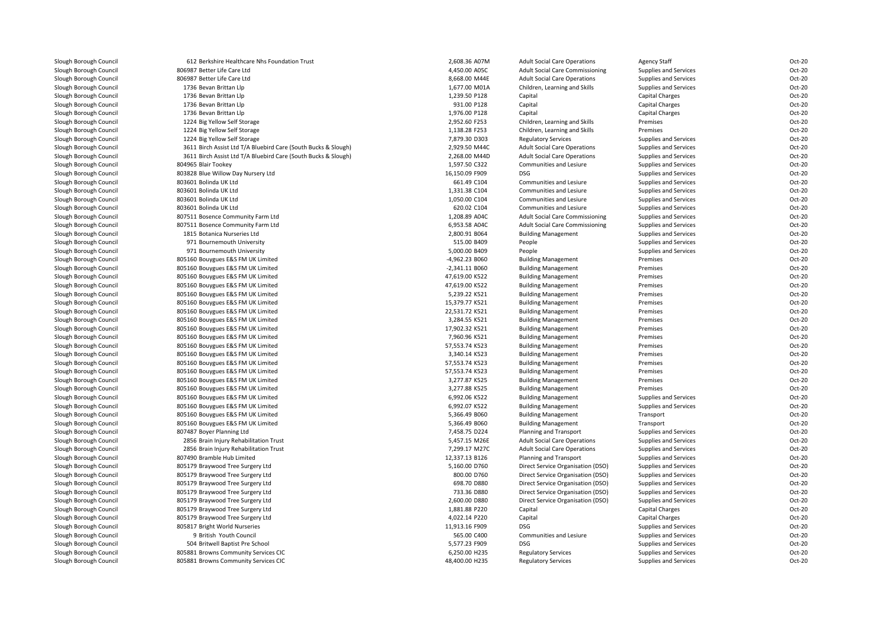| Slough Borough Council                           | 612 Berkshire Healthcare Nhs Foundation Trust                  | 2,608.36 A07M                      | <b>Adult Social Care Operations</b>    | Agency Staff           | Oct-20 |
|--------------------------------------------------|----------------------------------------------------------------|------------------------------------|----------------------------------------|------------------------|--------|
| Slough Borough Council                           | 806987 Better Life Care Ltd                                    | 4,450.00 A05C                      | <b>Adult Social Care Commissioning</b> | Supplies and Services  | Oct-20 |
| Slough Borough Council                           | 806987 Better Life Care Ltd                                    | 8,668.00 M44E                      | <b>Adult Social Care Operations</b>    | Supplies and Services  | Oct-20 |
| Slough Borough Council                           | 1736 Bevan Brittan Llp                                         | 1,677.00 M01A                      | Children, Learning and Skills          | Supplies and Services  | Oct-20 |
| Slough Borough Council                           | 1736 Bevan Brittan Llp                                         | 1,239.50 P128                      | Capital                                | <b>Capital Charges</b> | Oct-20 |
| Slough Borough Council                           | 1736 Bevan Brittan Llp                                         | 931.00 P128                        | Capital                                | <b>Capital Charges</b> | Oct-20 |
| Slough Borough Council                           | 1736 Bevan Brittan Llp                                         | 1,976.00 P128                      | Capital                                | Capital Charges        | Oct-20 |
| Slough Borough Council                           | 1224 Big Yellow Self Storage                                   | 2,952.60 F253                      | Children, Learning and Skills          | Premises               | Oct-20 |
| Slough Borough Council                           | 1224 Big Yellow Self Storage                                   | 1,138.28 F253                      | Children, Learning and Skills          | Premises               | Oct-20 |
| Slough Borough Council                           | 1224 Big Yellow Self Storage                                   | 7,879.30 D303                      | <b>Regulatory Services</b>             | Supplies and Services  | Oct-20 |
| Slough Borough Council                           | 3611 Birch Assist Ltd T/A Bluebird Care (South Bucks & Slough) | 2,929.50 M44C                      | <b>Adult Social Care Operations</b>    | Supplies and Services  | Oct-20 |
| Slough Borough Council                           | 3611 Birch Assist Ltd T/A Bluebird Care (South Bucks & Slough) | 2,268.00 M44D                      | <b>Adult Social Care Operations</b>    | Supplies and Services  | Oct-20 |
| Slough Borough Council                           | 804965 Blair Tookey                                            | 1,597.50 C322                      | Communities and Lesiure                | Supplies and Services  | Oct-20 |
| Slough Borough Council                           | 803828 Blue Willow Day Nursery Ltd                             | 16,150.09 F909                     | DSG                                    | Supplies and Services  | Oct-20 |
| Slough Borough Council                           | 803601 Bolinda UK Ltd                                          | 661.49 C104                        | Communities and Lesiure                | Supplies and Services  | Oct-20 |
| Slough Borough Council                           | 803601 Bolinda UK Ltd                                          | 1,331.38 C104                      | Communities and Lesiure                | Supplies and Services  | Oct-20 |
| Slough Borough Council                           | 803601 Bolinda UK Ltd                                          | 1,050.00 C104                      | Communities and Lesiure                | Supplies and Services  | Oct-20 |
| Slough Borough Council                           | 803601 Bolinda UK Ltd                                          | 620.02 C104                        | Communities and Lesiure                | Supplies and Services  | Oct-20 |
| Slough Borough Council                           | 807511 Bosence Community Farm Ltd                              | 1,208.89 A04C                      | <b>Adult Social Care Commissioning</b> | Supplies and Services  | Oct-20 |
| Slough Borough Council                           | 807511 Bosence Community Farm Ltd                              | 6,953.58 A04C                      | <b>Adult Social Care Commissioning</b> | Supplies and Services  | Oct-20 |
| Slough Borough Council                           | 1815 Botanica Nurseries Ltd                                    | 2,800.91 B064                      | <b>Building Management</b>             | Supplies and Services  | Oct-20 |
| Slough Borough Council                           | 971 Bournemouth University                                     | 515.00 B409                        | People                                 | Supplies and Services  | Oct-20 |
|                                                  | 971 Bournemouth University                                     | 5,000.00 B409                      |                                        |                        | Oct-20 |
| Slough Borough Council                           |                                                                |                                    | People                                 | Supplies and Services  | Oct-20 |
| Slough Borough Council<br>Slough Borough Council | 805160 Bouygues E&S FM UK Limited                              | -4,962.23 B060<br>$-2,341.11$ B060 | <b>Building Management</b>             | Premises<br>Premises   | Oct-20 |
|                                                  | 805160 Bouygues E&S FM UK Limited                              |                                    | <b>Building Management</b>             |                        | Oct-20 |
| Slough Borough Council                           | 805160 Bouygues E&S FM UK Limited                              | 47,619.00 K522                     | <b>Building Management</b>             | Premises               |        |
| Slough Borough Council                           | 805160 Bouygues E&S FM UK Limited                              | 47,619.00 K522                     | <b>Building Management</b>             | Premises               | Oct-20 |
| Slough Borough Council                           | 805160 Bouygues E&S FM UK Limited                              | 5,239.22 K521                      | <b>Building Management</b>             | Premises               | Oct-20 |
| Slough Borough Council                           | 805160 Bouygues E&S FM UK Limited                              | 15,379.77 K521                     | <b>Building Management</b>             | Premises               | Oct-20 |
| Slough Borough Council                           | 805160 Bouygues E&S FM UK Limited                              | 22,531.72 K521                     | <b>Building Management</b>             | Premises               | Oct-20 |
| Slough Borough Council                           | 805160 Bouygues E&S FM UK Limited                              | 3,284.55 K521                      | <b>Building Management</b>             | Premises               | Oct-20 |
| Slough Borough Council                           | 805160 Bouygues E&S FM UK Limited                              | 17,902.32 K521                     | <b>Building Management</b>             | Premises               | Oct-20 |
| Slough Borough Council                           | 805160 Bouygues E&S FM UK Limited                              | 7,960.96 K521                      | <b>Building Management</b>             | Premises               | Oct-20 |
| Slough Borough Council                           | 805160 Bouygues E&S FM UK Limited                              | 57,553.74 K523                     | <b>Building Management</b>             | Premises               | Oct-20 |
| Slough Borough Council                           | 805160 Bouygues E&S FM UK Limited                              | 3,340.14 K523                      | <b>Building Management</b>             | Premises               | Oct-20 |
| Slough Borough Council                           | 805160 Bouygues E&S FM UK Limited                              | 57,553.74 K523                     | <b>Building Management</b>             | Premises               | Oct-20 |
| Slough Borough Council                           | 805160 Bouygues E&S FM UK Limited                              | 57,553.74 K523                     | <b>Building Management</b>             | Premises               | Oct-20 |
| Slough Borough Council                           | 805160 Bouygues E&S FM UK Limited                              | 3,277.87 K525                      | <b>Building Management</b>             | Premises               | Oct-20 |
| Slough Borough Council                           | 805160 Bouygues E&S FM UK Limited                              | 3,277.88 K525                      | <b>Building Management</b>             | Premises               | Oct-20 |
| Slough Borough Council                           | 805160 Bouygues E&S FM UK Limited                              | 6,992.06 K522                      | <b>Building Management</b>             | Supplies and Services  | Oct-20 |
| Slough Borough Council                           | 805160 Bouygues E&S FM UK Limited                              | 6,992.07 K522                      | <b>Building Management</b>             | Supplies and Services  | Oct-20 |
| Slough Borough Council                           | 805160 Bouygues E&S FM UK Limited                              | 5,366.49 B060                      | <b>Building Management</b>             | Transport              | Oct-20 |
| Slough Borough Council                           | 805160 Bouygues E&S FM UK Limited                              | 5,366.49 B060                      | <b>Building Management</b>             | Transport              | Oct-20 |
| Slough Borough Council                           | 807487 Boyer Planning Ltd                                      | 7,458.75 D224                      | Planning and Transport                 | Supplies and Services  | Oct-20 |
| Slough Borough Council                           | 2856 Brain Injury Rehabilitation Trust                         | 5,457.15 M26E                      | <b>Adult Social Care Operations</b>    | Supplies and Services  | Oct-20 |
| Slough Borough Council                           | 2856 Brain Injury Rehabilitation Trust                         | 7,299.17 M27C                      | <b>Adult Social Care Operations</b>    | Supplies and Services  | Oct-20 |
| Slough Borough Council                           | 807490 Bramble Hub Limited                                     | 12,337.13 B126                     | Planning and Transport                 | Supplies and Services  | Oct-20 |
| Slough Borough Council                           | 805179 Braywood Tree Surgery Ltd                               | 5,160.00 D760                      | Direct Service Organisation (DSO)      | Supplies and Services  | Oct-20 |
| Slough Borough Council                           | 805179 Braywood Tree Surgery Ltd                               | 800.00 D760                        | Direct Service Organisation (DSO)      | Supplies and Services  | Oct-20 |
| Slough Borough Council                           | 805179 Braywood Tree Surgery Ltd                               | 698.70 D880                        | Direct Service Organisation (DSO)      | Supplies and Services  | Oct-20 |
| Slough Borough Council                           | 805179 Braywood Tree Surgery Ltd                               | 733.36 D880                        | Direct Service Organisation (DSO)      | Supplies and Services  | Oct-20 |
| Slough Borough Council                           | 805179 Braywood Tree Surgery Ltd                               | 2,600.00 D880                      | Direct Service Organisation (DSO)      | Supplies and Services  | Oct-20 |
| Slough Borough Council                           | 805179 Braywood Tree Surgery Ltd                               | 1,881.88 P220                      | Capital                                | Capital Charges        | Oct-20 |
| Slough Borough Council                           | 805179 Braywood Tree Surgery Ltd                               | 4,022.14 P220                      | Capital                                | <b>Capital Charges</b> | Oct-20 |
| Slough Borough Council                           | 805817 Bright World Nurseries                                  | 11,913.16 F909                     | <b>DSG</b>                             | Supplies and Services  | Oct-20 |
| Slough Borough Council                           | 9 British Youth Council                                        | 565.00 C400                        | Communities and Lesiure                | Supplies and Services  | Oct-20 |
| Slough Borough Council                           | 504 Britwell Baptist Pre School                                | 5,577.23 F909                      | <b>DSG</b>                             | Supplies and Services  | Oct-20 |
| Slough Borough Council                           | 805881 Browns Community Services CIC                           | 6,250.00 H235                      | <b>Regulatory Services</b>             | Supplies and Services  | Oct-20 |
| Slough Borough Council                           | 805881 Browns Community Services CIC                           | 48,400.00 H235                     | <b>Regulatory Services</b>             | Supplies and Services  | Oct-20 |
|                                                  |                                                                |                                    |                                        |                        |        |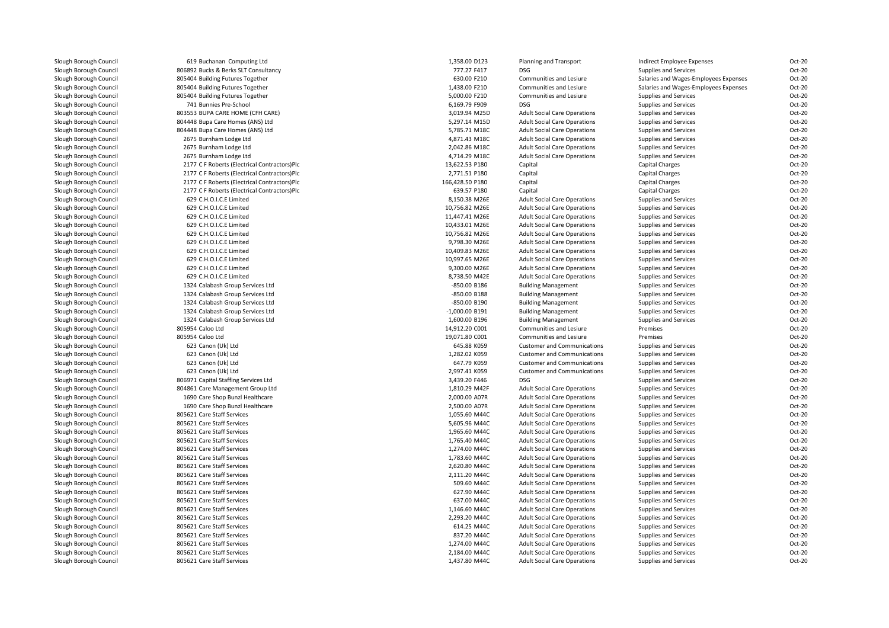| Slough Borough Council | 619 Buchanan Computing Ltd                                           | 1,358.00 D123                    | Planning and Transport              | Indirect Employee Expenses                     | Oct-20           |
|------------------------|----------------------------------------------------------------------|----------------------------------|-------------------------------------|------------------------------------------------|------------------|
| Slough Borough Council | 806892 Bucks & Berks SLT Consultancy                                 | 777.27 F417                      | DSG                                 | Supplies and Services                          | Oct-20           |
| Slough Borough Council | 805404 Building Futures Together                                     | 630.00 F210                      | Communities and Lesiure             | Salaries and Wages-Employees Expenses          | Oct-20           |
| Slough Borough Council | 805404 Building Futures Together                                     | 1,438.00 F210                    | Communities and Lesiure             | Salaries and Wages-Employees Expenses          | Oct-20           |
| Slough Borough Council | 805404 Building Futures Together                                     | 5,000.00 F210                    | Communities and Lesiure             | Supplies and Services                          | Oct-20           |
| Slough Borough Council | 741 Bunnies Pre-School                                               | 6,169.79 F909                    | <b>DSG</b>                          | Supplies and Services                          | Oct-20           |
| Slough Borough Council | 803553 BUPA CARE HOME (CFH CARE)                                     | 3,019.94 M25D                    | <b>Adult Social Care Operations</b> | Supplies and Services                          | Oct-20           |
| Slough Borough Council | 804448 Bupa Care Homes (ANS) Ltd                                     | 5,297.14 M15D                    | <b>Adult Social Care Operations</b> | Supplies and Services                          | Oct-20           |
| Slough Borough Council | 804448 Bupa Care Homes (ANS) Ltd                                     | 5,785.71 M18C                    | <b>Adult Social Care Operations</b> | Supplies and Services                          | Oct-20           |
| Slough Borough Council | 2675 Burnham Lodge Ltd                                               | 4,871.43 M18C                    | <b>Adult Social Care Operations</b> | Supplies and Services                          | Oct-20           |
| Slough Borough Council | 2675 Burnham Lodge Ltd                                               | 2,042.86 M18C                    | <b>Adult Social Care Operations</b> | Supplies and Services                          | Oct-20           |
| Slough Borough Council | 2675 Burnham Lodge Ltd                                               | 4,714.29 M18C                    | <b>Adult Social Care Operations</b> | Supplies and Services                          | Oct-20           |
| Slough Borough Council | 2177 C F Roberts (Electrical Contractors)Plc                         | 13,622.53 P180                   | Capital                             | <b>Capital Charges</b>                         | Oct-20           |
| Slough Borough Council | 2177 C F Roberts (Electrical Contractors)Plc                         | 2,771.51 P180                    | Capital                             | <b>Capital Charges</b>                         | Oct-20           |
| Slough Borough Council | 2177 C F Roberts (Electrical Contractors)Plc                         | 166,428.50 P180                  | Capital                             | Capital Charges                                | Oct-20           |
| Slough Borough Council | 2177 C F Roberts (Electrical Contractors)Plc                         | 639.57 P180                      | Capital                             | <b>Capital Charges</b>                         | Oct-20           |
| Slough Borough Council | 629 C.H.O.I.C.E Limited                                              | 8,150.38 M26E                    | <b>Adult Social Care Operations</b> | Supplies and Services                          | Oct-20           |
| Slough Borough Council | 629 C.H.O.I.C.E Limited                                              | 10,756.82 M26E                   | <b>Adult Social Care Operations</b> | Supplies and Services                          | Oct-20           |
| Slough Borough Council | 629 C.H.O.I.C.E Limited                                              | 11,447.41 M26E                   | <b>Adult Social Care Operations</b> | Supplies and Services                          | Oct-20           |
| Slough Borough Council | 629 C.H.O.I.C.E Limited                                              | 10,433.01 M26E                   | <b>Adult Social Care Operations</b> | Supplies and Services                          | Oct-20           |
| Slough Borough Council | 629 C.H.O.I.C.E Limited                                              | 10,756.82 M26E                   | <b>Adult Social Care Operations</b> | Supplies and Services                          | Oct-20           |
| Slough Borough Council | 629 C.H.O.I.C.E Limited                                              | 9,798.30 M26E                    | <b>Adult Social Care Operations</b> | Supplies and Services                          | Oct-20           |
| Slough Borough Council | 629 C.H.O.I.C.E Limited                                              |                                  | <b>Adult Social Care Operations</b> |                                                | Oct-20           |
| Slough Borough Council | 629 C.H.O.I.C.E Limited                                              | 10,409.83 M26E<br>10,997.65 M26E | <b>Adult Social Care Operations</b> | Supplies and Services<br>Supplies and Services | Oct-20           |
| Slough Borough Council | 629 C.H.O.I.C.E Limited                                              | 9,300.00 M26E                    |                                     |                                                | Oct-20           |
|                        | 629 C.H.O.I.C.E Limited                                              | 8,738.50 M42E                    | <b>Adult Social Care Operations</b> | Supplies and Services                          | Oct-20           |
| Slough Borough Council |                                                                      |                                  | <b>Adult Social Care Operations</b> | Supplies and Services                          |                  |
| Slough Borough Council | 1324 Calabash Group Services Ltd                                     | -850.00 B186                     | <b>Building Management</b>          | Supplies and Services                          | Oct-20           |
| Slough Borough Council | 1324 Calabash Group Services Ltd                                     | -850.00 B188                     | <b>Building Management</b>          | Supplies and Services                          | Oct-20           |
| Slough Borough Council | 1324 Calabash Group Services Ltd                                     | -850.00 B190                     | <b>Building Management</b>          | Supplies and Services                          | Oct-20           |
| Slough Borough Council | 1324 Calabash Group Services Ltd<br>1324 Calabash Group Services Ltd | -1,000.00 B191                   | <b>Building Management</b>          | Supplies and Services                          | Oct-20<br>Oct-20 |
| Slough Borough Council |                                                                      | 1,600.00 B196                    | <b>Building Management</b>          | Supplies and Services                          |                  |
| Slough Borough Council | 805954 Caloo Ltd                                                     | 14,912.20 C001                   | Communities and Lesiure             | Premises                                       | Oct-20           |
| Slough Borough Council | 805954 Caloo Ltd                                                     | 19,071.80 C001                   | Communities and Lesiure             | Premises                                       | Oct-20           |
| Slough Borough Council | 623 Canon (Uk) Ltd<br>623 Canon (Uk) Ltd                             | 645.88 K059                      | <b>Customer and Communications</b>  | Supplies and Services                          | Oct-20<br>Oct-20 |
| Slough Borough Council |                                                                      | 1,282.02 K059                    | <b>Customer and Communications</b>  | Supplies and Services                          |                  |
| Slough Borough Council | 623 Canon (Uk) Ltd                                                   | 647.79 K059                      | <b>Customer and Communications</b>  | Supplies and Services                          | Oct-20           |
| Slough Borough Council | 623 Canon (Uk) Ltd                                                   | 2,997.41 K059                    | <b>Customer and Communications</b>  | Supplies and Services                          | Oct-20           |
| Slough Borough Council | 806971 Capital Staffing Services Ltd                                 | 3,439.20 F446                    | <b>DSG</b>                          | Supplies and Services                          | Oct-20           |
| Slough Borough Council | 804861 Care Management Group Ltd                                     | 1,810.29 M42F                    | <b>Adult Social Care Operations</b> | Supplies and Services                          | Oct-20           |
| Slough Borough Council | 1690 Care Shop Bunzl Healthcare                                      | 2,000.00 A07R                    | <b>Adult Social Care Operations</b> | Supplies and Services                          | Oct-20           |
| Slough Borough Council | 1690 Care Shop Bunzl Healthcare                                      | 2,500.00 A07R                    | <b>Adult Social Care Operations</b> | Supplies and Services                          | Oct-20           |
| Slough Borough Council | 805621 Care Staff Services                                           | 1,055.60 M44C                    | <b>Adult Social Care Operations</b> | Supplies and Services                          | Oct-20           |
| Slough Borough Council | 805621 Care Staff Services                                           | 5,605.96 M44C                    | <b>Adult Social Care Operations</b> | Supplies and Services                          | Oct-20           |
| Slough Borough Council | 805621 Care Staff Services                                           | 1,965.60 M44C                    | <b>Adult Social Care Operations</b> | Supplies and Services                          | Oct-20           |
| Slough Borough Council | 805621 Care Staff Services                                           | 1,765.40 M44C                    | <b>Adult Social Care Operations</b> | Supplies and Services                          | Oct-20           |
| Slough Borough Council | 805621 Care Staff Services                                           | 1,274.00 M44C                    | <b>Adult Social Care Operations</b> | Supplies and Services                          | Oct-20           |
| Slough Borough Council | 805621 Care Staff Services                                           | 1,783.60 M44C                    | <b>Adult Social Care Operations</b> | Supplies and Services                          | Oct-20           |
| Slough Borough Council | 805621 Care Staff Services                                           | 2,620.80 M44C                    | <b>Adult Social Care Operations</b> | Supplies and Services                          | Oct-20           |
| Slough Borough Council | 805621 Care Staff Services                                           | 2,111.20 M44C                    | <b>Adult Social Care Operations</b> | Supplies and Services                          | Oct-20           |
| Slough Borough Council | 805621 Care Staff Services                                           | 509.60 M44C                      | <b>Adult Social Care Operations</b> | Supplies and Services                          | Oct-20           |
| Slough Borough Council | 805621 Care Staff Services                                           | 627.90 M44C                      | <b>Adult Social Care Operations</b> | Supplies and Services                          | Oct-20           |
| Slough Borough Council | 805621 Care Staff Services                                           | 637.00 M44C                      | <b>Adult Social Care Operations</b> | Supplies and Services                          | Oct-20           |
| Slough Borough Council | 805621 Care Staff Services                                           | 1,146.60 M44C                    | <b>Adult Social Care Operations</b> | Supplies and Services                          | Oct-20           |
| Slough Borough Council | 805621 Care Staff Services                                           | 2,293.20 M44C                    | <b>Adult Social Care Operations</b> | Supplies and Services                          | Oct-20           |
| Slough Borough Council | 805621 Care Staff Services                                           | 614.25 M44C                      | <b>Adult Social Care Operations</b> | Supplies and Services                          | Oct-20           |
| Slough Borough Council | 805621 Care Staff Services                                           | 837.20 M44C                      | <b>Adult Social Care Operations</b> | Supplies and Services                          | Oct-20           |
| Slough Borough Council | 805621 Care Staff Services                                           | 1,274.00 M44C                    | <b>Adult Social Care Operations</b> | Supplies and Services                          | Oct-20           |
| Slough Borough Council | 805621 Care Staff Services                                           | 2,184.00 M44C                    | <b>Adult Social Care Operations</b> | Supplies and Services                          | Oct-20           |
| Slough Borough Council | 805621 Care Staff Services                                           | 1,437.80 M44C                    | <b>Adult Social Care Operations</b> | Supplies and Services                          | Oct-20           |
|                        |                                                                      |                                  |                                     |                                                |                  |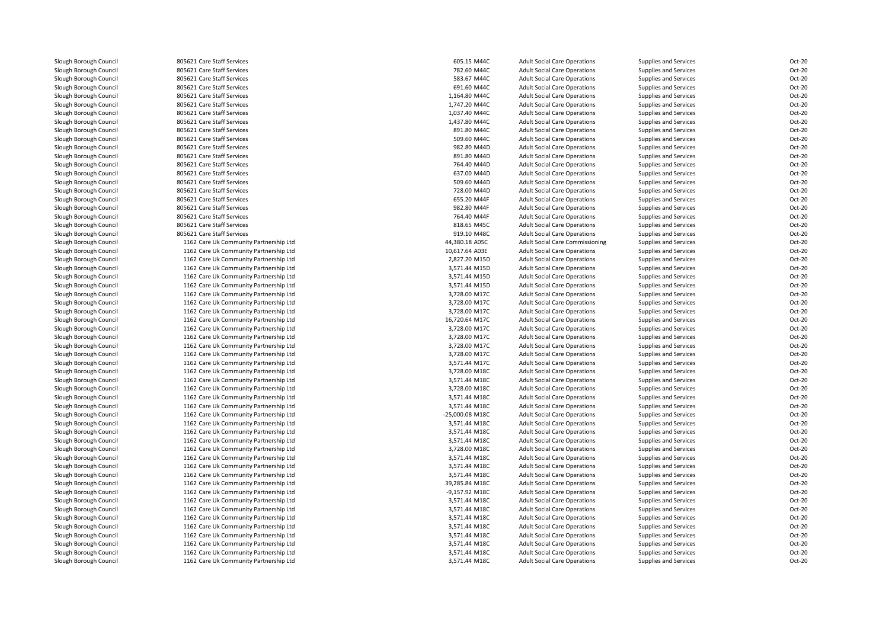| Slough Borough Council | 805621 Care Staff Services             | 605.15 M44C     | <b>Adult Social Care Operations</b>    | Supplies and Services | Oct-20 |
|------------------------|----------------------------------------|-----------------|----------------------------------------|-----------------------|--------|
| Slough Borough Council | 805621 Care Staff Services             | 782.60 M44C     | <b>Adult Social Care Operations</b>    | Supplies and Services | Oct-20 |
| Slough Borough Council | 805621 Care Staff Services             | 583.67 M44C     | <b>Adult Social Care Operations</b>    | Supplies and Services | Oct-20 |
| Slough Borough Council | 805621 Care Staff Services             | 691.60 M44C     | <b>Adult Social Care Operations</b>    | Supplies and Services | Oct-20 |
| Slough Borough Council | 805621 Care Staff Services             | 1,164.80 M44C   | <b>Adult Social Care Operations</b>    | Supplies and Services | Oct-20 |
| Slough Borough Council | 805621 Care Staff Services             | 1,747.20 M44C   | <b>Adult Social Care Operations</b>    | Supplies and Services | Oct-20 |
| Slough Borough Council | 805621 Care Staff Services             | 1,037.40 M44C   | <b>Adult Social Care Operations</b>    | Supplies and Services | Oct-20 |
| Slough Borough Council | 805621 Care Staff Services             | 1,437.80 M44C   | <b>Adult Social Care Operations</b>    | Supplies and Services | Oct-20 |
| Slough Borough Council | 805621 Care Staff Services             | 891.80 M44C     | <b>Adult Social Care Operations</b>    | Supplies and Services | Oct-20 |
| Slough Borough Council | 805621 Care Staff Services             | 509.60 M44C     | <b>Adult Social Care Operations</b>    | Supplies and Services | Oct-20 |
| Slough Borough Council | 805621 Care Staff Services             | 982.80 M44D     | <b>Adult Social Care Operations</b>    | Supplies and Services | Oct-20 |
| Slough Borough Council | 805621 Care Staff Services             | 891.80 M44D     | <b>Adult Social Care Operations</b>    | Supplies and Services | Oct-20 |
| Slough Borough Council | 805621 Care Staff Services             | 764.40 M44D     | <b>Adult Social Care Operations</b>    | Supplies and Services | Oct-20 |
| Slough Borough Council | 805621 Care Staff Services             | 637.00 M44D     | <b>Adult Social Care Operations</b>    | Supplies and Services | Oct-20 |
| Slough Borough Council | 805621 Care Staff Services             | 509.60 M44D     | <b>Adult Social Care Operations</b>    | Supplies and Services | Oct-20 |
| Slough Borough Council | 805621 Care Staff Services             | 728.00 M44D     | <b>Adult Social Care Operations</b>    | Supplies and Services | Oct-20 |
| Slough Borough Council | 805621 Care Staff Services             | 655.20 M44F     | <b>Adult Social Care Operations</b>    | Supplies and Services | Oct-20 |
| Slough Borough Council | 805621 Care Staff Services             | 982.80 M44F     | <b>Adult Social Care Operations</b>    | Supplies and Services | Oct-20 |
| Slough Borough Council | 805621 Care Staff Services             | 764.40 M44F     | <b>Adult Social Care Operations</b>    | Supplies and Services | Oct-20 |
| Slough Borough Council | 805621 Care Staff Services             | 818.65 M45C     | <b>Adult Social Care Operations</b>    | Supplies and Services | Oct-20 |
| Slough Borough Council | 805621 Care Staff Services             | 919.10 M48C     | <b>Adult Social Care Operations</b>    | Supplies and Services | Oct-20 |
| Slough Borough Council | 1162 Care Uk Community Partnership Ltd | 44,380.18 A05C  | <b>Adult Social Care Commissioning</b> | Supplies and Services | Oct-20 |
| Slough Borough Council | 1162 Care Uk Community Partnership Ltd | 10,617.64 A03E  | <b>Adult Social Care Operations</b>    | Supplies and Services | Oct-20 |
| Slough Borough Council | 1162 Care Uk Community Partnership Ltd | 2,827.20 M15D   | <b>Adult Social Care Operations</b>    | Supplies and Services | Oct-20 |
| Slough Borough Council | 1162 Care Uk Community Partnership Ltd | 3,571.44 M15D   | <b>Adult Social Care Operations</b>    | Supplies and Services | Oct-20 |
| Slough Borough Council | 1162 Care Uk Community Partnership Ltd | 3,571.44 M15D   | <b>Adult Social Care Operations</b>    | Supplies and Services | Oct-20 |
| Slough Borough Council | 1162 Care Uk Community Partnership Ltd | 3,571.44 M15D   | <b>Adult Social Care Operations</b>    | Supplies and Services | Oct-20 |
| Slough Borough Council | 1162 Care Uk Community Partnership Ltd | 3,728.00 M17C   | <b>Adult Social Care Operations</b>    | Supplies and Services | Oct-20 |
| Slough Borough Council | 1162 Care Uk Community Partnership Ltd | 3,728.00 M17C   | <b>Adult Social Care Operations</b>    | Supplies and Services | Oct-20 |
| Slough Borough Council | 1162 Care Uk Community Partnership Ltd | 3,728.00 M17C   | <b>Adult Social Care Operations</b>    | Supplies and Services | Oct-20 |
| Slough Borough Council | 1162 Care Uk Community Partnership Ltd | 16,720.64 M17C  | <b>Adult Social Care Operations</b>    | Supplies and Services | Oct-20 |
| Slough Borough Council | 1162 Care Uk Community Partnership Ltd | 3,728.00 M17C   | <b>Adult Social Care Operations</b>    | Supplies and Services | Oct-20 |
| Slough Borough Council | 1162 Care Uk Community Partnership Ltd | 3,728.00 M17C   | <b>Adult Social Care Operations</b>    | Supplies and Services | Oct-20 |
| Slough Borough Council | 1162 Care Uk Community Partnership Ltd | 3,728.00 M17C   | <b>Adult Social Care Operations</b>    | Supplies and Services | Oct-20 |
| Slough Borough Council | 1162 Care Uk Community Partnership Ltd | 3,728.00 M17C   | <b>Adult Social Care Operations</b>    | Supplies and Services | Oct-20 |
| Slough Borough Council | 1162 Care Uk Community Partnership Ltd | 3,571.44 M17C   | <b>Adult Social Care Operations</b>    | Supplies and Services | Oct-20 |
| Slough Borough Council | 1162 Care Uk Community Partnership Ltd | 3,728.00 M18C   | <b>Adult Social Care Operations</b>    | Supplies and Services | Oct-20 |
| Slough Borough Council | 1162 Care Uk Community Partnership Ltd | 3,571.44 M18C   | <b>Adult Social Care Operations</b>    | Supplies and Services | Oct-20 |
| Slough Borough Council | 1162 Care Uk Community Partnership Ltd | 3,728.00 M18C   | <b>Adult Social Care Operations</b>    | Supplies and Services | Oct-20 |
| Slough Borough Council | 1162 Care Uk Community Partnership Ltd | 3,571.44 M18C   | <b>Adult Social Care Operations</b>    | Supplies and Services | Oct-20 |
| Slough Borough Council | 1162 Care Uk Community Partnership Ltd | 3,571.44 M18C   | <b>Adult Social Care Operations</b>    | Supplies and Services | Oct-20 |
| Slough Borough Council | 1162 Care Uk Community Partnership Ltd | -25,000.08 M18C | <b>Adult Social Care Operations</b>    | Supplies and Services | Oct-20 |
| Slough Borough Council | 1162 Care Uk Community Partnership Ltd | 3,571.44 M18C   | <b>Adult Social Care Operations</b>    | Supplies and Services | Oct-20 |
| Slough Borough Council | 1162 Care Uk Community Partnership Ltd | 3,571.44 M18C   | <b>Adult Social Care Operations</b>    | Supplies and Services | Oct-20 |
| Slough Borough Council | 1162 Care Uk Community Partnership Ltd | 3,571.44 M18C   | <b>Adult Social Care Operations</b>    | Supplies and Services | Oct-20 |
| Slough Borough Council | 1162 Care Uk Community Partnership Ltd | 3,728.00 M18C   | <b>Adult Social Care Operations</b>    | Supplies and Services | Oct-20 |
| Slough Borough Council | 1162 Care Uk Community Partnership Ltd | 3,571.44 M18C   | <b>Adult Social Care Operations</b>    | Supplies and Services | Oct-20 |
| Slough Borough Council | 1162 Care Uk Community Partnership Ltd | 3,571.44 M18C   | <b>Adult Social Care Operations</b>    | Supplies and Services | Oct-20 |
| Slough Borough Council | 1162 Care Uk Community Partnership Ltd | 3,571.44 M18C   | <b>Adult Social Care Operations</b>    | Supplies and Services | Oct-20 |
| Slough Borough Council | 1162 Care Uk Community Partnership Ltd | 39,285.84 M18C  | <b>Adult Social Care Operations</b>    | Supplies and Services | Oct-20 |
| Slough Borough Council | 1162 Care Uk Community Partnership Ltd | -9,157.92 M18C  | <b>Adult Social Care Operations</b>    | Supplies and Services | Oct-20 |
| Slough Borough Council | 1162 Care Uk Community Partnership Ltd | 3,571.44 M18C   | <b>Adult Social Care Operations</b>    | Supplies and Services | Oct-20 |
| Slough Borough Council | 1162 Care Uk Community Partnership Ltd | 3,571.44 M18C   | <b>Adult Social Care Operations</b>    | Supplies and Services | Oct-20 |
| Slough Borough Council | 1162 Care Uk Community Partnership Ltd | 3,571.44 M18C   | <b>Adult Social Care Operations</b>    | Supplies and Services | Oct-20 |
| Slough Borough Council | 1162 Care Uk Community Partnership Ltd | 3,571.44 M18C   | <b>Adult Social Care Operations</b>    | Supplies and Services | Oct-20 |
| Slough Borough Council | 1162 Care Uk Community Partnership Ltd | 3,571.44 M18C   | <b>Adult Social Care Operations</b>    | Supplies and Services | Oct-20 |
| Slough Borough Council | 1162 Care Uk Community Partnership Ltd | 3,571.44 M18C   | <b>Adult Social Care Operations</b>    | Supplies and Services | Oct-20 |
| Slough Borough Council | 1162 Care Uk Community Partnership Ltd | 3,571.44 M18C   | <b>Adult Social Care Operations</b>    | Supplies and Services | Oct-20 |
| Slough Borough Council | 1162 Care Uk Community Partnership Ltd | 3,571.44 M18C   | <b>Adult Social Care Operations</b>    | Supplies and Services | Oct-20 |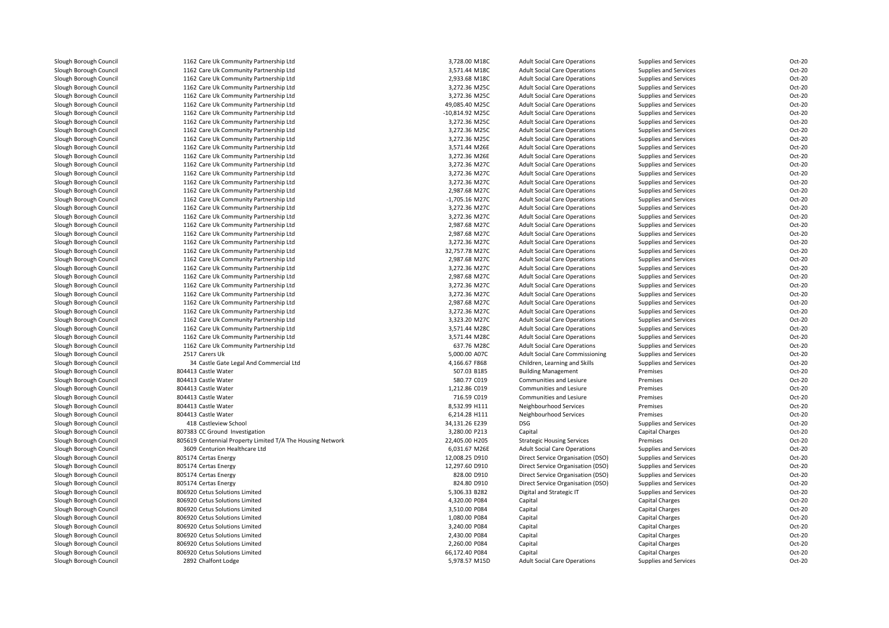| Slough Borough Council | 1162 Care Uk Community Partnership Ltd                     | 3,728.00 M18C   | <b>Adult Social Care Operations</b>    | Supplies and Services  | Oct-20 |
|------------------------|------------------------------------------------------------|-----------------|----------------------------------------|------------------------|--------|
| Slough Borough Council | 1162 Care Uk Community Partnership Ltd                     | 3,571.44 M18C   | <b>Adult Social Care Operations</b>    | Supplies and Services  | Oct-20 |
| Slough Borough Council | 1162 Care Uk Community Partnership Ltd                     | 2,933.68 M18C   | <b>Adult Social Care Operations</b>    | Supplies and Services  | Oct-20 |
| Slough Borough Council | 1162 Care Uk Community Partnership Ltd                     | 3,272.36 M25C   | <b>Adult Social Care Operations</b>    | Supplies and Services  | Oct-20 |
| Slough Borough Council | 1162 Care Uk Community Partnership Ltd                     | 3,272.36 M25C   | <b>Adult Social Care Operations</b>    | Supplies and Services  | Oct-20 |
| Slough Borough Council | 1162 Care Uk Community Partnership Ltd                     | 49,085.40 M25C  | <b>Adult Social Care Operations</b>    | Supplies and Services  | Oct-20 |
| Slough Borough Council | 1162 Care Uk Community Partnership Ltd                     | -10,814.92 M25C | <b>Adult Social Care Operations</b>    | Supplies and Services  | Oct-20 |
| Slough Borough Council | 1162 Care Uk Community Partnership Ltd                     | 3,272.36 M25C   | <b>Adult Social Care Operations</b>    | Supplies and Services  | Oct-20 |
| Slough Borough Council | 1162 Care Uk Community Partnership Ltd                     | 3,272.36 M25C   | <b>Adult Social Care Operations</b>    | Supplies and Services  | Oct-20 |
| Slough Borough Council | 1162 Care Uk Community Partnership Ltd                     | 3,272.36 M25C   | <b>Adult Social Care Operations</b>    | Supplies and Services  | Oct-20 |
| Slough Borough Council | 1162 Care Uk Community Partnership Ltd                     | 3,571.44 M26E   | <b>Adult Social Care Operations</b>    | Supplies and Services  | Oct-20 |
| Slough Borough Council | 1162 Care Uk Community Partnership Ltd                     | 3,272.36 M26E   | <b>Adult Social Care Operations</b>    | Supplies and Services  | Oct-20 |
| Slough Borough Council | 1162 Care Uk Community Partnership Ltd                     | 3,272.36 M27C   | <b>Adult Social Care Operations</b>    | Supplies and Services  | Oct-20 |
| Slough Borough Council | 1162 Care Uk Community Partnership Ltd                     | 3,272.36 M27C   | <b>Adult Social Care Operations</b>    | Supplies and Services  | Oct-20 |
| Slough Borough Council | 1162 Care Uk Community Partnership Ltd                     | 3,272.36 M27C   | <b>Adult Social Care Operations</b>    | Supplies and Services  | Oct-20 |
| Slough Borough Council | 1162 Care Uk Community Partnership Ltd                     | 2,987.68 M27C   | <b>Adult Social Care Operations</b>    | Supplies and Services  | Oct-20 |
| Slough Borough Council |                                                            |                 |                                        |                        | Oct-20 |
|                        | 1162 Care Uk Community Partnership Ltd                     | -1,705.16 M27C  | <b>Adult Social Care Operations</b>    | Supplies and Services  |        |
| Slough Borough Council | 1162 Care Uk Community Partnership Ltd                     | 3,272.36 M27C   | <b>Adult Social Care Operations</b>    | Supplies and Services  | Oct-20 |
| Slough Borough Council | 1162 Care Uk Community Partnership Ltd                     | 3,272.36 M27C   | <b>Adult Social Care Operations</b>    | Supplies and Services  | Oct-20 |
| Slough Borough Council | 1162 Care Uk Community Partnership Ltd                     | 2,987.68 M27C   | <b>Adult Social Care Operations</b>    | Supplies and Services  | Oct-20 |
| Slough Borough Council | 1162 Care Uk Community Partnership Ltd                     | 2,987.68 M27C   | <b>Adult Social Care Operations</b>    | Supplies and Services  | Oct-20 |
| Slough Borough Council | 1162 Care Uk Community Partnership Ltd                     | 3,272.36 M27C   | <b>Adult Social Care Operations</b>    | Supplies and Services  | Oct-20 |
| Slough Borough Council | 1162 Care Uk Community Partnership Ltd                     | 32,757.78 M27C  | <b>Adult Social Care Operations</b>    | Supplies and Services  | Oct-20 |
| Slough Borough Council | 1162 Care Uk Community Partnership Ltd                     | 2,987.68 M27C   | <b>Adult Social Care Operations</b>    | Supplies and Services  | Oct-20 |
| Slough Borough Council | 1162 Care Uk Community Partnership Ltd                     | 3,272.36 M27C   | <b>Adult Social Care Operations</b>    | Supplies and Services  | Oct-20 |
| Slough Borough Council | 1162 Care Uk Community Partnership Ltd                     | 2,987.68 M27C   | <b>Adult Social Care Operations</b>    | Supplies and Services  | Oct-20 |
| Slough Borough Council | 1162 Care Uk Community Partnership Ltd                     | 3,272.36 M27C   | <b>Adult Social Care Operations</b>    | Supplies and Services  | Oct-20 |
| Slough Borough Council | 1162 Care Uk Community Partnership Ltd                     | 3,272.36 M27C   | <b>Adult Social Care Operations</b>    | Supplies and Services  | Oct-20 |
| Slough Borough Council | 1162 Care Uk Community Partnership Ltd                     | 2,987.68 M27C   | <b>Adult Social Care Operations</b>    | Supplies and Services  | Oct-20 |
| Slough Borough Council | 1162 Care Uk Community Partnership Ltd                     | 3,272.36 M27C   | <b>Adult Social Care Operations</b>    | Supplies and Services  | Oct-20 |
| Slough Borough Council | 1162 Care Uk Community Partnership Ltd                     | 3,323.20 M27C   | <b>Adult Social Care Operations</b>    | Supplies and Services  | Oct-20 |
| Slough Borough Council | 1162 Care Uk Community Partnership Ltd                     | 3,571.44 M28C   | <b>Adult Social Care Operations</b>    | Supplies and Services  | Oct-20 |
| Slough Borough Council | 1162 Care Uk Community Partnership Ltd                     | 3,571.44 M28C   | <b>Adult Social Care Operations</b>    | Supplies and Services  | Oct-20 |
| Slough Borough Council | 1162 Care Uk Community Partnership Ltd                     | 637.76 M28C     | <b>Adult Social Care Operations</b>    | Supplies and Services  | Oct-20 |
| Slough Borough Council | 2517 Carers Uk                                             | 5,000.00 A07C   | <b>Adult Social Care Commissioning</b> | Supplies and Services  | Oct-20 |
| Slough Borough Council | 34 Castle Gate Legal And Commercial Ltd                    | 4,166.67 F868   | Children, Learning and Skills          | Supplies and Services  | Oct-20 |
| Slough Borough Council | 804413 Castle Water                                        | 507.03 B185     | <b>Building Management</b>             | Premises               | Oct-20 |
| Slough Borough Council | 804413 Castle Water                                        | 580.77 C019     | Communities and Lesiure                | Premises               | Oct-20 |
| Slough Borough Council | 804413 Castle Water                                        | 1,212.86 C019   | Communities and Lesiure                | Premises               | Oct-20 |
| Slough Borough Council | 804413 Castle Water                                        | 716.59 C019     | Communities and Lesiure                | Premises               | Oct-20 |
| Slough Borough Council | 804413 Castle Water                                        | 8,532.99 H111   | Neighbourhood Services                 | Premises               | Oct-20 |
| Slough Borough Council | 804413 Castle Water                                        | 6,214.28 H111   | Neighbourhood Services                 | Premises               | Oct-20 |
| Slough Borough Council | 418 Castleview School                                      | 34,131.26 E239  | DSG                                    | Supplies and Services  | Oct-20 |
|                        |                                                            |                 |                                        |                        | Oct-20 |
| Slough Borough Council | 807383 CC Ground Investigation                             | 3,280.00 P213   | Capital                                | <b>Capital Charges</b> |        |
| Slough Borough Council | 805619 Centennial Property Limited T/A The Housing Network | 22,405.00 H205  | <b>Strategic Housing Services</b>      | Premises               | Oct-20 |
| Slough Borough Council | 3609 Centurion Healthcare Ltd                              | 6,031.67 M26E   | <b>Adult Social Care Operations</b>    | Supplies and Services  | Oct-20 |
| Slough Borough Council | 805174 Certas Energy                                       | 12,008.25 D910  | Direct Service Organisation (DSO)      | Supplies and Services  | Oct-20 |
| Slough Borough Council | 805174 Certas Energy                                       | 12,297.60 D910  | Direct Service Organisation (DSO)      | Supplies and Services  | Oct-20 |
| Slough Borough Council | 805174 Certas Energy                                       | 828.00 D910     | Direct Service Organisation (DSO)      | Supplies and Services  | Oct-20 |
| Slough Borough Council | 805174 Certas Energy                                       | 824.80 D910     | Direct Service Organisation (DSO)      | Supplies and Services  | Oct-20 |
| Slough Borough Council | 806920 Cetus Solutions Limited                             | 5,306.33 B282   | Digital and Strategic IT               | Supplies and Services  | Oct-20 |
| Slough Borough Council | 806920 Cetus Solutions Limited                             | 4,320.00 P084   | Capital                                | Capital Charges        | Oct-20 |
| Slough Borough Council | 806920 Cetus Solutions Limited                             | 3,510.00 P084   | Capital                                | <b>Capital Charges</b> | Oct-20 |
| Slough Borough Council | 806920 Cetus Solutions Limited                             | 1,080.00 P084   | Capital                                | <b>Capital Charges</b> | Oct-20 |
| Slough Borough Council | 806920 Cetus Solutions Limited                             | 3,240.00 P084   | Capital                                | <b>Capital Charges</b> | Oct-20 |
| Slough Borough Council | 806920 Cetus Solutions Limited                             | 2,430.00 P084   | Capital                                | <b>Capital Charges</b> | Oct-20 |
| Slough Borough Council | 806920 Cetus Solutions Limited                             | 2,260.00 P084   | Capital                                | <b>Capital Charges</b> | Oct-20 |
| Slough Borough Council | 806920 Cetus Solutions Limited                             | 66,172.40 P084  | Capital                                | <b>Capital Charges</b> | Oct-20 |
| Slough Borough Council | 2892 Chalfont Lodge                                        | 5,978.57 M15D   | <b>Adult Social Care Operations</b>    | Supplies and Services  | Oct-20 |
|                        |                                                            |                 |                                        |                        |        |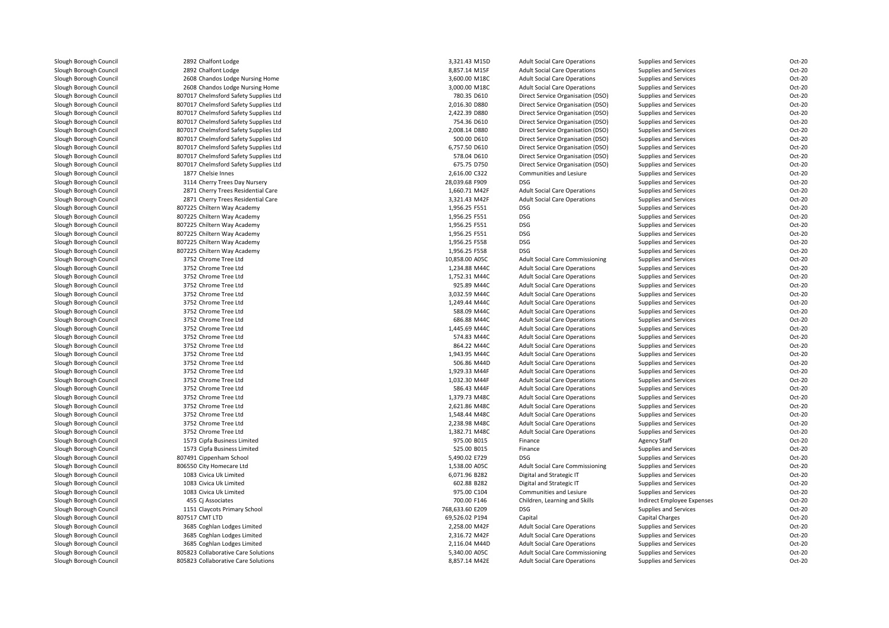| Slough Borough Council                           | 2892 Chalfont Lodge                          | 3,321.43 M15D                | <b>Adult Social Care Operations</b>    | Supplies and Services      | Oct-20           |
|--------------------------------------------------|----------------------------------------------|------------------------------|----------------------------------------|----------------------------|------------------|
| Slough Borough Council                           | 2892 Chalfont Lodge                          | 8,857.14 M15F                | <b>Adult Social Care Operations</b>    | Supplies and Services      | Oct-20           |
| Slough Borough Council                           | 2608 Chandos Lodge Nursing Home              | 3,600.00 M18C                | <b>Adult Social Care Operations</b>    | Supplies and Services      | Oct-20           |
| Slough Borough Council                           | 2608 Chandos Lodge Nursing Home              | 3,000.00 M18C                | <b>Adult Social Care Operations</b>    | Supplies and Services      | Oct-20           |
| Slough Borough Council                           | 807017 Chelmsford Safety Supplies Ltd        | 780.35 D610                  | Direct Service Organisation (DSO)      | Supplies and Services      | Oct-20           |
| Slough Borough Council                           | 807017 Chelmsford Safety Supplies Ltd        | 2,016.30 D880                | Direct Service Organisation (DSO)      | Supplies and Services      | Oct-20           |
| Slough Borough Council                           | 807017 Chelmsford Safety Supplies Ltd        | 2,422.39 D880                | Direct Service Organisation (DSO)      | Supplies and Services      | Oct-20           |
| Slough Borough Council                           | 807017 Chelmsford Safety Supplies Ltd        | 754.36 D610                  | Direct Service Organisation (DSO)      | Supplies and Services      | Oct-20           |
| Slough Borough Council                           | 807017 Chelmsford Safety Supplies Ltd        | 2,008.14 D880                | Direct Service Organisation (DSO)      | Supplies and Services      | Oct-20           |
| Slough Borough Council                           | 807017 Chelmsford Safety Supplies Ltd        | 500.00 D610                  | Direct Service Organisation (DSO)      | Supplies and Services      | Oct-20           |
| Slough Borough Council                           | 807017 Chelmsford Safety Supplies Ltd        | 6.757.50 D610                | Direct Service Organisation (DSO)      | Supplies and Services      | Oct-20           |
| Slough Borough Council                           | 807017 Chelmsford Safety Supplies Ltd        | 578.04 D610                  | Direct Service Organisation (DSO)      | Supplies and Services      | Oct-20           |
| Slough Borough Council                           | 807017 Chelmsford Safety Supplies Ltd        | 675.75 D750                  | Direct Service Organisation (DSO)      | Supplies and Services      | Oct-20           |
| Slough Borough Council                           | 1877 Chelsie Innes                           | 2,616.00 C322                | <b>Communities and Lesiure</b>         | Supplies and Services      | Oct-20           |
| Slough Borough Council                           | 3114 Cherry Trees Day Nursery                | 28,039.68 F909               | <b>DSG</b>                             | Supplies and Services      | Oct-20           |
| Slough Borough Council                           | 2871 Cherry Trees Residential Care           | 1,660.71 M42F                | <b>Adult Social Care Operations</b>    | Supplies and Services      | Oct-20           |
| Slough Borough Council                           | 2871 Cherry Trees Residential Care           | 3,321.43 M42F                | <b>Adult Social Care Operations</b>    | Supplies and Services      | Oct-20           |
| Slough Borough Council                           | 807225 Chiltern Way Academy                  | 1,956.25 F551                | <b>DSG</b>                             | Supplies and Services      | Oct-20           |
| Slough Borough Council                           | 807225 Chiltern Way Academy                  | 1,956.25 F551                | <b>DSG</b>                             | Supplies and Services      | Oct-20           |
| Slough Borough Council                           | 807225 Chiltern Way Academy                  | 1,956.25 F551                | <b>DSG</b>                             | Supplies and Services      | Oct-20           |
| Slough Borough Council                           | 807225 Chiltern Way Academy                  | 1,956.25 F551                | DSG                                    | Supplies and Services      | Oct-20           |
| Slough Borough Council                           | 807225 Chiltern Way Academy                  | 1,956.25 F558                | <b>DSG</b>                             | Supplies and Services      | Oct-20           |
| Slough Borough Council                           | 807225 Chiltern Way Academy                  | 1,956.25 F558                | <b>DSG</b>                             | Supplies and Services      | Oct-20           |
| Slough Borough Council                           | 3752 Chrome Tree Ltd                         | 10,858.00 A05C               | <b>Adult Social Care Commissioning</b> | Supplies and Services      | Oct-20           |
| Slough Borough Council                           | 3752 Chrome Tree Ltd                         | 1,234.88 M44C                | <b>Adult Social Care Operations</b>    | Supplies and Services      | Oct-20           |
| Slough Borough Council                           | 3752 Chrome Tree Ltd                         | 1,752.31 M44C                | <b>Adult Social Care Operations</b>    | Supplies and Services      | Oct-20           |
| Slough Borough Council                           | 3752 Chrome Tree Ltd                         | 925.89 M44C                  | <b>Adult Social Care Operations</b>    | Supplies and Services      | Oct-20           |
|                                                  | 3752 Chrome Tree Ltd                         | 3,032.59 M44C                | <b>Adult Social Care Operations</b>    | Supplies and Services      | Oct-20           |
| Slough Borough Council<br>Slough Borough Council | 3752 Chrome Tree Ltd                         | 1,249.44 M44C                | <b>Adult Social Care Operations</b>    | Supplies and Services      | Oct-20           |
|                                                  | 3752 Chrome Tree Ltd                         | 588.09 M44C                  |                                        | Supplies and Services      | Oct-20           |
| Slough Borough Council                           | 3752 Chrome Tree Ltd                         | 686.88 M44C                  | <b>Adult Social Care Operations</b>    |                            | Oct-20           |
| Slough Borough Council                           |                                              |                              | <b>Adult Social Care Operations</b>    | Supplies and Services      |                  |
| Slough Borough Council<br>Slough Borough Council | 3752 Chrome Tree Ltd<br>3752 Chrome Tree Ltd | 1,445.69 M44C<br>574.83 M44C | <b>Adult Social Care Operations</b>    | Supplies and Services      | Oct-20<br>Oct-20 |
|                                                  |                                              |                              | <b>Adult Social Care Operations</b>    | Supplies and Services      |                  |
| Slough Borough Council                           | 3752 Chrome Tree Ltd                         | 864.22 M44C                  | <b>Adult Social Care Operations</b>    | Supplies and Services      | Oct-20           |
| Slough Borough Council                           | 3752 Chrome Tree Ltd                         | 1,943.95 M44C                | <b>Adult Social Care Operations</b>    | Supplies and Services      | Oct-20           |
| Slough Borough Council                           | 3752 Chrome Tree Ltd                         | 506.86 M44D                  | <b>Adult Social Care Operations</b>    | Supplies and Services      | Oct-20           |
| Slough Borough Council                           | 3752 Chrome Tree Ltd                         | 1.929.33 M44F                | <b>Adult Social Care Operations</b>    | Supplies and Services      | Oct-20           |
| Slough Borough Council                           | 3752 Chrome Tree Ltd                         | 1,032.30 M44F                | <b>Adult Social Care Operations</b>    | Supplies and Services      | Oct-20           |
| Slough Borough Council                           | 3752 Chrome Tree Ltd                         | 586.43 M44F                  | <b>Adult Social Care Operations</b>    | Supplies and Services      | Oct-20           |
| Slough Borough Council                           | 3752 Chrome Tree Ltd                         | 1,379.73 M48C                | <b>Adult Social Care Operations</b>    | Supplies and Services      | Oct-20           |
| Slough Borough Council                           | 3752 Chrome Tree Ltd                         | 2,621.86 M48C                | <b>Adult Social Care Operations</b>    | Supplies and Services      | Oct-20           |
| Slough Borough Council                           | 3752 Chrome Tree Ltd                         | 1,548.44 M48C                | <b>Adult Social Care Operations</b>    | Supplies and Services      | Oct-20           |
| Slough Borough Council                           | 3752 Chrome Tree Ltd                         | 2,238.98 M48C                | <b>Adult Social Care Operations</b>    | Supplies and Services      | Oct-20           |
| Slough Borough Council                           | 3752 Chrome Tree Ltd                         | 1,382.71 M48C                | <b>Adult Social Care Operations</b>    | Supplies and Services      | Oct-20           |
| Slough Borough Council                           | 1573 Cipfa Business Limited                  | 975.00 B015                  | Finance                                | <b>Agency Staff</b>        | Oct-20           |
| Slough Borough Council                           | 1573 Cipfa Business Limited                  | 525.00 B015                  | Finance                                | Supplies and Services      | Oct-20           |
| Slough Borough Council                           | 807491 Cippenham School                      | 5,490.02 E729                | <b>DSG</b>                             | Supplies and Services      | Oct-20           |
| Slough Borough Council                           | 806550 City Homecare Ltd                     | 1,538.00 A05C                | Adult Social Care Commissioning        | Supplies and Services      | Oct-20           |
| Slough Borough Council                           | 1083 Civica Uk Limited                       | 6,071.96 B282                | Digital and Strategic IT               | Supplies and Services      | Oct-20           |
| Slough Borough Council                           | 1083 Civica Uk Limited                       | 602.88 B282                  | Digital and Strategic IT               | Supplies and Services      | Oct-20           |
| Slough Borough Council                           | 1083 Civica Uk Limited                       | 975.00 C104                  | Communities and Lesiure                | Supplies and Services      | Oct-20           |
| Slough Borough Council                           | 455 Cj Associates                            | 700.00 F146                  | Children, Learning and Skills          | Indirect Employee Expenses | Oct-20           |
| Slough Borough Council                           | 1151 Claycots Primary School                 | 768,633.60 E209              | <b>DSG</b>                             | Supplies and Services      | Oct-20           |
| Slough Borough Council                           | 807517 CMT LTD                               | 69,526.02 P194               | Capital                                | <b>Capital Charges</b>     | Oct-20           |
| Slough Borough Council                           | 3685 Coghlan Lodges Limited                  | 2,258.00 M42F                | <b>Adult Social Care Operations</b>    | Supplies and Services      | Oct-20           |
| Slough Borough Council                           | 3685 Coghlan Lodges Limited                  | 2,316.72 M42F                | <b>Adult Social Care Operations</b>    | Supplies and Services      | Oct-20           |
| Slough Borough Council                           | 3685 Coghlan Lodges Limited                  | 2,116.04 M44D                | <b>Adult Social Care Operations</b>    | Supplies and Services      | Oct-20           |
| Slough Borough Council                           | 805823 Collaborative Care Solutions          | 5,340.00 A05C                | <b>Adult Social Care Commissioning</b> | Supplies and Services      | Oct-20           |
| Slough Borough Council                           | 805823 Collaborative Care Solutions          | 8,857.14 M42E                | <b>Adult Social Care Operations</b>    | Supplies and Services      | Oct-20           |
|                                                  |                                              |                              |                                        |                            |                  |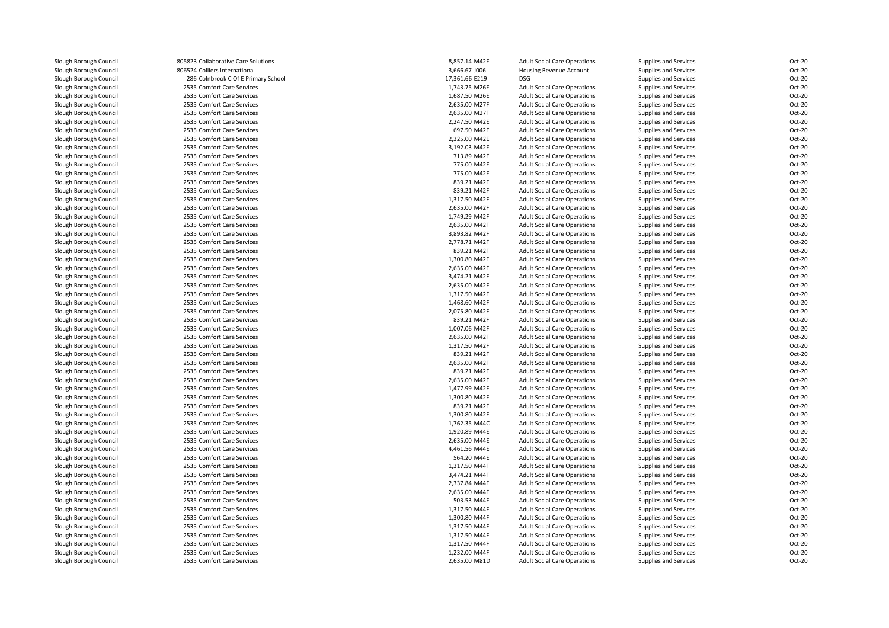| Slough Borough Council | 805823 Collaborative Care Solutions | 8,857.14 M42E  | <b>Adult Social Care Operations</b> | Supplies and Services | Oct-20           |
|------------------------|-------------------------------------|----------------|-------------------------------------|-----------------------|------------------|
| Slough Borough Council | 806524 Colliers International       | 3,666.67 J006  | Housing Revenue Account             | Supplies and Services | Oct-20           |
| Slough Borough Council | 286 Colnbrook C Of E Primary School | 17,361.66 E219 | DSG                                 | Supplies and Services | Oct-20           |
| Slough Borough Council | 2535 Comfort Care Services          | 1,743.75 M26E  | <b>Adult Social Care Operations</b> | Supplies and Services | Oct-20           |
| Slough Borough Council | 2535 Comfort Care Services          | 1,687.50 M26E  | <b>Adult Social Care Operations</b> | Supplies and Services | Oct-20           |
| Slough Borough Council | 2535 Comfort Care Services          | 2,635.00 M27F  | <b>Adult Social Care Operations</b> | Supplies and Services | Oct-20           |
| Slough Borough Council | 2535 Comfort Care Services          | 2,635.00 M27F  | <b>Adult Social Care Operations</b> | Supplies and Services | Oct-20           |
| Slough Borough Council | 2535 Comfort Care Services          | 2,247.50 M42E  | <b>Adult Social Care Operations</b> | Supplies and Services | Oct-20           |
| Slough Borough Council | 2535 Comfort Care Services          | 697.50 M42E    | <b>Adult Social Care Operations</b> | Supplies and Services | Oct-20           |
| Slough Borough Council | 2535 Comfort Care Services          | 2,325.00 M42E  | <b>Adult Social Care Operations</b> | Supplies and Services | Oct-20           |
| Slough Borough Council | 2535 Comfort Care Services          | 3,192.03 M42E  | <b>Adult Social Care Operations</b> | Supplies and Services | Oct-20           |
| Slough Borough Council | 2535 Comfort Care Services          | 713.89 M42E    | <b>Adult Social Care Operations</b> | Supplies and Services | Oct-20           |
| Slough Borough Council | 2535 Comfort Care Services          | 775.00 M42E    | <b>Adult Social Care Operations</b> | Supplies and Services | Oct-20           |
| Slough Borough Council | 2535 Comfort Care Services          | 775.00 M42E    | <b>Adult Social Care Operations</b> | Supplies and Services | Oct-20           |
| Slough Borough Council | 2535 Comfort Care Services          | 839.21 M42F    | <b>Adult Social Care Operations</b> | Supplies and Services | Oct-20           |
| Slough Borough Council | 2535 Comfort Care Services          | 839.21 M42F    | <b>Adult Social Care Operations</b> | Supplies and Services | Oct-20           |
| Slough Borough Council | 2535 Comfort Care Services          | 1,317.50 M42F  | <b>Adult Social Care Operations</b> | Supplies and Services | Oct-20           |
| Slough Borough Council | 2535 Comfort Care Services          | 2,635.00 M42F  | <b>Adult Social Care Operations</b> | Supplies and Services | Oct-20           |
| Slough Borough Council | 2535 Comfort Care Services          | 1,749.29 M42F  | <b>Adult Social Care Operations</b> | Supplies and Services | Oct-20           |
| Slough Borough Council | 2535 Comfort Care Services          | 2,635.00 M42F  | <b>Adult Social Care Operations</b> | Supplies and Services | Oct-20           |
| Slough Borough Council | 2535 Comfort Care Services          | 3,893.82 M42F  | <b>Adult Social Care Operations</b> | Supplies and Services | Oct-20           |
| Slough Borough Council | 2535 Comfort Care Services          | 2,778.71 M42F  | <b>Adult Social Care Operations</b> | Supplies and Services | Oct-20           |
| Slough Borough Council | 2535 Comfort Care Services          | 839.21 M42F    | <b>Adult Social Care Operations</b> | Supplies and Services | Oct-20           |
| Slough Borough Council | 2535 Comfort Care Services          | 1,300.80 M42F  | <b>Adult Social Care Operations</b> | Supplies and Services | Oct-20           |
| Slough Borough Council | 2535 Comfort Care Services          | 2,635.00 M42F  | <b>Adult Social Care Operations</b> | Supplies and Services | Oct-20           |
| Slough Borough Council | 2535 Comfort Care Services          | 3,474.21 M42F  | <b>Adult Social Care Operations</b> | Supplies and Services | Oct-20           |
| Slough Borough Council | 2535 Comfort Care Services          | 2,635.00 M42F  | <b>Adult Social Care Operations</b> | Supplies and Services | Oct-20           |
| Slough Borough Council | 2535 Comfort Care Services          | 1,317.50 M42F  | <b>Adult Social Care Operations</b> | Supplies and Services | Oct-20           |
| Slough Borough Council | 2535 Comfort Care Services          | 1,468.60 M42F  | <b>Adult Social Care Operations</b> | Supplies and Services | Oct-20           |
| Slough Borough Council | 2535 Comfort Care Services          | 2,075.80 M42F  | <b>Adult Social Care Operations</b> | Supplies and Services | Oct-20           |
| Slough Borough Council | 2535 Comfort Care Services          | 839.21 M42F    | <b>Adult Social Care Operations</b> |                       | Oct-20           |
|                        |                                     |                |                                     | Supplies and Services | Oct-20           |
| Slough Borough Council | 2535 Comfort Care Services          | 1,007.06 M42F  | <b>Adult Social Care Operations</b> | Supplies and Services |                  |
| Slough Borough Council | 2535 Comfort Care Services          | 2,635.00 M42F  | <b>Adult Social Care Operations</b> | Supplies and Services | Oct-20<br>Oct-20 |
| Slough Borough Council | 2535 Comfort Care Services          | 1,317.50 M42F  | <b>Adult Social Care Operations</b> | Supplies and Services |                  |
| Slough Borough Council | 2535 Comfort Care Services          | 839.21 M42F    | <b>Adult Social Care Operations</b> | Supplies and Services | Oct-20           |
| Slough Borough Council | 2535 Comfort Care Services          | 2,635.00 M42F  | <b>Adult Social Care Operations</b> | Supplies and Services | Oct-20           |
| Slough Borough Council | 2535 Comfort Care Services          | 839.21 M42F    | <b>Adult Social Care Operations</b> | Supplies and Services | Oct-20           |
| Slough Borough Council | 2535 Comfort Care Services          | 2,635.00 M42F  | <b>Adult Social Care Operations</b> | Supplies and Services | Oct-20           |
| Slough Borough Council | 2535 Comfort Care Services          | 1,477.99 M42F  | <b>Adult Social Care Operations</b> | Supplies and Services | Oct-20           |
| Slough Borough Council | 2535 Comfort Care Services          | 1,300.80 M42F  | <b>Adult Social Care Operations</b> | Supplies and Services | Oct-20           |
| Slough Borough Council | 2535 Comfort Care Services          | 839.21 M42F    | <b>Adult Social Care Operations</b> | Supplies and Services | Oct-20           |
| Slough Borough Council | 2535 Comfort Care Services          | 1,300.80 M42F  | <b>Adult Social Care Operations</b> | Supplies and Services | Oct-20           |
| Slough Borough Council | 2535 Comfort Care Services          | 1,762.35 M44C  | <b>Adult Social Care Operations</b> | Supplies and Services | Oct-20           |
| Slough Borough Council | 2535 Comfort Care Services          | 1,920.89 M44E  | <b>Adult Social Care Operations</b> | Supplies and Services | Oct-20           |
| Slough Borough Council | 2535 Comfort Care Services          | 2,635.00 M44E  | <b>Adult Social Care Operations</b> | Supplies and Services | Oct-20           |
| Slough Borough Council | 2535 Comfort Care Services          | 4,461.56 M44E  | <b>Adult Social Care Operations</b> | Supplies and Services | Oct-20           |
| Slough Borough Council | 2535 Comfort Care Services          | 564.20 M44E    | <b>Adult Social Care Operations</b> | Supplies and Services | Oct-20           |
| Slough Borough Council | 2535 Comfort Care Services          | 1,317.50 M44F  | <b>Adult Social Care Operations</b> | Supplies and Services | Oct-20           |
| Slough Borough Council | 2535 Comfort Care Services          | 3,474.21 M44F  | <b>Adult Social Care Operations</b> | Supplies and Services | Oct-20           |
| Slough Borough Council | 2535 Comfort Care Services          | 2,337.84 M44F  | <b>Adult Social Care Operations</b> | Supplies and Services | Oct-20           |
| Slough Borough Council | 2535 Comfort Care Services          | 2,635.00 M44F  | <b>Adult Social Care Operations</b> | Supplies and Services | Oct-20           |
| Slough Borough Council | 2535 Comfort Care Services          | 503.53 M44F    | <b>Adult Social Care Operations</b> | Supplies and Services | Oct-20           |
| Slough Borough Council | 2535 Comfort Care Services          | 1,317.50 M44F  | <b>Adult Social Care Operations</b> | Supplies and Services | Oct-20           |
| Slough Borough Council | 2535 Comfort Care Services          | 1,300.80 M44F  | <b>Adult Social Care Operations</b> | Supplies and Services | Oct-20           |
| Slough Borough Council | 2535 Comfort Care Services          | 1,317.50 M44F  | <b>Adult Social Care Operations</b> | Supplies and Services | Oct-20           |
| Slough Borough Council | 2535 Comfort Care Services          | 1,317.50 M44F  | <b>Adult Social Care Operations</b> | Supplies and Services | Oct-20           |
| Slough Borough Council | 2535 Comfort Care Services          | 1,317.50 M44F  | <b>Adult Social Care Operations</b> | Supplies and Services | Oct-20           |
| Slough Borough Council | 2535 Comfort Care Services          | 1,232.00 M44F  | <b>Adult Social Care Operations</b> | Supplies and Services | Oct-20           |
| Slough Borough Council | 2535 Comfort Care Services          | 2,635.00 M81D  | <b>Adult Social Care Operations</b> | Supplies and Services | Oct-20           |
|                        |                                     |                |                                     |                       |                  |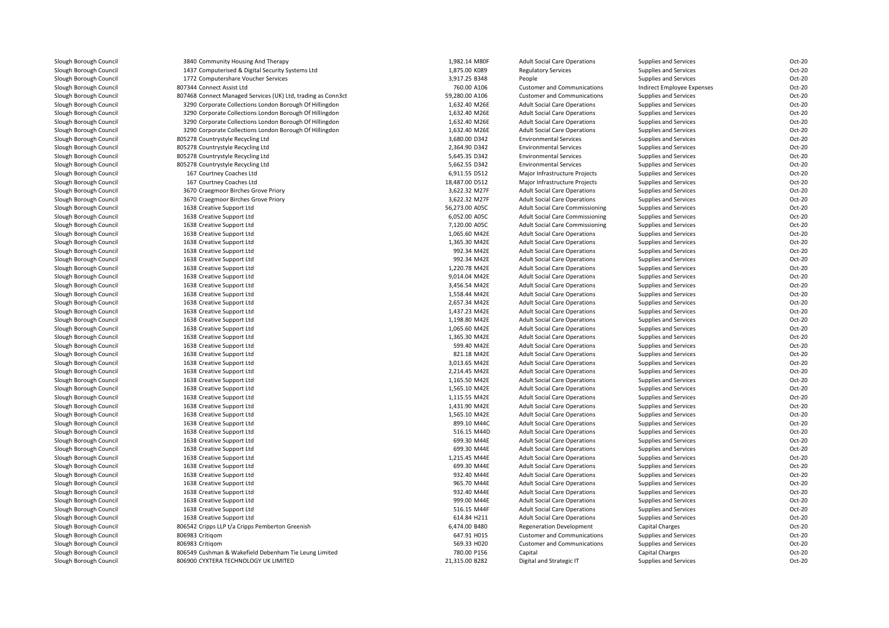| Slough Borough Council | 3840 Community Housing And Therapy                           | 1,982.14 M80F  | <b>Adult Social Care Operations</b>    | Supplies and Services      | Oct-20           |
|------------------------|--------------------------------------------------------------|----------------|----------------------------------------|----------------------------|------------------|
| Slough Borough Council | 1437 Computerised & Digital Security Systems Ltd             | 1,875.00 K089  | <b>Regulatory Services</b>             | Supplies and Services      | Oct-20           |
| Slough Borough Council | 1772 Computershare Voucher Services                          | 3,917.25 B348  | People                                 | Supplies and Services      | Oct-20           |
| Slough Borough Council | 807344 Connect Assist Ltd                                    | 760.00 A106    | <b>Customer and Communications</b>     | Indirect Employee Expenses | Oct-20           |
| Slough Borough Council | 807468 Connect Managed Services (UK) Ltd, trading as Conn3ct | 59,280.00 A106 | <b>Customer and Communications</b>     | Supplies and Services      | Oct-20           |
| Slough Borough Council | 3290 Corporate Collections London Borough Of Hillingdon      | 1,632.40 M26E  | <b>Adult Social Care Operations</b>    | Supplies and Services      | Oct-20           |
| Slough Borough Council | 3290 Corporate Collections London Borough Of Hillingdon      | 1,632.40 M26E  | <b>Adult Social Care Operations</b>    | Supplies and Services      | Oct-20           |
| Slough Borough Council | 3290 Corporate Collections London Borough Of Hillingdon      | 1,632.40 M26E  | <b>Adult Social Care Operations</b>    | Supplies and Services      | Oct-20           |
| Slough Borough Council | 3290 Corporate Collections London Borough Of Hillingdon      | 1,632.40 M26E  | <b>Adult Social Care Operations</b>    | Supplies and Services      | Oct-20           |
| Slough Borough Council | 805278 Countrystyle Recycling Ltd                            | 3,680.00 D342  | <b>Environmental Services</b>          | Supplies and Services      | Oct-20           |
| Slough Borough Council | 805278 Countrystyle Recycling Ltd                            | 2,364.90 D342  | <b>Environmental Services</b>          | Supplies and Services      | Oct-20           |
|                        |                                                              |                |                                        |                            | Oct-20           |
| Slough Borough Council | 805278 Countrystyle Recycling Ltd                            | 5,645.35 D342  | <b>Environmental Services</b>          | Supplies and Services      | Oct-20           |
| Slough Borough Council | 805278 Countrystyle Recycling Ltd                            | 5,662.55 D342  | <b>Environmental Services</b>          | Supplies and Services      |                  |
| Slough Borough Council | 167 Courtney Coaches Ltd                                     | 6,911.55 D512  | Major Infrastructure Projects          | Supplies and Services      | Oct-20           |
| Slough Borough Council | 167 Courtney Coaches Ltd                                     | 18,487.00 D512 | Major Infrastructure Projects          | Supplies and Services      | Oct-20           |
| Slough Borough Council | 3670 Craegmoor Birches Grove Priory                          | 3,622.32 M27F  | <b>Adult Social Care Operations</b>    | Supplies and Services      | Oct-20           |
| Slough Borough Council | 3670 Craegmoor Birches Grove Priory                          | 3,622.32 M27F  | <b>Adult Social Care Operations</b>    | Supplies and Services      | Oct-20           |
| Slough Borough Council | 1638 Creative Support Ltd                                    | 56,273.00 A05C | <b>Adult Social Care Commissioning</b> | Supplies and Services      | Oct-20           |
| Slough Borough Council | 1638 Creative Support Ltd                                    | 6,052.00 A05C  | <b>Adult Social Care Commissioning</b> | Supplies and Services      | Oct-20           |
| Slough Borough Council | 1638 Creative Support Ltd                                    | 7,120.00 A05C  | <b>Adult Social Care Commissioning</b> | Supplies and Services      | Oct-20           |
| Slough Borough Council | 1638 Creative Support Ltd                                    | 1,065.60 M42E  | <b>Adult Social Care Operations</b>    | Supplies and Services      | Oct-20           |
| Slough Borough Council | 1638 Creative Support Ltd                                    | 1,365.30 M42E  | <b>Adult Social Care Operations</b>    | Supplies and Services      | Oct-20           |
| Slough Borough Council | 1638 Creative Support Ltd                                    | 992.34 M42E    | <b>Adult Social Care Operations</b>    | Supplies and Services      | Oct-20           |
| Slough Borough Council | 1638 Creative Support Ltd                                    | 992.34 M42E    | <b>Adult Social Care Operations</b>    | Supplies and Services      | Oct-20           |
| Slough Borough Council | 1638 Creative Support Ltd                                    | 1,220.78 M42E  | <b>Adult Social Care Operations</b>    | Supplies and Services      | Oct-20           |
| Slough Borough Council | 1638 Creative Support Ltd                                    | 9,014.04 M42E  | <b>Adult Social Care Operations</b>    | Supplies and Services      | Oct-20           |
| Slough Borough Council | 1638 Creative Support Ltd                                    | 3,456.54 M42E  | <b>Adult Social Care Operations</b>    | Supplies and Services      | Oct-20           |
| Slough Borough Council | 1638 Creative Support Ltd                                    | 1,558.44 M42E  | <b>Adult Social Care Operations</b>    | Supplies and Services      | Oct-20           |
| Slough Borough Council | 1638 Creative Support Ltd                                    | 2,657.34 M42E  | <b>Adult Social Care Operations</b>    | Supplies and Services      | Oct-20           |
| Slough Borough Council | 1638 Creative Support Ltd                                    | 1,437.23 M42E  | <b>Adult Social Care Operations</b>    | Supplies and Services      | Oct-20           |
| Slough Borough Council | 1638 Creative Support Ltd                                    | 1,198.80 M42E  | <b>Adult Social Care Operations</b>    | Supplies and Services      | Oct-20           |
| Slough Borough Council | 1638 Creative Support Ltd                                    | 1,065.60 M42E  | <b>Adult Social Care Operations</b>    | Supplies and Services      | Oct-20           |
| Slough Borough Council | 1638 Creative Support Ltd                                    | 1,365.30 M42E  | <b>Adult Social Care Operations</b>    | Supplies and Services      | Oct-20           |
| Slough Borough Council | 1638 Creative Support Ltd                                    | 599.40 M42E    | <b>Adult Social Care Operations</b>    | Supplies and Services      | Oct-20           |
| Slough Borough Council | 1638 Creative Support Ltd                                    | 821.18 M42E    | <b>Adult Social Care Operations</b>    | Supplies and Services      | Oct-20           |
|                        |                                                              | 3,013.65 M42E  |                                        |                            | Oct-20           |
| Slough Borough Council | 1638 Creative Support Ltd                                    |                | <b>Adult Social Care Operations</b>    | Supplies and Services      |                  |
| Slough Borough Council | 1638 Creative Support Ltd                                    | 2,214.45 M42E  | <b>Adult Social Care Operations</b>    | Supplies and Services      | Oct-20<br>Oct-20 |
| Slough Borough Council | 1638 Creative Support Ltd                                    | 1,165.50 M42E  | <b>Adult Social Care Operations</b>    | Supplies and Services      |                  |
| Slough Borough Council | 1638 Creative Support Ltd                                    | 1,565.10 M42E  | <b>Adult Social Care Operations</b>    | Supplies and Services      | Oct-20           |
| Slough Borough Council | 1638 Creative Support Ltd                                    | 1,115.55 M42E  | <b>Adult Social Care Operations</b>    | Supplies and Services      | Oct-20           |
| Slough Borough Council | 1638 Creative Support Ltd                                    | 1,431.90 M42E  | <b>Adult Social Care Operations</b>    | Supplies and Services      | Oct-20           |
| Slough Borough Council | 1638 Creative Support Ltd                                    | 1,565.10 M42E  | <b>Adult Social Care Operations</b>    | Supplies and Services      | Oct-20           |
| Slough Borough Council | 1638 Creative Support Ltd                                    | 899.10 M44C    | <b>Adult Social Care Operations</b>    | Supplies and Services      | Oct-20           |
| Slough Borough Council | 1638 Creative Support Ltd                                    | 516.15 M44D    | <b>Adult Social Care Operations</b>    | Supplies and Services      | Oct-20           |
| Slough Borough Council | 1638 Creative Support Ltd                                    | 699.30 M44E    | <b>Adult Social Care Operations</b>    | Supplies and Services      | Oct-20           |
| Slough Borough Council | 1638 Creative Support Ltd                                    | 699.30 M44E    | <b>Adult Social Care Operations</b>    | Supplies and Services      | Oct-20           |
| Slough Borough Council | 1638 Creative Support Ltd                                    | 1,215.45 M44E  | <b>Adult Social Care Operations</b>    | Supplies and Services      | Oct-20           |
| Slough Borough Council | 1638 Creative Support Ltd                                    | 699.30 M44E    | <b>Adult Social Care Operations</b>    | Supplies and Services      | Oct-20           |
| Slough Borough Council | 1638 Creative Support Ltd                                    | 932.40 M44E    | <b>Adult Social Care Operations</b>    | Supplies and Services      | Oct-20           |
| Slough Borough Council | 1638 Creative Support Ltd                                    | 965.70 M44E    | <b>Adult Social Care Operations</b>    | Supplies and Services      | Oct-20           |
| Slough Borough Council | 1638 Creative Support Ltd                                    | 932.40 M44E    | <b>Adult Social Care Operations</b>    | Supplies and Services      | Oct-20           |
| Slough Borough Council | 1638 Creative Support Ltd                                    | 999.00 M44E    | <b>Adult Social Care Operations</b>    | Supplies and Services      | Oct-20           |
| Slough Borough Council | 1638 Creative Support Ltd                                    | 516.15 M44F    | <b>Adult Social Care Operations</b>    | Supplies and Services      | Oct-20           |
| Slough Borough Council | 1638 Creative Support Ltd                                    | 614.84 H211    | <b>Adult Social Care Operations</b>    | Supplies and Services      | Oct-20           |
| Slough Borough Council | 806542 Cripps LLP t/a Cripps Pemberton Greenish              | 6,474.00 B480  | <b>Regeneration Development</b>        | <b>Capital Charges</b>     | Oct-20           |
| Slough Borough Council | 806983 Critigom                                              | 647.91 H015    | <b>Customer and Communications</b>     | Supplies and Services      | Oct-20           |
| Slough Borough Council | 806983 Critigom                                              | 569.33 H020    | <b>Customer and Communications</b>     | Supplies and Services      | Oct-20           |
| Slough Borough Council | 806549 Cushman & Wakefield Debenham Tie Leung Limited        | 780.00 P156    | Capital                                | <b>Capital Charges</b>     | Oct-20           |
| Slough Borough Council | 806900 CYXTERA TECHNOLOGY UK LIMITED                         | 21,315.00 B282 | Digital and Strategic IT               | Supplies and Services      | Oct-20           |
|                        |                                                              |                |                                        |                            |                  |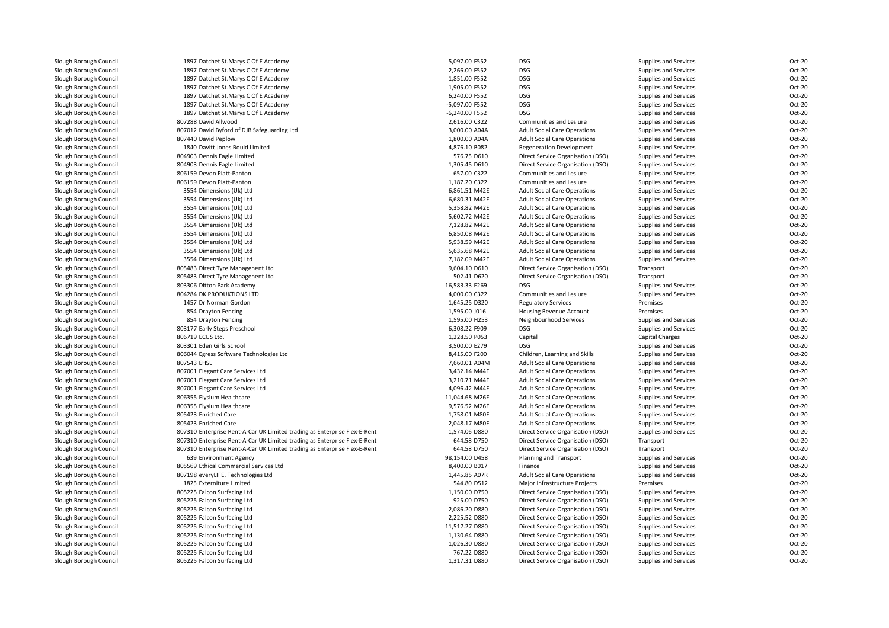| Slough Borough Council | 1897 Datchet St.Marys C Of E Academy                                      | 5,097.00 F552  | DSG                                 | Supplies and Services        | Oct-20 |
|------------------------|---------------------------------------------------------------------------|----------------|-------------------------------------|------------------------------|--------|
| Slough Borough Council | 1897 Datchet St.Marys C Of E Academy                                      | 2,266.00 F552  | <b>DSG</b>                          | Supplies and Services        | Oct-20 |
| Slough Borough Council | 1897 Datchet St.Marys C Of E Academy                                      | 1,851.00 F552  | <b>DSG</b>                          | Supplies and Services        | Oct-20 |
| Slough Borough Council | 1897 Datchet St.Marys C Of E Academy                                      | 1,905.00 F552  | <b>DSG</b>                          | Supplies and Services        | Oct-20 |
| Slough Borough Council | 1897 Datchet St.Marys C Of E Academy                                      | 6,240.00 F552  | <b>DSG</b>                          | Supplies and Services        | Oct-20 |
| Slough Borough Council | 1897 Datchet St.Marys C Of E Academy                                      | -5,097.00 F552 | <b>DSG</b>                          | Supplies and Services        | Oct-20 |
| Slough Borough Council | 1897 Datchet St.Marys C Of E Academy                                      | -6,240.00 F552 | <b>DSG</b>                          | Supplies and Services        | Oct-20 |
| Slough Borough Council | 807288 David Allwood                                                      | 2,616.00 C322  | Communities and Lesiure             | Supplies and Services        | Oct-20 |
| Slough Borough Council | 807012 David Byford of DJB Safeguarding Ltd                               | 3,000.00 A04A  | <b>Adult Social Care Operations</b> | Supplies and Services        | Oct-20 |
| Slough Borough Council | 807440 David Peplow                                                       | 1,800.00 A04A  | <b>Adult Social Care Operations</b> | Supplies and Services        | Oct-20 |
| Slough Borough Council | 1840 Davitt Jones Bould Limited                                           | 4,876.10 B082  | <b>Regeneration Development</b>     | Supplies and Services        | Oct-20 |
| Slough Borough Council | 804903 Dennis Eagle Limited                                               | 576.75 D610    | Direct Service Organisation (DSO)   | Supplies and Services        | Oct-20 |
| Slough Borough Council | 804903 Dennis Eagle Limited                                               | 1,305.45 D610  | Direct Service Organisation (DSO)   | Supplies and Services        | Oct-20 |
| Slough Borough Council | 806159 Devon Piatt-Panton                                                 | 657.00 C322    | Communities and Lesiure             | Supplies and Services        | Oct-20 |
| Slough Borough Council | 806159 Devon Piatt-Panton                                                 | 1,187.20 C322  | Communities and Lesiure             | Supplies and Services        | Oct-20 |
| Slough Borough Council | 3554 Dimensions (Uk) Ltd                                                  | 6,861.51 M42E  | <b>Adult Social Care Operations</b> | Supplies and Services        | Oct-20 |
| Slough Borough Council | 3554 Dimensions (Uk) Ltd                                                  | 6,680.31 M42E  | <b>Adult Social Care Operations</b> | Supplies and Services        | Oct-20 |
| Slough Borough Council | 3554 Dimensions (Uk) Ltd                                                  | 5,358.82 M42E  | <b>Adult Social Care Operations</b> | Supplies and Services        | Oct-20 |
| Slough Borough Council | 3554 Dimensions (Uk) Ltd                                                  | 5,602.72 M42E  | <b>Adult Social Care Operations</b> | Supplies and Services        | Oct-20 |
| Slough Borough Council | 3554 Dimensions (Uk) Ltd                                                  | 7,128.82 M42E  | <b>Adult Social Care Operations</b> | Supplies and Services        | Oct-20 |
| Slough Borough Council | 3554 Dimensions (Uk) Ltd                                                  | 6,850.08 M42E  | <b>Adult Social Care Operations</b> | Supplies and Services        | Oct-20 |
| Slough Borough Council | 3554 Dimensions (Uk) Ltd                                                  | 5,938.59 M42E  | <b>Adult Social Care Operations</b> | Supplies and Services        | Oct-20 |
| Slough Borough Council | 3554 Dimensions (Uk) Ltd                                                  | 5,635.68 M42E  | <b>Adult Social Care Operations</b> | Supplies and Services        | Oct-20 |
| Slough Borough Council | 3554 Dimensions (Uk) Ltd                                                  | 7,182.09 M42E  | <b>Adult Social Care Operations</b> | Supplies and Services        | Oct-20 |
| Slough Borough Council | 805483 Direct Tyre Managenent Ltd                                         | 9,604.10 D610  | Direct Service Organisation (DSO)   | Transport                    | Oct-20 |
| Slough Borough Council | 805483 Direct Tyre Managenent Ltd                                         | 502.41 D620    | Direct Service Organisation (DSO)   | Transport                    | Oct-20 |
| Slough Borough Council | 803306 Ditton Park Academy                                                | 16,583.33 E269 | <b>DSG</b>                          | Supplies and Services        | Oct-20 |
| Slough Borough Council | 804284 DK PRODUKTIONS LTD                                                 | 4,000.00 C322  | Communities and Lesiure             | Supplies and Services        | Oct-20 |
| Slough Borough Council | 1457 Dr Norman Gordon                                                     | 1,645.25 D320  | <b>Regulatory Services</b>          | Premises                     | Oct-20 |
| Slough Borough Council | 854 Drayton Fencing                                                       | 1,595.00 J016  | <b>Housing Revenue Account</b>      | Premises                     | Oct-20 |
| Slough Borough Council | 854 Drayton Fencing                                                       | 1,595.00 H253  | Neighbourhood Services              | Supplies and Services        | Oct-20 |
| Slough Borough Council | 803177 Early Steps Preschool                                              | 6,308.22 F909  | <b>DSG</b>                          | <b>Supplies and Services</b> | Oct-20 |
| Slough Borough Council | 806719 ECUS Ltd.                                                          | 1,228.50 P053  | Capital                             | Capital Charges              | Oct-20 |
| Slough Borough Council | 803301 Eden Girls School                                                  | 3,500.00 E279  | <b>DSG</b>                          | Supplies and Services        | Oct-20 |
| Slough Borough Council | 806044 Egress Software Technologies Ltd                                   | 8,415.00 F200  | Children, Learning and Skills       | Supplies and Services        | Oct-20 |
| Slough Borough Council | 807543 EHSL                                                               | 7,660.01 A04M  | <b>Adult Social Care Operations</b> | Supplies and Services        | Oct-20 |
| Slough Borough Council | 807001 Elegant Care Services Ltd                                          | 3,432.14 M44F  | <b>Adult Social Care Operations</b> | Supplies and Services        | Oct-20 |
| Slough Borough Council | 807001 Elegant Care Services Ltd                                          | 3,210.71 M44F  | <b>Adult Social Care Operations</b> | Supplies and Services        | Oct-20 |
| Slough Borough Council | 807001 Elegant Care Services Ltd                                          | 4,096.42 M44F  | <b>Adult Social Care Operations</b> | Supplies and Services        | Oct-20 |
| Slough Borough Council | 806355 Elysium Healthcare                                                 | 11,044.68 M26E | <b>Adult Social Care Operations</b> | Supplies and Services        | Oct-20 |
| Slough Borough Council | 806355 Elysium Healthcare                                                 | 9,576.52 M26E  | <b>Adult Social Care Operations</b> | Supplies and Services        | Oct-20 |
| Slough Borough Council | 805423 Enriched Care                                                      | 1,758.01 M80F  | <b>Adult Social Care Operations</b> | Supplies and Services        | Oct-20 |
| Slough Borough Council | 805423 Enriched Care                                                      | 2,048.17 M80F  | <b>Adult Social Care Operations</b> | Supplies and Services        | Oct-20 |
| Slough Borough Council | 807310 Enterprise Rent-A-Car UK Limited trading as Enterprise Flex-E-Rent | 1,574.06 D880  | Direct Service Organisation (DSO)   | Supplies and Services        | Oct-20 |
| Slough Borough Council | 807310 Enterprise Rent-A-Car UK Limited trading as Enterprise Flex-E-Rent | 644.58 D750    | Direct Service Organisation (DSO)   | Transport                    | Oct-20 |
| Slough Borough Council | 807310 Enterprise Rent-A-Car UK Limited trading as Enterprise Flex-E-Rent | 644.58 D750    | Direct Service Organisation (DSO)   | Transport                    | Oct-20 |
| Slough Borough Council | 639 Environment Agency                                                    | 98,154.00 D458 | Planning and Transport              | Supplies and Services        | Oct-20 |
| Slough Borough Council | 805569 Ethical Commercial Services Ltd                                    | 8,400.00 B017  | Finance                             | Supplies and Services        | Oct-20 |
| Slough Borough Council | 807198 everyLIFE. Technologies Ltd                                        | 1,445.85 A07R  | <b>Adult Social Care Operations</b> | Supplies and Services        | Oct-20 |
| Slough Borough Council | 1825 Externiture Limited                                                  | 544.80 D512    | Major Infrastructure Projects       | Premises                     | Oct-20 |
| Slough Borough Council | 805225 Falcon Surfacing Ltd                                               | 1,150.00 D750  | Direct Service Organisation (DSO)   | Supplies and Services        | Oct-20 |
| Slough Borough Council | 805225 Falcon Surfacing Ltd                                               | 925.00 D750    | Direct Service Organisation (DSO)   | Supplies and Services        | Oct-20 |
| Slough Borough Council | 805225 Falcon Surfacing Ltd                                               | 2,086.20 D880  | Direct Service Organisation (DSO)   | Supplies and Services        | Oct-20 |
| Slough Borough Council | 805225 Falcon Surfacing Ltd                                               | 2,225.52 D880  | Direct Service Organisation (DSO)   | Supplies and Services        | Oct-20 |
| Slough Borough Council | 805225 Falcon Surfacing Ltd                                               | 11,517.27 D880 | Direct Service Organisation (DSO)   | Supplies and Services        | Oct-20 |
| Slough Borough Council | 805225 Falcon Surfacing Ltd                                               | 1,130.64 D880  | Direct Service Organisation (DSO)   | Supplies and Services        | Oct-20 |
| Slough Borough Council | 805225 Falcon Surfacing Ltd                                               | 1,026.30 D880  | Direct Service Organisation (DSO)   | Supplies and Services        | Oct-20 |
| Slough Borough Council | 805225 Falcon Surfacing Ltd                                               | 767.22 D880    | Direct Service Organisation (DSO)   | Supplies and Services        | Oct-20 |
| Slough Borough Council | 805225 Falcon Surfacing Ltd                                               | 1,317.31 D880  | Direct Service Organisation (DSO)   | Supplies and Services        | Oct-20 |
|                        |                                                                           |                |                                     |                              |        |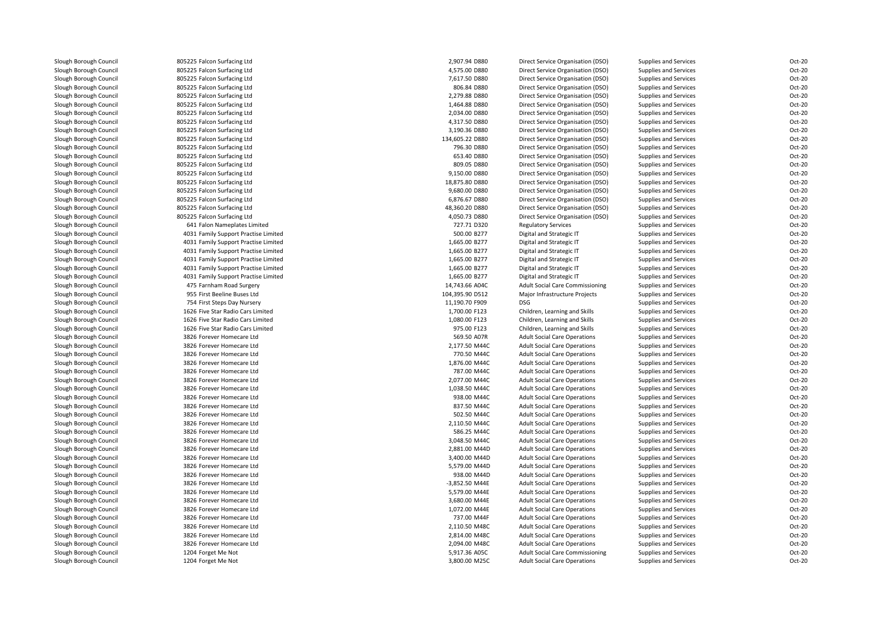| Slough Borough Council | 805225 Falcon Surfacing Ltd          | 2,907.94 D880   | Direct Service Organisation (DSO)      | Supplies and Services | Oct-20 |
|------------------------|--------------------------------------|-----------------|----------------------------------------|-----------------------|--------|
| Slough Borough Council | 805225 Falcon Surfacing Ltd          | 4,575.00 D880   | Direct Service Organisation (DSO)      | Supplies and Services | Oct-20 |
| Slough Borough Council | 805225 Falcon Surfacing Ltd          | 7,617.50 D880   | Direct Service Organisation (DSO)      | Supplies and Services | Oct-20 |
| Slough Borough Council | 805225 Falcon Surfacing Ltd          | 806.84 D880     | Direct Service Organisation (DSO)      | Supplies and Services | Oct-20 |
| Slough Borough Council | 805225 Falcon Surfacing Ltd          | 2,279.88 D880   | Direct Service Organisation (DSO)      | Supplies and Services | Oct-20 |
| Slough Borough Council | 805225 Falcon Surfacing Ltd          | 1,464.88 D880   | Direct Service Organisation (DSO)      | Supplies and Services | Oct-20 |
| Slough Borough Council | 805225 Falcon Surfacing Ltd          | 2.034.00 D880   | Direct Service Organisation (DSO)      | Supplies and Services | Oct-20 |
| Slough Borough Council | 805225 Falcon Surfacing Ltd          | 4,317.50 D880   | Direct Service Organisation (DSO)      | Supplies and Services | Oct-20 |
| Slough Borough Council | 805225 Falcon Surfacing Ltd          | 3,190.36 D880   | Direct Service Organisation (DSO)      | Supplies and Services | Oct-20 |
| Slough Borough Council | 805225 Falcon Surfacing Ltd          | 134,605.22 D880 | Direct Service Organisation (DSO)      | Supplies and Services | Oct-20 |
| Slough Borough Council | 805225 Falcon Surfacing Ltd          | 796.30 D880     | Direct Service Organisation (DSO)      | Supplies and Services | Oct-20 |
| Slough Borough Council | 805225 Falcon Surfacing Ltd          | 653.40 D880     | Direct Service Organisation (DSO)      | Supplies and Services | Oct-20 |
| Slough Borough Council | 805225 Falcon Surfacing Ltd          | 809.05 D880     | Direct Service Organisation (DSO)      | Supplies and Services | Oct-20 |
| Slough Borough Council | 805225 Falcon Surfacing Ltd          | 9,150.00 D880   | Direct Service Organisation (DSO)      | Supplies and Services | Oct-20 |
| Slough Borough Council | 805225 Falcon Surfacing Ltd          | 18,875.80 D880  | Direct Service Organisation (DSO)      | Supplies and Services | Oct-20 |
| Slough Borough Council | 805225 Falcon Surfacing Ltd          | 9,680.00 D880   | Direct Service Organisation (DSO)      | Supplies and Services | Oct-20 |
| Slough Borough Council | 805225 Falcon Surfacing Ltd          | 6,876.67 D880   | Direct Service Organisation (DSO)      | Supplies and Services | Oct-20 |
| Slough Borough Council | 805225 Falcon Surfacing Ltd          | 48,360.20 D880  | Direct Service Organisation (DSO)      | Supplies and Services | Oct-20 |
| Slough Borough Council | 805225 Falcon Surfacing Ltd          | 4,050.73 D880   | Direct Service Organisation (DSO)      | Supplies and Services | Oct-20 |
| Slough Borough Council | 641 Falon Nameplates Limited         | 727.71 D320     | <b>Regulatory Services</b>             | Supplies and Services | Oct-20 |
| Slough Borough Council | 4031 Family Support Practise Limited | 500.00 B277     | Digital and Strategic IT               | Supplies and Services | Oct-20 |
| Slough Borough Council | 4031 Family Support Practise Limited | 1,665.00 B277   | Digital and Strategic IT               | Supplies and Services | Oct-20 |
| Slough Borough Council | 4031 Family Support Practise Limited | 1,665.00 B277   | Digital and Strategic IT               | Supplies and Services | Oct-20 |
| Slough Borough Council | 4031 Family Support Practise Limited | 1,665.00 B277   | Digital and Strategic IT               | Supplies and Services | Oct-20 |
| Slough Borough Council | 4031 Family Support Practise Limited | 1,665.00 B277   | Digital and Strategic IT               | Supplies and Services | Oct-20 |
| Slough Borough Council | 4031 Family Support Practise Limited | 1,665.00 B277   | Digital and Strategic IT               | Supplies and Services | Oct-20 |
| Slough Borough Council | 475 Farnham Road Surgery             | 14,743.66 A04C  | <b>Adult Social Care Commissioning</b> | Supplies and Services | Oct-20 |
| Slough Borough Council | 955 First Beeline Buses Ltd          | 104,395.90 D512 | Major Infrastructure Projects          | Supplies and Services | Oct-20 |
| Slough Borough Council | 754 First Steps Day Nursery          | 11,190.70 F909  | <b>DSG</b>                             | Supplies and Services | Oct-20 |
| Slough Borough Council | 1626 Five Star Radio Cars Limited    | 1,700.00 F123   | Children, Learning and Skills          | Supplies and Services | Oct-20 |
| Slough Borough Council | 1626 Five Star Radio Cars Limited    | 1,080.00 F123   | Children, Learning and Skills          | Supplies and Services | Oct-20 |
| Slough Borough Council | 1626 Five Star Radio Cars Limited    | 975.00 F123     | Children, Learning and Skills          | Supplies and Services | Oct-20 |
| Slough Borough Council | 3826 Forever Homecare Ltd            | 569.50 A07R     | <b>Adult Social Care Operations</b>    | Supplies and Services | Oct-20 |
| Slough Borough Council | 3826 Forever Homecare Ltd            | 2,177.50 M44C   | <b>Adult Social Care Operations</b>    | Supplies and Services | Oct-20 |
| Slough Borough Council | 3826 Forever Homecare Ltd            | 770.50 M44C     | <b>Adult Social Care Operations</b>    | Supplies and Services | Oct-20 |
| Slough Borough Council | 3826 Forever Homecare Ltd            | 1,876.00 M44C   | <b>Adult Social Care Operations</b>    | Supplies and Services | Oct-20 |
| Slough Borough Council | 3826 Forever Homecare Ltd            | 787.00 M44C     | <b>Adult Social Care Operations</b>    | Supplies and Services | Oct-20 |
| Slough Borough Council | 3826 Forever Homecare Ltd            | 2,077.00 M44C   | <b>Adult Social Care Operations</b>    | Supplies and Services | Oct-20 |
| Slough Borough Council | 3826 Forever Homecare Ltd            | 1,038.50 M44C   | <b>Adult Social Care Operations</b>    | Supplies and Services | Oct-20 |
| Slough Borough Council | 3826 Forever Homecare Ltd            | 938.00 M44C     | <b>Adult Social Care Operations</b>    | Supplies and Services | Oct-20 |
| Slough Borough Council | 3826 Forever Homecare Ltd            | 837.50 M44C     | <b>Adult Social Care Operations</b>    | Supplies and Services | Oct-20 |
| Slough Borough Council | 3826 Forever Homecare Ltd            | 502.50 M44C     | <b>Adult Social Care Operations</b>    | Supplies and Services | Oct-20 |
| Slough Borough Council | 3826 Forever Homecare Ltd            | 2,110.50 M44C   | <b>Adult Social Care Operations</b>    | Supplies and Services | Oct-20 |
| Slough Borough Council | 3826 Forever Homecare Ltd            | 586.25 M44C     | <b>Adult Social Care Operations</b>    | Supplies and Services | Oct-20 |
| Slough Borough Council | 3826 Forever Homecare Ltd            | 3,048.50 M44C   | <b>Adult Social Care Operations</b>    | Supplies and Services | Oct-20 |
| Slough Borough Council | 3826 Forever Homecare Ltd            | 2,881.00 M44D   | <b>Adult Social Care Operations</b>    | Supplies and Services | Oct-20 |
| Slough Borough Council | 3826 Forever Homecare Ltd            | 3,400.00 M44D   | <b>Adult Social Care Operations</b>    | Supplies and Services | Oct-20 |
| Slough Borough Council | 3826 Forever Homecare Ltd            | 5,579.00 M44D   | <b>Adult Social Care Operations</b>    | Supplies and Services | Oct-20 |
| Slough Borough Council | 3826 Forever Homecare Ltd            | 938.00 M44D     | <b>Adult Social Care Operations</b>    | Supplies and Services | Oct-20 |
| Slough Borough Council | 3826 Forever Homecare Ltd            | -3,852.50 M44E  | <b>Adult Social Care Operations</b>    | Supplies and Services | Oct-20 |
| Slough Borough Council | 3826 Forever Homecare Ltd            | 5,579.00 M44E   | <b>Adult Social Care Operations</b>    | Supplies and Services | Oct-20 |
| Slough Borough Council | 3826 Forever Homecare Ltd            | 3,680.00 M44E   | <b>Adult Social Care Operations</b>    | Supplies and Services | Oct-20 |
| Slough Borough Council | 3826 Forever Homecare Ltd            | 1,072.00 M44E   | <b>Adult Social Care Operations</b>    | Supplies and Services | Oct-20 |
| Slough Borough Council | 3826 Forever Homecare Ltd            | 737.00 M44F     | <b>Adult Social Care Operations</b>    | Supplies and Services | Oct-20 |
| Slough Borough Council | 3826 Forever Homecare Ltd            | 2,110.50 M48C   | <b>Adult Social Care Operations</b>    | Supplies and Services | Oct-20 |
| Slough Borough Council | 3826 Forever Homecare Ltd            | 2,814.00 M48C   | <b>Adult Social Care Operations</b>    | Supplies and Services | Oct-20 |
| Slough Borough Council | 3826 Forever Homecare Ltd            | 2,094.00 M48C   | <b>Adult Social Care Operations</b>    | Supplies and Services | Oct-20 |
| Slough Borough Council | 1204 Forget Me Not                   | 5,917.36 A05C   | <b>Adult Social Care Commissioning</b> | Supplies and Services | Oct-20 |
| Slough Borough Council | 1204 Forget Me Not                   | 3,800.00 M25C   | <b>Adult Social Care Operations</b>    | Supplies and Services | Oct-20 |
|                        |                                      |                 |                                        |                       |        |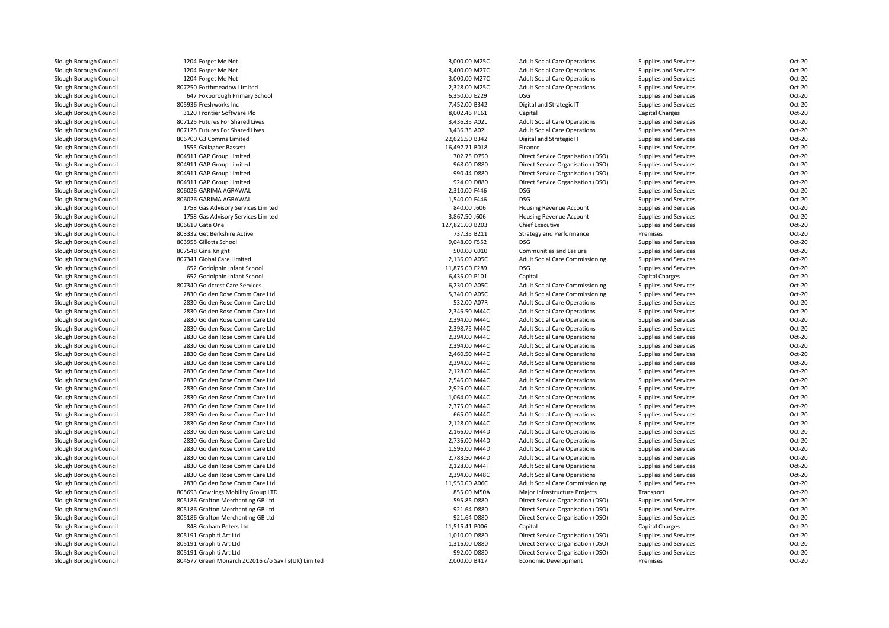| Slough Borough Council | 1204 Forget Me Not                                  | 3,000.00 M25C   | <b>Adult Social Care Operations</b>    | Supplies and Services  | Oct-20 |
|------------------------|-----------------------------------------------------|-----------------|----------------------------------------|------------------------|--------|
| Slough Borough Council | 1204 Forget Me Not                                  | 3,400.00 M27C   | <b>Adult Social Care Operations</b>    | Supplies and Services  | Oct-20 |
| Slough Borough Council | 1204 Forget Me Not                                  | 3,000.00 M27C   | <b>Adult Social Care Operations</b>    | Supplies and Services  | Oct-20 |
| Slough Borough Council | 807250 Forthmeadow Limited                          | 2,328.00 M25C   | <b>Adult Social Care Operations</b>    | Supplies and Services  | Oct-20 |
| Slough Borough Council | 647 Foxborough Primary School                       | 6,350.00 E229   | DSG                                    | Supplies and Services  | Oct-20 |
| Slough Borough Council | 805936 Freshworks Inc                               | 7,452.00 B342   | Digital and Strategic IT               | Supplies and Services  | Oct-20 |
| Slough Borough Council | 3120 Frontier Software Plc                          | 8,002.46 P161   | Capital                                | <b>Capital Charges</b> | Oct-20 |
| Slough Borough Council | 807125 Futures For Shared Lives                     | 3,436.35 A02L   | <b>Adult Social Care Operations</b>    | Supplies and Services  | Oct-20 |
| Slough Borough Council | 807125 Futures For Shared Lives                     | 3,436.35 A02L   | <b>Adult Social Care Operations</b>    | Supplies and Services  | Oct-20 |
| Slough Borough Council | 806700 G3 Comms Limited                             | 22,626.50 B342  | Digital and Strategic IT               | Supplies and Services  | Oct-20 |
| Slough Borough Council | 1555 Gallagher Bassett                              | 16,497.71 B018  | Finance                                | Supplies and Services  | Oct-20 |
| Slough Borough Council | 804911 GAP Group Limited                            | 702.75 D750     | Direct Service Organisation (DSO)      | Supplies and Services  | Oct-20 |
| Slough Borough Council | 804911 GAP Group Limited                            | 968.00 D880     | Direct Service Organisation (DSO)      | Supplies and Services  | Oct-20 |
| Slough Borough Council | 804911 GAP Group Limited                            | 990.44 D880     | Direct Service Organisation (DSO)      | Supplies and Services  | Oct-20 |
| Slough Borough Council | 804911 GAP Group Limited                            | 924.00 D880     | Direct Service Organisation (DSO)      | Supplies and Services  | Oct-20 |
| Slough Borough Council | 806026 GARIMA AGRAWAL                               | 2,310.00 F446   | DSG                                    | Supplies and Services  | Oct-20 |
| Slough Borough Council | 806026 GARIMA AGRAWAL                               | 1,540.00 F446   | DSG                                    | Supplies and Services  | Oct-20 |
| Slough Borough Council | 1758 Gas Advisory Services Limited                  | 840.00 J606     | Housing Revenue Account                | Supplies and Services  | Oct-20 |
| Slough Borough Council | 1758 Gas Advisory Services Limited                  | 3,867.50 J606   | Housing Revenue Account                | Supplies and Services  | Oct-20 |
| Slough Borough Council | 806619 Gate One                                     | 127,821.00 B203 | <b>Chief Executive</b>                 | Supplies and Services  | Oct-20 |
| Slough Borough Council | 803332 Get Berkshire Active                         | 737.35 B211     | <b>Strategy and Performance</b>        | Premises               | Oct-20 |
| Slough Borough Council | 803955 Gillotts School                              | 9,048.00 F552   | <b>DSG</b>                             | Supplies and Services  | Oct-20 |
| Slough Borough Council | 807548 Gina Knight                                  | 500.00 C010     | Communities and Lesiure                | Supplies and Services  | Oct-20 |
| Slough Borough Council | 807341 Global Care Limited                          | 2,136.00 A05C   | <b>Adult Social Care Commissioning</b> | Supplies and Services  | Oct-20 |
| Slough Borough Council | 652 Godolphin Infant School                         | 11,875.00 E289  | DSG                                    | Supplies and Services  | Oct-20 |
| Slough Borough Council | 652 Godolphin Infant School                         | 6,435.00 P101   | Capital                                | <b>Capital Charges</b> | Oct-20 |
| Slough Borough Council | 807340 Goldcrest Care Services                      | 6,230.00 A05C   | <b>Adult Social Care Commissioning</b> | Supplies and Services  | Oct-20 |
| Slough Borough Council | 2830 Golden Rose Comm Care Ltd                      | 5,340.00 A05C   | <b>Adult Social Care Commissioning</b> | Supplies and Services  | Oct-20 |
| Slough Borough Council | 2830 Golden Rose Comm Care Ltd                      | 532.00 A07R     | <b>Adult Social Care Operations</b>    | Supplies and Services  | Oct-20 |
| Slough Borough Council | 2830 Golden Rose Comm Care Ltd                      | 2,346.50 M44C   | <b>Adult Social Care Operations</b>    | Supplies and Services  | Oct-20 |
| Slough Borough Council | 2830 Golden Rose Comm Care Ltd                      | 2,394.00 M44C   | <b>Adult Social Care Operations</b>    | Supplies and Services  | Oct-20 |
| Slough Borough Council | 2830 Golden Rose Comm Care Ltd                      | 2,398.75 M44C   | <b>Adult Social Care Operations</b>    | Supplies and Services  | Oct-20 |
| Slough Borough Council | 2830 Golden Rose Comm Care Ltd                      | 2,394.00 M44C   | <b>Adult Social Care Operations</b>    | Supplies and Services  | Oct-20 |
| Slough Borough Council | 2830 Golden Rose Comm Care Ltd                      | 2,394.00 M44C   | <b>Adult Social Care Operations</b>    | Supplies and Services  | Oct-20 |
|                        | 2830 Golden Rose Comm Care Ltd                      | 2,460.50 M44C   |                                        |                        | Oct-20 |
| Slough Borough Council |                                                     |                 | <b>Adult Social Care Operations</b>    | Supplies and Services  |        |
| Slough Borough Council | 2830 Golden Rose Comm Care Ltd                      | 2,394.00 M44C   | <b>Adult Social Care Operations</b>    | Supplies and Services  | Oct-20 |
| Slough Borough Council | 2830 Golden Rose Comm Care Ltd                      | 2,128.00 M44C   | <b>Adult Social Care Operations</b>    | Supplies and Services  | Oct-20 |
| Slough Borough Council | 2830 Golden Rose Comm Care Ltd                      | 2,546.00 M44C   | <b>Adult Social Care Operations</b>    | Supplies and Services  | Oct-20 |
| Slough Borough Council | 2830 Golden Rose Comm Care Ltd                      | 2,926.00 M44C   | <b>Adult Social Care Operations</b>    | Supplies and Services  | Oct-20 |
| Slough Borough Council | 2830 Golden Rose Comm Care Ltd                      | 1,064.00 M44C   | <b>Adult Social Care Operations</b>    | Supplies and Services  | Oct-20 |
| Slough Borough Council | 2830 Golden Rose Comm Care Ltd                      | 2,375.00 M44C   | <b>Adult Social Care Operations</b>    | Supplies and Services  | Oct-20 |
| Slough Borough Council | 2830 Golden Rose Comm Care Ltd                      | 665.00 M44C     | <b>Adult Social Care Operations</b>    | Supplies and Services  | Oct-20 |
| Slough Borough Council | 2830 Golden Rose Comm Care Ltd                      | 2,128.00 M44C   | <b>Adult Social Care Operations</b>    | Supplies and Services  | Oct-20 |
| Slough Borough Council | 2830 Golden Rose Comm Care Ltd                      | 2,166.00 M44D   | <b>Adult Social Care Operations</b>    | Supplies and Services  | Oct-20 |
| Slough Borough Council | 2830 Golden Rose Comm Care Ltd                      | 2,736.00 M44D   | <b>Adult Social Care Operations</b>    | Supplies and Services  | Oct-20 |
| Slough Borough Council | 2830 Golden Rose Comm Care Ltd                      | 1,596.00 M44D   | <b>Adult Social Care Operations</b>    | Supplies and Services  | Oct-20 |
| Slough Borough Council | 2830 Golden Rose Comm Care Ltd                      | 2,783.50 M44D   | <b>Adult Social Care Operations</b>    | Supplies and Services  | Oct-20 |
| Slough Borough Council | 2830 Golden Rose Comm Care Ltd                      | 2,128.00 M44F   | <b>Adult Social Care Operations</b>    | Supplies and Services  | Oct-20 |
| Slough Borough Council | 2830 Golden Rose Comm Care Ltd                      | 2,394.00 M48C   | <b>Adult Social Care Operations</b>    | Supplies and Services  | Oct-20 |
| Slough Borough Council | 2830 Golden Rose Comm Care Ltd                      | 11,950.00 A06C  | <b>Adult Social Care Commissioning</b> | Supplies and Services  | Oct-20 |
| Slough Borough Council | 805693 Gowrings Mobility Group LTD                  | 855.00 M50A     | Major Infrastructure Projects          | Transport              | Oct-20 |
| Slough Borough Council | 805186 Grafton Merchanting GB Ltd                   | 595.85 D880     | Direct Service Organisation (DSO)      | Supplies and Services  | Oct-20 |
| Slough Borough Council | 805186 Grafton Merchanting GB Ltd                   | 921.64 D880     | Direct Service Organisation (DSO)      | Supplies and Services  | Oct-20 |
| Slough Borough Council | 805186 Grafton Merchanting GB Ltd                   | 921.64 D880     | Direct Service Organisation (DSO)      | Supplies and Services  | Oct-20 |
| Slough Borough Council | 848 Graham Peters Ltd                               | 11,515.41 P006  | Capital                                | <b>Capital Charges</b> | Oct-20 |
| Slough Borough Council | 805191 Graphiti Art Ltd                             | 1,010.00 D880   | Direct Service Organisation (DSO)      | Supplies and Services  | Oct-20 |
| Slough Borough Council | 805191 Graphiti Art Ltd                             | 1,316.00 D880   | Direct Service Organisation (DSO)      | Supplies and Services  | Oct-20 |
| Slough Borough Council | 805191 Graphiti Art Ltd                             | 992.00 D880     | Direct Service Organisation (DSO)      | Supplies and Services  | Oct-20 |
| Slough Borough Council | 804577 Green Monarch ZC2016 c/o Savills(UK) Limited | 2,000.00 B417   | Economic Development                   | Premises               | Oct-20 |
|                        |                                                     |                 |                                        |                        |        |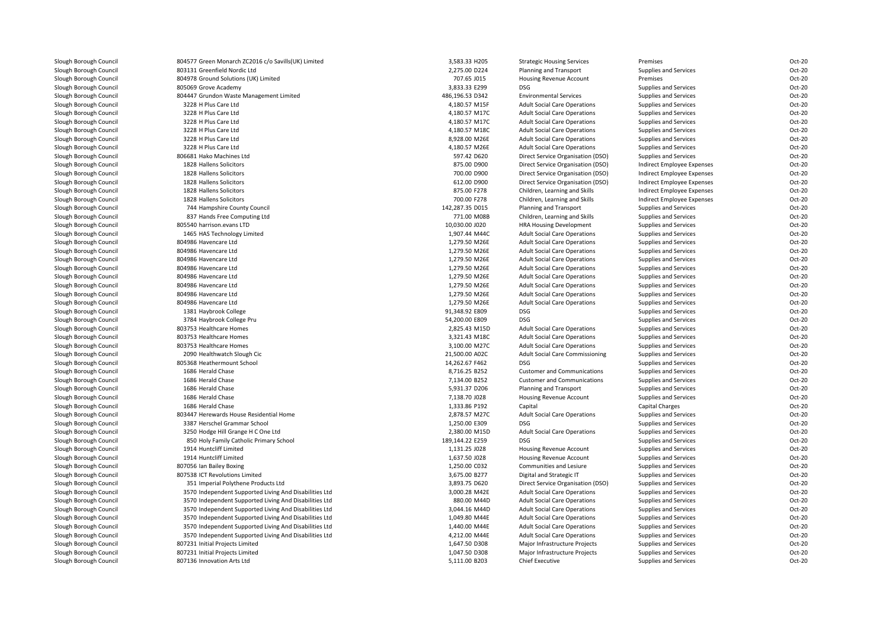| Slough Borough Council | 804577 Green Monarch ZC2016 c/o Savills(UK) Limited    | 3,583.33 H205   | <b>Strategic Housing Services</b>      | Premises                   | Oct-20 |
|------------------------|--------------------------------------------------------|-----------------|----------------------------------------|----------------------------|--------|
| Slough Borough Council | 803131 Greenfield Nordic Ltd                           | 2,275.00 D224   | Planning and Transport                 | Supplies and Services      | Oct-20 |
| Slough Borough Council | 804978 Ground Solutions (UK) Limited                   | 707.65 J015     | Housing Revenue Account                | Premises                   | Oct-20 |
| Slough Borough Council | 805069 Grove Academy                                   | 3,833.33 E299   | DSG                                    | Supplies and Services      | Oct-20 |
| Slough Borough Council | 804447 Grundon Waste Management Limited                | 486,196.53 D342 | <b>Environmental Services</b>          | Supplies and Services      | Oct-20 |
| Slough Borough Council | 3228 H Plus Care Ltd                                   | 4,180.57 M15F   | <b>Adult Social Care Operations</b>    | Supplies and Services      | Oct-20 |
| Slough Borough Council | 3228 H Plus Care Ltd                                   | 4,180.57 M17C   | <b>Adult Social Care Operations</b>    | Supplies and Services      | Oct-20 |
| Slough Borough Council | 3228 H Plus Care Ltd                                   | 4,180.57 M17C   | <b>Adult Social Care Operations</b>    | Supplies and Services      | Oct-20 |
| Slough Borough Council | 3228 H Plus Care Ltd                                   | 4,180.57 M18C   | <b>Adult Social Care Operations</b>    | Supplies and Services      | Oct-20 |
| Slough Borough Council | 3228 H Plus Care Ltd                                   | 8,928.00 M26E   | <b>Adult Social Care Operations</b>    | Supplies and Services      | Oct-20 |
| Slough Borough Council | 3228 H Plus Care Ltd                                   | 4,180.57 M26E   | <b>Adult Social Care Operations</b>    | Supplies and Services      | Oct-20 |
| Slough Borough Council | 806681 Hako Machines Ltd                               | 597.42 D620     | Direct Service Organisation (DSO)      | Supplies and Services      | Oct-20 |
| Slough Borough Council | 1828 Hallens Solicitors                                | 875.00 D900     | Direct Service Organisation (DSO)      | Indirect Employee Expenses | Oct-20 |
| Slough Borough Council | 1828 Hallens Solicitors                                | 700.00 D900     | Direct Service Organisation (DSO)      | Indirect Employee Expenses | Oct-20 |
| Slough Borough Council | 1828 Hallens Solicitors                                | 612.00 D900     | Direct Service Organisation (DSO)      | Indirect Employee Expenses | Oct-20 |
| Slough Borough Council | 1828 Hallens Solicitors                                | 875.00 F278     | Children, Learning and Skills          | Indirect Employee Expenses | Oct-20 |
|                        |                                                        |                 |                                        |                            |        |
| Slough Borough Council | 1828 Hallens Solicitors                                | 700.00 F278     | Children, Learning and Skills          | Indirect Employee Expenses | Oct-20 |
| Slough Borough Council | 744 Hampshire County Council                           | 142,287.35 D015 | Planning and Transport                 | Supplies and Services      | Oct-20 |
| Slough Borough Council | 837 Hands Free Computing Ltd                           | 771.00 M08B     | Children, Learning and Skills          | Supplies and Services      | Oct-20 |
| Slough Borough Council | 805540 harrison.evans LTD                              | 10,030.00 J020  | <b>HRA Housing Development</b>         | Supplies and Services      | Oct-20 |
| Slough Borough Council | 1465 HAS Technology Limited                            | 1,907.44 M44C   | <b>Adult Social Care Operations</b>    | Supplies and Services      | Oct-20 |
| Slough Borough Council | 804986 Havencare Ltd                                   | 1,279.50 M26E   | <b>Adult Social Care Operations</b>    | Supplies and Services      | Oct-20 |
| Slough Borough Council | 804986 Havencare Ltd                                   | 1,279.50 M26E   | <b>Adult Social Care Operations</b>    | Supplies and Services      | Oct-20 |
| Slough Borough Council | 804986 Havencare Ltd                                   | 1,279.50 M26E   | <b>Adult Social Care Operations</b>    | Supplies and Services      | Oct-20 |
| Slough Borough Council | 804986 Havencare Ltd                                   | 1,279.50 M26E   | <b>Adult Social Care Operations</b>    | Supplies and Services      | Oct-20 |
| Slough Borough Council | 804986 Havencare Ltd                                   | 1,279.50 M26E   | <b>Adult Social Care Operations</b>    | Supplies and Services      | Oct-20 |
| Slough Borough Council | 804986 Havencare Ltd                                   | 1,279.50 M26E   | <b>Adult Social Care Operations</b>    | Supplies and Services      | Oct-20 |
| Slough Borough Council | 804986 Havencare Ltd                                   | 1,279.50 M26E   | <b>Adult Social Care Operations</b>    | Supplies and Services      | Oct-20 |
| Slough Borough Council | 804986 Havencare Ltd                                   | 1,279.50 M26E   | <b>Adult Social Care Operations</b>    | Supplies and Services      | Oct-20 |
| Slough Borough Council | 1381 Haybrook College                                  | 91,348.92 E809  | <b>DSG</b>                             | Supplies and Services      | Oct-20 |
| Slough Borough Council | 3784 Haybrook College Pru                              | 54,200.00 E809  | <b>DSG</b>                             | Supplies and Services      | Oct-20 |
| Slough Borough Council | 803753 Healthcare Homes                                | 2,825.43 M15D   | <b>Adult Social Care Operations</b>    | Supplies and Services      | Oct-20 |
| Slough Borough Council | 803753 Healthcare Homes                                | 3,321.43 M18C   | <b>Adult Social Care Operations</b>    | Supplies and Services      | Oct-20 |
| Slough Borough Council | 803753 Healthcare Homes                                | 3,100.00 M27C   | <b>Adult Social Care Operations</b>    | Supplies and Services      | Oct-20 |
| Slough Borough Council | 2090 Healthwatch Slough Cic                            | 21,500.00 A02C  | <b>Adult Social Care Commissioning</b> | Supplies and Services      | Oct-20 |
| Slough Borough Council | 805368 Heathermount School                             | 14,262.67 F462  | <b>DSG</b>                             | Supplies and Services      | Oct-20 |
| Slough Borough Council | 1686 Herald Chase                                      | 8,716.25 B252   | <b>Customer and Communications</b>     | Supplies and Services      | Oct-20 |
| Slough Borough Council | 1686 Herald Chase                                      | 7,134.00 B252   | <b>Customer and Communications</b>     | Supplies and Services      | Oct-20 |
| Slough Borough Council | 1686 Herald Chase                                      | 5,931.37 D206   | Planning and Transport                 | Supplies and Services      | Oct-20 |
| Slough Borough Council | 1686 Herald Chase                                      | 7,138.70 J028   | Housing Revenue Account                | Supplies and Services      | Oct-20 |
| Slough Borough Council | 1686 Herald Chase                                      | 1,333.86 P192   | Capital                                | <b>Capital Charges</b>     | Oct-20 |
| Slough Borough Council | 803447 Herewards House Residential Home                | 2,878.57 M27C   | <b>Adult Social Care Operations</b>    | Supplies and Services      | Oct-20 |
| Slough Borough Council | 3387 Herschel Grammar School                           | 1,250.00 E309   | DSG                                    | Supplies and Services      | Oct-20 |
| Slough Borough Council | 3250 Hodge Hill Grange H C One Ltd                     | 2,380.00 M15D   | <b>Adult Social Care Operations</b>    | Supplies and Services      | Oct-20 |
| Slough Borough Council | 850 Holy Family Catholic Primary School                | 189,144.22 E259 | DSG                                    | Supplies and Services      | Oct-20 |
| Slough Borough Council | 1914 Huntcliff Limited                                 | 1,131.25 J028   | Housing Revenue Account                | Supplies and Services      | Oct-20 |
| Slough Borough Council | 1914 Huntcliff Limited                                 | 1,637.50 J028   | Housing Revenue Account                | Supplies and Services      | Oct-20 |
| Slough Borough Council | 807056 Ian Bailey Boxing                               | 1,250.00 C032   | Communities and Lesiure                | Supplies and Services      | Oct-20 |
| Slough Borough Council | 807538 ICT Revolutions Limited                         | 3,675.00 B277   | Digital and Strategic IT               | Supplies and Services      | Oct-20 |
| Slough Borough Council | 351 Imperial Polythene Products Ltd                    | 3,893.75 D620   | Direct Service Organisation (DSO)      | Supplies and Services      | Oct-20 |
| Slough Borough Council | 3570 Independent Supported Living And Disabilities Ltd | 3,000.28 M42E   | <b>Adult Social Care Operations</b>    | Supplies and Services      | Oct-20 |
| Slough Borough Council | 3570 Independent Supported Living And Disabilities Ltd | 880.00 M44D     | <b>Adult Social Care Operations</b>    | Supplies and Services      | Oct-20 |
| Slough Borough Council | 3570 Independent Supported Living And Disabilities Ltd | 3,044.16 M44D   | <b>Adult Social Care Operations</b>    | Supplies and Services      | Oct-20 |
| Slough Borough Council | 3570 Independent Supported Living And Disabilities Ltd | 1,049.80 M44E   | <b>Adult Social Care Operations</b>    | Supplies and Services      | Oct-20 |
| Slough Borough Council | 3570 Independent Supported Living And Disabilities Ltd | 1,440.00 M44E   | <b>Adult Social Care Operations</b>    | Supplies and Services      | Oct-20 |
| Slough Borough Council | 3570 Independent Supported Living And Disabilities Ltd | 4,212.00 M44E   | <b>Adult Social Care Operations</b>    | Supplies and Services      | Oct-20 |
| Slough Borough Council | 807231 Initial Projects Limited                        | 1,647.50 D308   | Major Infrastructure Projects          | Supplies and Services      | Oct-20 |
| Slough Borough Council | 807231 Initial Projects Limited                        | 1.047.50 D308   | Major Infrastructure Projects          | Supplies and Services      | Oct-20 |
| Slough Borough Council | 807136 Innovation Arts Ltd                             | 5,111.00 B203   | <b>Chief Executive</b>                 | Supplies and Services      | Oct-20 |
|                        |                                                        |                 |                                        |                            |        |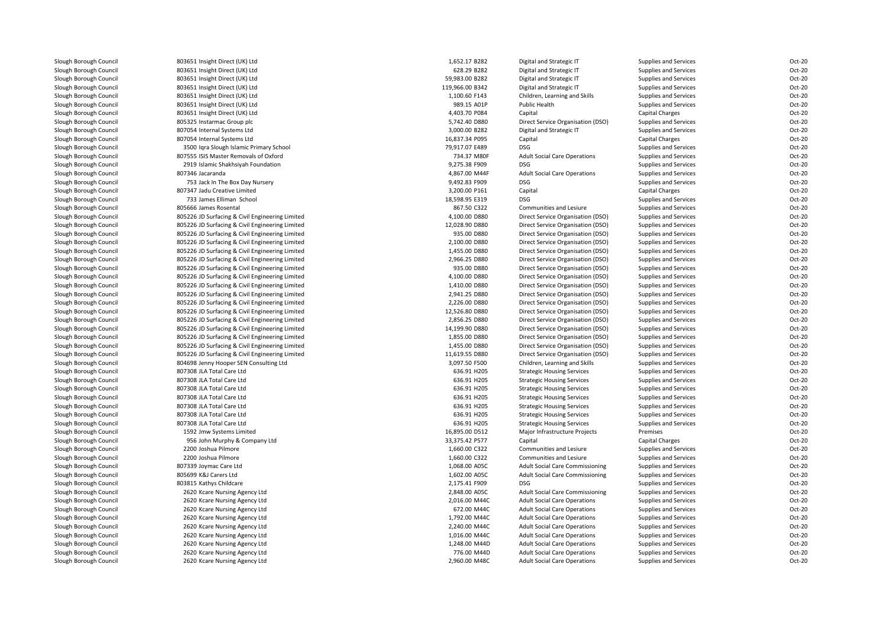| Slough Borough Council                           | 803651 Insight Direct (UK) Ltd                         | 1,652.17 B282              | Digital and Strategic IT                                               | Supplies and Services                          | Oct-20           |
|--------------------------------------------------|--------------------------------------------------------|----------------------------|------------------------------------------------------------------------|------------------------------------------------|------------------|
| Slough Borough Council                           | 803651 Insight Direct (UK) Ltd                         | 628.29 B282                | Digital and Strategic IT                                               | Supplies and Services                          | Oct-20           |
| Slough Borough Council                           | 803651 Insight Direct (UK) Ltd                         | 59,983.00 B282             | Digital and Strategic IT                                               | Supplies and Services                          | Oct-20           |
| Slough Borough Council                           | 803651 Insight Direct (UK) Ltd                         | 119,966.00 B342            | Digital and Strategic IT                                               | Supplies and Services                          | Oct-20           |
| Slough Borough Council                           | 803651 Insight Direct (UK) Ltd                         | 1,100.60 F143              | Children, Learning and Skills                                          | Supplies and Services                          | Oct-20           |
| Slough Borough Council                           | 803651 Insight Direct (UK) Ltd                         | 989.15 A01P                | Public Health                                                          | Supplies and Services                          | Oct-20           |
| Slough Borough Council                           | 803651 Insight Direct (UK) Ltd                         | 4,403.70 P084              | Capital                                                                | Capital Charges                                | Oct-20           |
| Slough Borough Council                           | 805325 Instarmac Group plc                             | 5,742.40 D880              | Direct Service Organisation (DSO)                                      | Supplies and Services                          | Oct-20           |
| Slough Borough Council                           | 807054 Internal Systems Ltd                            | 3,000.00 B282              | Digital and Strategic IT                                               | Supplies and Services                          | Oct-20           |
| Slough Borough Council                           | 807054 Internal Systems Ltd                            | 16,837.34 P095             | Capital                                                                | <b>Capital Charges</b>                         | Oct-20           |
| Slough Borough Council                           | 3500 Igra Slough Islamic Primary School                | 79,917.07 E489             | DSG                                                                    | Supplies and Services                          | Oct-20           |
| Slough Borough Council                           | 807555 ISIS Master Removals of Oxford                  | 734.37 M80F                | <b>Adult Social Care Operations</b>                                    | Supplies and Services                          | Oct-20           |
| Slough Borough Council                           | 2919 Islamic Shakhsiyah Foundation                     | 9,275.38 F909              | <b>DSG</b>                                                             | Supplies and Services                          | Oct-20           |
| Slough Borough Council                           | 807346 Jacaranda                                       | 4,867.00 M44F              | <b>Adult Social Care Operations</b>                                    | Supplies and Services                          | Oct-20           |
| Slough Borough Council                           | 753 Jack In The Box Day Nursery                        | 9,492.83 F909              | <b>DSG</b>                                                             | Supplies and Services                          | Oct-20           |
| Slough Borough Council                           | 807347 Jadu Creative Limited                           | 3,200.00 P161              | Capital                                                                | Capital Charges                                | Oct-20           |
| Slough Borough Council                           | 733 James Elliman School                               | 18,598.95 E319             | DSG                                                                    | Supplies and Services                          | Oct-20           |
| Slough Borough Council                           | 805666 James Rosental                                  | 867.50 C322                | Communities and Lesiure                                                | Supplies and Services                          | Oct-20           |
| Slough Borough Council                           | 805226 JD Surfacing & Civil Engineering Limited        | 4,100.00 D880              | Direct Service Organisation (DSO)                                      | Supplies and Services                          | Oct-20           |
| Slough Borough Council                           | 805226 JD Surfacing & Civil Engineering Limited        | 12,028.90 D880             | Direct Service Organisation (DSO)                                      | Supplies and Services                          | Oct-20           |
| Slough Borough Council                           | 805226 JD Surfacing & Civil Engineering Limited        | 935.00 D880                | Direct Service Organisation (DSO)                                      | Supplies and Services                          | Oct-20           |
| Slough Borough Council                           | 805226 JD Surfacing & Civil Engineering Limited        | 2,100.00 D880              | Direct Service Organisation (DSO)                                      | Supplies and Services                          | Oct-20           |
| Slough Borough Council                           | 805226 JD Surfacing & Civil Engineering Limited        | 1,455.00 D880              | Direct Service Organisation (DSO)                                      | Supplies and Services                          | Oct-20           |
| Slough Borough Council                           | 805226 JD Surfacing & Civil Engineering Limited        | 2,966.25 D880              | Direct Service Organisation (DSO)                                      | Supplies and Services                          | Oct-20           |
| Slough Borough Council                           | 805226 JD Surfacing & Civil Engineering Limited        | 935.00 D880                | Direct Service Organisation (DSO)                                      | Supplies and Services                          | Oct-20           |
| Slough Borough Council                           | 805226 JD Surfacing & Civil Engineering Limited        | 4,100.00 D880              | Direct Service Organisation (DSO)                                      | Supplies and Services                          | Oct-20           |
| Slough Borough Council                           | 805226 JD Surfacing & Civil Engineering Limited        | 1,410.00 D880              | Direct Service Organisation (DSO)                                      | Supplies and Services                          | Oct-20           |
| Slough Borough Council                           | 805226 JD Surfacing & Civil Engineering Limited        | 2,941.25 D880              | Direct Service Organisation (DSO)                                      | Supplies and Services                          | Oct-20           |
| Slough Borough Council                           | 805226 JD Surfacing & Civil Engineering Limited        | 2,226.00 D880              | Direct Service Organisation (DSO)                                      | Supplies and Services                          | Oct-20           |
| Slough Borough Council                           | 805226 JD Surfacing & Civil Engineering Limited        | 12,526.80 D880             | Direct Service Organisation (DSO)                                      | Supplies and Services                          | Oct-20           |
| Slough Borough Council                           | 805226 JD Surfacing & Civil Engineering Limited        | 2,856.25 D880              | Direct Service Organisation (DSO)                                      | Supplies and Services                          | Oct-20           |
| Slough Borough Council                           | 805226 JD Surfacing & Civil Engineering Limited        | 14,199.90 D880             | Direct Service Organisation (DSO)                                      | Supplies and Services                          | Oct-20           |
| Slough Borough Council                           | 805226 JD Surfacing & Civil Engineering Limited        | 1,855.00 D880              | Direct Service Organisation (DSO)                                      | Supplies and Services                          | Oct-20           |
| Slough Borough Council                           | 805226 JD Surfacing & Civil Engineering Limited        | 1,455.00 D880              | Direct Service Organisation (DSO)                                      | Supplies and Services                          | Oct-20           |
| Slough Borough Council                           | 805226 JD Surfacing & Civil Engineering Limited        | 11,619.55 D880             | Direct Service Organisation (DSO)                                      | Supplies and Services                          | Oct-20           |
| Slough Borough Council                           | 804698 Jenny Hooper SEN Consulting Ltd                 | 3,097.50 F500              | Children, Learning and Skills                                          | Supplies and Services                          | Oct-20           |
|                                                  | 807308 JLA Total Care Ltd                              | 636.91 H205                |                                                                        |                                                | Oct-20           |
| Slough Borough Council<br>Slough Borough Council | 807308 JLA Total Care Ltd                              | 636.91 H205                | <b>Strategic Housing Services</b><br><b>Strategic Housing Services</b> | Supplies and Services<br>Supplies and Services | Oct-20           |
|                                                  |                                                        |                            |                                                                        |                                                | Oct-20           |
| Slough Borough Council<br>Slough Borough Council | 807308 JLA Total Care Ltd<br>807308 JLA Total Care Ltd | 636.91 H205<br>636.91 H205 | <b>Strategic Housing Services</b>                                      | Supplies and Services                          | Oct-20           |
|                                                  |                                                        |                            | <b>Strategic Housing Services</b>                                      | Supplies and Services                          |                  |
| Slough Borough Council                           | 807308 JLA Total Care Ltd                              | 636.91 H205                | <b>Strategic Housing Services</b>                                      | Supplies and Services                          | Oct-20<br>Oct-20 |
| Slough Borough Council                           | 807308 JLA Total Care Ltd                              | 636.91 H205                | <b>Strategic Housing Services</b>                                      | Supplies and Services                          | Oct-20           |
| Slough Borough Council                           | 807308 JLA Total Care Ltd                              | 636.91 H205                | <b>Strategic Housing Services</b>                                      | Supplies and Services                          |                  |
| Slough Borough Council                           | 1592 Jmw Systems Limited                               | 16,895.00 D512             | Major Infrastructure Projects                                          | Premises                                       | Oct-20           |
| Slough Borough Council                           | 956 John Murphy & Company Ltd                          | 33,375.42 P577             | Capital                                                                | Capital Charges                                | Oct-20           |
| Slough Borough Council                           | 2200 Joshua Pilmore                                    | 1,660.00 C322              | Communities and Lesiure                                                | Supplies and Services                          | Oct-20           |
| Slough Borough Council                           | 2200 Joshua Pilmore                                    | 1,660.00 C322              | Communities and Lesiure                                                | Supplies and Services                          | Oct-20           |
| Slough Borough Council                           | 807339 Joymac Care Ltd                                 | 1,068.00 A05C              | <b>Adult Social Care Commissioning</b>                                 | Supplies and Services                          | Oct-20           |
| Slough Borough Council                           | 805699 K&J Carers Ltd                                  | 1,602.00 A05C              | <b>Adult Social Care Commissioning</b>                                 | Supplies and Services                          | Oct-20           |
| Slough Borough Council                           | 803815 Kathys Childcare                                | 2,175.41 F909              | <b>DSG</b>                                                             | Supplies and Services                          | Oct-20           |
| Slough Borough Council                           | 2620 Kcare Nursing Agency Ltd                          | 2,848.00 A05C              | <b>Adult Social Care Commissioning</b>                                 | Supplies and Services                          | Oct-20           |
| Slough Borough Council                           | 2620 Kcare Nursing Agency Ltd                          | 2,016.00 M44C              | <b>Adult Social Care Operations</b>                                    | Supplies and Services                          | Oct-20           |
| Slough Borough Council                           | 2620 Kcare Nursing Agency Ltd                          | 672.00 M44C                | <b>Adult Social Care Operations</b>                                    | Supplies and Services                          | Oct-20           |
| Slough Borough Council                           | 2620 Kcare Nursing Agency Ltd                          | 1,792.00 M44C              | <b>Adult Social Care Operations</b>                                    | Supplies and Services                          | Oct-20           |
| Slough Borough Council                           | 2620 Kcare Nursing Agency Ltd                          | 2,240.00 M44C              | <b>Adult Social Care Operations</b>                                    | Supplies and Services                          | Oct-20           |
| Slough Borough Council                           | 2620 Kcare Nursing Agency Ltd                          | 1,016.00 M44C              | <b>Adult Social Care Operations</b>                                    | Supplies and Services                          | Oct-20           |
| Slough Borough Council                           | 2620 Kcare Nursing Agency Ltd                          | 1,248.00 M44D              | <b>Adult Social Care Operations</b>                                    | Supplies and Services                          | Oct-20           |
| Slough Borough Council                           | 2620 Kcare Nursing Agency Ltd                          | 776.00 M44D                | <b>Adult Social Care Operations</b>                                    | Supplies and Services                          | Oct-20           |
| Slough Borough Council                           | 2620 Kcare Nursing Agency Ltd                          | 2,960.00 M48C              | <b>Adult Social Care Operations</b>                                    | Supplies and Services                          | Oct-20           |
|                                                  |                                                        |                            |                                                                        |                                                |                  |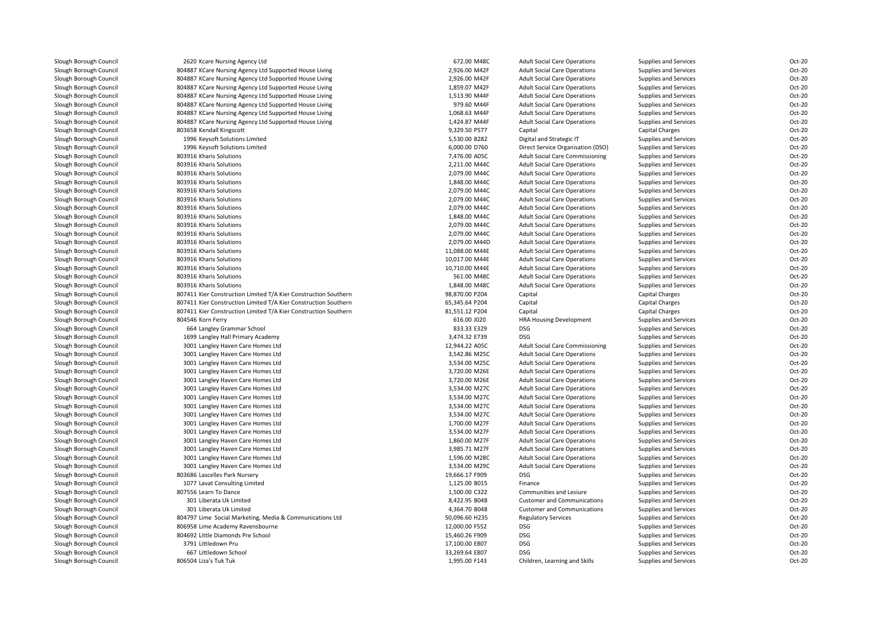| Slough Borough Council                           | 2620 Kcare Nursing Agency Ltd                                   | 672.00 M48C                      | <b>Adult Social Care Operations</b>                                        | Supplies and Services                          | Oct-20 |
|--------------------------------------------------|-----------------------------------------------------------------|----------------------------------|----------------------------------------------------------------------------|------------------------------------------------|--------|
| Slough Borough Council                           | 804887 KCare Nursing Agency Ltd Supported House Living          | 2,926.00 M42F                    | <b>Adult Social Care Operations</b>                                        | Supplies and Services                          | Oct-20 |
| Slough Borough Council                           | 804887 KCare Nursing Agency Ltd Supported House Living          | 2,926.00 M42F                    | <b>Adult Social Care Operations</b>                                        | Supplies and Services                          | Oct-20 |
| Slough Borough Council                           | 804887 KCare Nursing Agency Ltd Supported House Living          | 1,859.07 M42F                    | <b>Adult Social Care Operations</b>                                        | Supplies and Services                          | Oct-20 |
| Slough Borough Council                           | 804887 KCare Nursing Agency Ltd Supported House Living          | 1,513.90 M44F                    | <b>Adult Social Care Operations</b>                                        | Supplies and Services                          | Oct-20 |
| Slough Borough Council                           | 804887 KCare Nursing Agency Ltd Supported House Living          | 979.60 M44F                      | <b>Adult Social Care Operations</b>                                        | Supplies and Services                          | Oct-20 |
| Slough Borough Council                           | 804887 KCare Nursing Agency Ltd Supported House Living          | 1,068.63 M44F                    | <b>Adult Social Care Operations</b>                                        | Supplies and Services                          | Oct-20 |
| Slough Borough Council                           | 804887 KCare Nursing Agency Ltd Supported House Living          | 1,424.87 M44F                    | <b>Adult Social Care Operations</b>                                        | Supplies and Services                          | Oct-20 |
| Slough Borough Council                           | 803658 Kendall Kingscott                                        | 9,329.50 P577                    | Capital                                                                    | Capital Charges                                | Oct-20 |
| Slough Borough Council                           | 1996 Keysoft Solutions Limited                                  | 5,530.00 B282                    | Digital and Strategic IT                                                   | Supplies and Services                          | Oct-20 |
| Slough Borough Council                           | 1996 Keysoft Solutions Limited                                  | 6,000.00 D760                    | Direct Service Organisation (DSO)                                          | Supplies and Services                          | Oct-20 |
| Slough Borough Council                           | 803916 Kharis Solutions                                         | 7,476.00 A05C                    | <b>Adult Social Care Commissioning</b>                                     | Supplies and Services                          | Oct-20 |
| Slough Borough Council                           | 803916 Kharis Solutions                                         | 2,211.00 M44C                    | <b>Adult Social Care Operations</b>                                        | Supplies and Services                          | Oct-20 |
| Slough Borough Council                           | 803916 Kharis Solutions                                         | 2,079.00 M44C                    | <b>Adult Social Care Operations</b>                                        | Supplies and Services                          | Oct-20 |
| Slough Borough Council                           | 803916 Kharis Solutions                                         | 1,848.00 M44C                    | <b>Adult Social Care Operations</b>                                        | Supplies and Services                          | Oct-20 |
| Slough Borough Council                           | 803916 Kharis Solutions                                         | 2,079.00 M44C                    | <b>Adult Social Care Operations</b>                                        | Supplies and Services                          | Oct-20 |
| Slough Borough Council                           | 803916 Kharis Solutions                                         | 2,079.00 M44C                    | <b>Adult Social Care Operations</b>                                        | Supplies and Services                          | Oct-20 |
| Slough Borough Council                           | 803916 Kharis Solutions                                         | 2,079.00 M44C                    | <b>Adult Social Care Operations</b>                                        | Supplies and Services                          | Oct-20 |
| Slough Borough Council                           | 803916 Kharis Solutions                                         | 1,848.00 M44C                    | <b>Adult Social Care Operations</b>                                        | Supplies and Services                          | Oct-20 |
| Slough Borough Council                           | 803916 Kharis Solutions                                         | 2,079.00 M44C                    | <b>Adult Social Care Operations</b>                                        | Supplies and Services                          | Oct-20 |
| Slough Borough Council                           | 803916 Kharis Solutions                                         | 2,079.00 M44C                    | <b>Adult Social Care Operations</b>                                        | Supplies and Services                          | Oct-20 |
|                                                  | 803916 Kharis Solutions                                         | 2,079.00 M44D                    |                                                                            |                                                | Oct-20 |
| Slough Borough Council                           | 803916 Kharis Solutions                                         | 11,088.00 M44E                   | <b>Adult Social Care Operations</b>                                        | Supplies and Services                          | Oct-20 |
| Slough Borough Council                           |                                                                 |                                  | <b>Adult Social Care Operations</b>                                        | Supplies and Services                          | Oct-20 |
| Slough Borough Council                           | 803916 Kharis Solutions<br>803916 Kharis Solutions              | 10,017.00 M44E<br>10,710.00 M44E | <b>Adult Social Care Operations</b><br><b>Adult Social Care Operations</b> | Supplies and Services<br>Supplies and Services | Oct-20 |
| Slough Borough Council<br>Slough Borough Council |                                                                 | 561.00 M48C                      |                                                                            |                                                | Oct-20 |
|                                                  | 803916 Kharis Solutions                                         |                                  | <b>Adult Social Care Operations</b>                                        | Supplies and Services                          | Oct-20 |
| Slough Borough Council                           | 803916 Kharis Solutions                                         | 1,848.00 M48C                    | <b>Adult Social Care Operations</b>                                        | Supplies and Services                          | Oct-20 |
| Slough Borough Council                           | 807411 Kier Construction Limited T/A Kier Construction Southern | 98,870.00 P204                   | Capital                                                                    | <b>Capital Charges</b>                         |        |
| Slough Borough Council                           | 807411 Kier Construction Limited T/A Kier Construction Southern | 65,345.64 P204                   | Capital                                                                    | <b>Capital Charges</b>                         | Oct-20 |
| Slough Borough Council                           | 807411 Kier Construction Limited T/A Kier Construction Southern | 81,551.12 P204                   | Capital                                                                    | <b>Capital Charges</b>                         | Oct-20 |
| Slough Borough Council                           | 804546 Korn Ferry                                               | 616.00 J020                      | HRA Housing Development                                                    | Supplies and Services                          | Oct-20 |
| Slough Borough Council                           | 664 Langley Grammar School                                      | 833.33 E329                      | <b>DSG</b>                                                                 | Supplies and Services                          | Oct-20 |
| Slough Borough Council                           | 1699 Langley Hall Primary Academy                               | 3,474.32 E739                    | <b>DSG</b>                                                                 | Supplies and Services                          | Oct-20 |
| Slough Borough Council                           | 3001 Langley Haven Care Homes Ltd                               | 12,944.22 A05C                   | <b>Adult Social Care Commissioning</b>                                     | Supplies and Services                          | Oct-20 |
| Slough Borough Council                           | 3001 Langley Haven Care Homes Ltd                               | 3,542.86 M25C                    | <b>Adult Social Care Operations</b>                                        | Supplies and Services                          | Oct-20 |
| Slough Borough Council                           | 3001 Langley Haven Care Homes Ltd                               | 3,534.00 M25C                    | <b>Adult Social Care Operations</b>                                        | Supplies and Services                          | Oct-20 |
| Slough Borough Council                           | 3001 Langley Haven Care Homes Ltd                               | 3,720.00 M26E                    | <b>Adult Social Care Operations</b>                                        | Supplies and Services                          | Oct-20 |
| Slough Borough Council                           | 3001 Langley Haven Care Homes Ltd                               | 3,720.00 M26E                    | <b>Adult Social Care Operations</b>                                        | Supplies and Services                          | Oct-20 |
| Slough Borough Council                           | 3001 Langley Haven Care Homes Ltd                               | 3,534.00 M27C                    | <b>Adult Social Care Operations</b>                                        | Supplies and Services                          | Oct-20 |
| Slough Borough Council                           | 3001 Langley Haven Care Homes Ltd                               | 3,534.00 M27C                    | <b>Adult Social Care Operations</b>                                        | Supplies and Services                          | Oct-20 |
| Slough Borough Council                           | 3001 Langley Haven Care Homes Ltd                               | 3,534.00 M27C                    | <b>Adult Social Care Operations</b>                                        | Supplies and Services                          | Oct-20 |
| Slough Borough Council                           | 3001 Langley Haven Care Homes Ltd                               | 3,534.00 M27C                    | <b>Adult Social Care Operations</b>                                        | Supplies and Services                          | Oct-20 |
| Slough Borough Council                           | 3001 Langley Haven Care Homes Ltd                               | 1,700.00 M27F                    | <b>Adult Social Care Operations</b>                                        | Supplies and Services                          | Oct-20 |
| Slough Borough Council                           | 3001 Langley Haven Care Homes Ltd                               | 3,534.00 M27F                    | <b>Adult Social Care Operations</b>                                        | Supplies and Services                          | Oct-20 |
| Slough Borough Council                           | 3001 Langley Haven Care Homes Ltd                               | 1,860.00 M27F                    | <b>Adult Social Care Operations</b>                                        | Supplies and Services                          | Oct-20 |
| Slough Borough Council                           | 3001 Langley Haven Care Homes Ltd                               | 3,985.71 M27F                    | <b>Adult Social Care Operations</b>                                        | Supplies and Services                          | Oct-20 |
| Slough Borough Council                           | 3001 Langley Haven Care Homes Ltd                               | 1,596.00 M28C                    | <b>Adult Social Care Operations</b>                                        | Supplies and Services                          | Oct-20 |
| Slough Borough Council                           | 3001 Langley Haven Care Homes Ltd                               | 3,534.00 M29C                    | <b>Adult Social Care Operations</b>                                        | Supplies and Services                          | Oct-20 |
| Slough Borough Council                           | 803686 Lascelles Park Nursery                                   | 19,666.17 F909                   | DSG                                                                        | Supplies and Services                          | Oct-20 |
| Slough Borough Council                           | 1077 Lavat Consulting Limited                                   | 1,125.00 B015                    | Finance                                                                    | Supplies and Services                          | Oct-20 |
| Slough Borough Council                           | 807556 Learn To Dance                                           | 1,500.00 C322                    | Communities and Lesiure                                                    | Supplies and Services                          | Oct-20 |
| Slough Borough Council                           | 301 Liberata Uk Limited                                         | 8,422.95 B048                    | <b>Customer and Communications</b>                                         | Supplies and Services                          | Oct-20 |
| Slough Borough Council                           | 301 Liberata Uk Limited                                         | 4,364.70 B048                    | <b>Customer and Communications</b>                                         | Supplies and Services                          | Oct-20 |
| Slough Borough Council                           | 804797 Lime Social Marketing, Media & Communications Ltd        | 50,096.60 H235                   | <b>Regulatory Services</b>                                                 | Supplies and Services                          | Oct-20 |
| Slough Borough Council                           | 806958 Lime Academy Ravensbourne                                | 12,000.00 F552                   | <b>DSG</b>                                                                 | Supplies and Services                          | Oct-20 |
| Slough Borough Council                           | 804692 Little Diamonds Pre School                               | 15,460.26 F909                   | DSG                                                                        | Supplies and Services                          | Oct-20 |
| Slough Borough Council                           | 3791 Littledown Pru                                             | 17,100.00 E807                   | <b>DSG</b>                                                                 | Supplies and Services                          | Oct-20 |
| Slough Borough Council                           | 667 Littledown School                                           | 33,269.64 E807                   | <b>DSG</b>                                                                 | Supplies and Services                          | Oct-20 |
| Slough Borough Council                           | 806504 Liza's Tuk Tuk                                           | 1,995.00 F143                    | Children, Learning and Skills                                              | Supplies and Services                          | Oct-20 |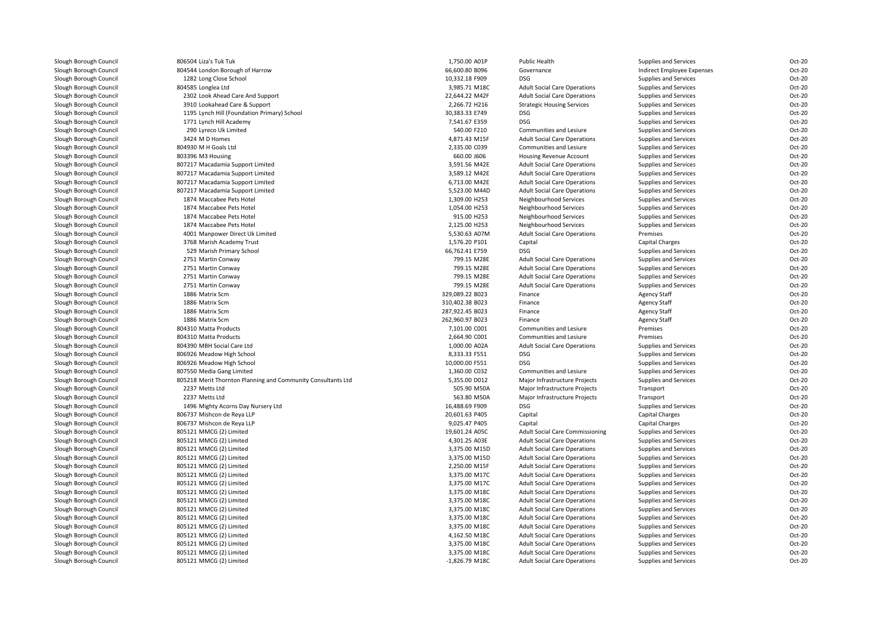| Slough Borough Council | 806504 Liza's Tuk Tuk                                        | 1,750.00 A01P    | Public Health                          | Supplies and Services      | Oct-20           |
|------------------------|--------------------------------------------------------------|------------------|----------------------------------------|----------------------------|------------------|
| Slough Borough Council | 804544 London Borough of Harrow                              | 66,600.80 B096   | Governance                             | Indirect Employee Expenses | Oct-20           |
| Slough Borough Council | 1282 Long Close School                                       | 10,332.18 F909   | <b>DSG</b>                             | Supplies and Services      | Oct-20           |
| Slough Borough Council | 804585 Longlea Ltd                                           | 3,985.71 M18C    | <b>Adult Social Care Operations</b>    | Supplies and Services      | Oct-20           |
| Slough Borough Council | 2302 Look Ahead Care And Support                             | 22,644.22 M42F   | <b>Adult Social Care Operations</b>    | Supplies and Services      | Oct-20           |
| Slough Borough Council | 3910 Lookahead Care & Support                                | 2,266.72 H216    | <b>Strategic Housing Services</b>      | Supplies and Services      | Oct-20           |
| Slough Borough Council | 1195 Lynch Hill (Foundation Primary) School                  | 30,383.33 E749   | <b>DSG</b>                             | Supplies and Services      | Oct-20           |
| Slough Borough Council | 1771 Lynch Hill Academy                                      | 7,541.67 E359    | <b>DSG</b>                             | Supplies and Services      | Oct-20           |
| Slough Borough Council | 290 Lyreco Uk Limited                                        | 540.00 F210      | Communities and Lesiure                | Supplies and Services      | Oct-20           |
| Slough Borough Council | 3424 M D Homes                                               | 4,871.43 M15F    | <b>Adult Social Care Operations</b>    | Supplies and Services      | Oct-20           |
| Slough Borough Council | 804930 M H Goals Ltd                                         | 2,335.00 C039    | Communities and Lesiure                | Supplies and Services      | Oct-20           |
| Slough Borough Council | 803396 M3 Housing                                            | 660.00 J606      | Housing Revenue Account                | Supplies and Services      | Oct-20           |
| Slough Borough Council | 807217 Macadamia Support Limited                             | 3,591.56 M42E    | <b>Adult Social Care Operations</b>    | Supplies and Services      | Oct-20           |
| Slough Borough Council | 807217 Macadamia Support Limited                             | 3,589.12 M42E    | <b>Adult Social Care Operations</b>    | Supplies and Services      | Oct-20           |
| Slough Borough Council | 807217 Macadamia Support Limited                             | 6,713.00 M42E    | <b>Adult Social Care Operations</b>    | Supplies and Services      | Oct-20           |
| Slough Borough Council | 807217 Macadamia Support Limited                             | 5,523.00 M44D    | <b>Adult Social Care Operations</b>    | Supplies and Services      | Oct-20           |
| Slough Borough Council | 1874 Maccabee Pets Hotel                                     | 1,309.00 H253    | Neighbourhood Services                 | Supplies and Services      | Oct-20           |
| Slough Borough Council | 1874 Maccabee Pets Hotel                                     | 1,054.00 H253    | Neighbourhood Services                 | Supplies and Services      | Oct-20           |
| Slough Borough Council | 1874 Maccabee Pets Hotel                                     | 915.00 H253      | Neighbourhood Services                 | Supplies and Services      | Oct-20           |
| Slough Borough Council | 1874 Maccabee Pets Hotel                                     | 2,125.00 H253    | Neighbourhood Services                 | Supplies and Services      | Oct-20           |
| Slough Borough Council | 4001 Manpower Direct Uk Limited                              | 5,530.63 A07M    | <b>Adult Social Care Operations</b>    | Premises                   | Oct-20           |
| Slough Borough Council | 3768 Marish Academy Trust                                    | 1,576.20 P101    | Capital                                | Capital Charges            | Oct-20           |
| Slough Borough Council | 529 Marish Primary School                                    | 66,762.41 E759   | <b>DSG</b>                             | Supplies and Services      | Oct-20           |
| Slough Borough Council | 2751 Martin Conway                                           | 799.15 M28E      | <b>Adult Social Care Operations</b>    | Supplies and Services      | Oct-20           |
| Slough Borough Council | 2751 Martin Conway                                           | 799.15 M28E      | <b>Adult Social Care Operations</b>    | Supplies and Services      | Oct-20           |
| Slough Borough Council | 2751 Martin Conway                                           | 799.15 M28E      | <b>Adult Social Care Operations</b>    | Supplies and Services      | Oct-20           |
| Slough Borough Council | 2751 Martin Conway                                           | 799.15 M28E      | <b>Adult Social Care Operations</b>    | Supplies and Services      | Oct-20           |
| Slough Borough Council | 1886 Matrix Scm                                              | 329,089.22 B023  | Finance                                | <b>Agency Staff</b>        | Oct-20           |
| Slough Borough Council | 1886 Matrix Scm                                              | 310,402.38 B023  | Finance                                | <b>Agency Staff</b>        | Oct-20           |
| Slough Borough Council | 1886 Matrix Scm                                              | 287,922.45 B023  | Finance                                | <b>Agency Staff</b>        | Oct-20           |
| Slough Borough Council | 1886 Matrix Scm                                              | 262,960.97 B023  | Finance                                | <b>Agency Staff</b>        | Oct-20           |
| Slough Borough Council |                                                              |                  |                                        |                            | Oct-20           |
|                        | 804310 Matta Products                                        | 7,101.00 C001    | Communities and Lesiure                | Premises                   |                  |
| Slough Borough Council | 804310 Matta Products                                        | 2,664.90 C001    | Communities and Lesiure                | Premises                   | Oct-20<br>Oct-20 |
| Slough Borough Council | 804390 MBH Social Care Ltd                                   | 1,000.00 A02A    | <b>Adult Social Care Operations</b>    | Supplies and Services      |                  |
| Slough Borough Council | 806926 Meadow High School                                    | 8,333.33 F551    | <b>DSG</b>                             | Supplies and Services      | Oct-20           |
| Slough Borough Council | 806926 Meadow High School                                    | 10,000.00 F551   | <b>DSG</b>                             | Supplies and Services      | Oct-20           |
| Slough Borough Council | 807550 Media Gang Limited                                    | 1,360.00 C032    | Communities and Lesiure                | Supplies and Services      | Oct-20           |
| Slough Borough Council | 805218 Merit Thornton Planning and Community Consultants Ltd | 5,355.00 D012    | Major Infrastructure Projects          | Supplies and Services      | Oct-20           |
| Slough Borough Council | 2237 Metts Ltd                                               | 505.90 M50A      | Major Infrastructure Projects          | Transport                  | Oct-20           |
| Slough Borough Council | 2237 Metts Ltd                                               | 563.80 M50A      | Major Infrastructure Projects          | Transport                  | Oct-20           |
| Slough Borough Council | 1496 Mighty Acorns Day Nursery Ltd                           | 16,488.69 F909   | DSG                                    | Supplies and Services      | Oct-20           |
| Slough Borough Council | 806737 Mishcon de Reya LLP                                   | 20,601.63 P405   | Capital                                | Capital Charges            | Oct-20           |
| Slough Borough Council | 806737 Mishcon de Reya LLP                                   | 9,025.47 P405    | Capital                                | Capital Charges            | Oct-20           |
| Slough Borough Council | 805121 MMCG (2) Limited                                      | 19,601.24 A05C   | <b>Adult Social Care Commissioning</b> | Supplies and Services      | Oct-20           |
| Slough Borough Council | 805121 MMCG (2) Limited                                      | 4,301.25 A03E    | <b>Adult Social Care Operations</b>    | Supplies and Services      | Oct-20           |
| Slough Borough Council | 805121 MMCG (2) Limited                                      | 3,375.00 M15D    | <b>Adult Social Care Operations</b>    | Supplies and Services      | Oct-20           |
| Slough Borough Council | 805121 MMCG (2) Limited                                      | 3,375.00 M15D    | <b>Adult Social Care Operations</b>    | Supplies and Services      | Oct-20           |
| Slough Borough Council | 805121 MMCG (2) Limited                                      | 2,250.00 M15F    | <b>Adult Social Care Operations</b>    | Supplies and Services      | Oct-20           |
| Slough Borough Council | 805121 MMCG (2) Limited                                      | 3,375.00 M17C    | <b>Adult Social Care Operations</b>    | Supplies and Services      | Oct-20           |
| Slough Borough Council | 805121 MMCG (2) Limited                                      | 3,375.00 M17C    | <b>Adult Social Care Operations</b>    | Supplies and Services      | Oct-20           |
| Slough Borough Council | 805121 MMCG (2) Limited                                      | 3,375.00 M18C    | <b>Adult Social Care Operations</b>    | Supplies and Services      | Oct-20           |
| Slough Borough Council | 805121 MMCG (2) Limited                                      | 3,375.00 M18C    | <b>Adult Social Care Operations</b>    | Supplies and Services      | Oct-20           |
| Slough Borough Council | 805121 MMCG (2) Limited                                      | 3,375.00 M18C    | <b>Adult Social Care Operations</b>    | Supplies and Services      | Oct-20           |
| Slough Borough Council | 805121 MMCG (2) Limited                                      | 3,375.00 M18C    | <b>Adult Social Care Operations</b>    | Supplies and Services      | Oct-20           |
| Slough Borough Council | 805121 MMCG (2) Limited                                      | 3,375.00 M18C    | <b>Adult Social Care Operations</b>    | Supplies and Services      | Oct-20           |
| Slough Borough Council | 805121 MMCG (2) Limited                                      | 4,162.50 M18C    | <b>Adult Social Care Operations</b>    | Supplies and Services      | Oct-20           |
| Slough Borough Council | 805121 MMCG (2) Limited                                      | 3,375.00 M18C    | <b>Adult Social Care Operations</b>    | Supplies and Services      | Oct-20           |
| Slough Borough Council | 805121 MMCG (2) Limited                                      | 3,375.00 M18C    | <b>Adult Social Care Operations</b>    | Supplies and Services      | Oct-20           |
| Slough Borough Council | 805121 MMCG (2) Limited                                      | $-1,826.79$ M18C | <b>Adult Social Care Operations</b>    | Supplies and Services      | Oct-20           |
|                        |                                                              |                  |                                        |                            |                  |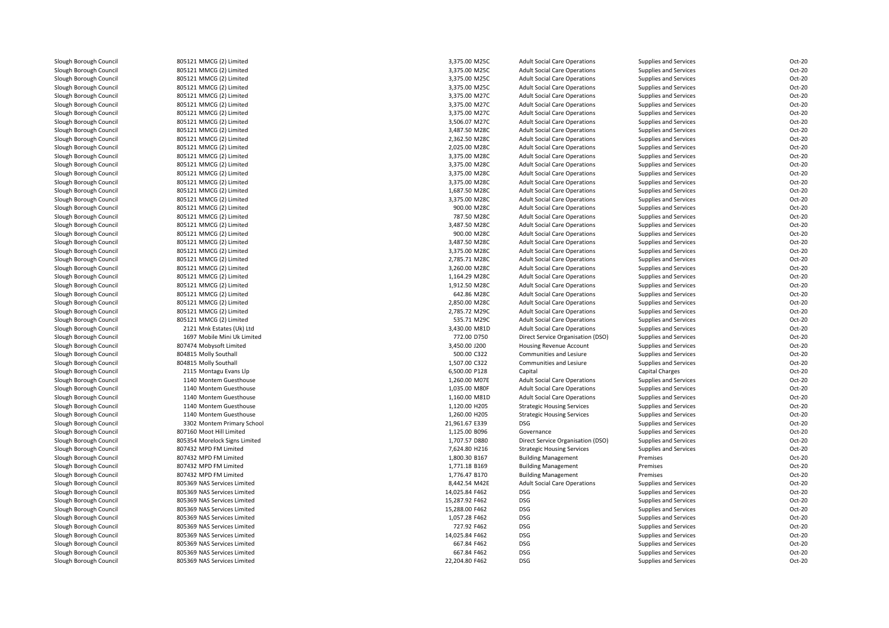| Slough Borough Council                           | 805121 MMCG (2) Limited                                | 3,375.00 M25C                  | <b>Adult Social Care Operations</b>                                        | Supplies and Services             | Oct-20           |
|--------------------------------------------------|--------------------------------------------------------|--------------------------------|----------------------------------------------------------------------------|-----------------------------------|------------------|
| Slough Borough Council                           | 805121 MMCG (2) Limited                                | 3,375.00 M25C                  | <b>Adult Social Care Operations</b>                                        | Supplies and Services             | Oct-20           |
| Slough Borough Council                           | 805121 MMCG (2) Limited                                | 3,375.00 M25C                  | <b>Adult Social Care Operations</b>                                        | Supplies and Services             | Oct-20           |
| Slough Borough Council                           | 805121 MMCG (2) Limited                                | 3,375.00 M25C                  | <b>Adult Social Care Operations</b>                                        | Supplies and Services             | Oct-20           |
| Slough Borough Council                           | 805121 MMCG (2) Limited                                | 3,375.00 M27C                  | <b>Adult Social Care Operations</b>                                        | Supplies and Services             | Oct-20           |
| Slough Borough Council                           | 805121 MMCG (2) Limited                                | 3,375.00 M27C                  | <b>Adult Social Care Operations</b>                                        | Supplies and Services             | Oct-20           |
| Slough Borough Council                           | 805121 MMCG (2) Limited                                | 3,375.00 M27C                  | <b>Adult Social Care Operations</b>                                        | Supplies and Services             | Oct-20           |
| Slough Borough Council                           | 805121 MMCG (2) Limited                                | 3,506.07 M27C                  | <b>Adult Social Care Operations</b>                                        | Supplies and Services             | Oct-20           |
| Slough Borough Council                           | 805121 MMCG (2) Limited                                | 3,487.50 M28C                  | <b>Adult Social Care Operations</b>                                        | Supplies and Services             | Oct-20           |
| Slough Borough Council                           | 805121 MMCG (2) Limited                                | 2,362.50 M28C                  | <b>Adult Social Care Operations</b>                                        | Supplies and Services             | Oct-20           |
| Slough Borough Council                           | 805121 MMCG (2) Limited                                | 2,025.00 M28C                  | <b>Adult Social Care Operations</b>                                        | Supplies and Services             | Oct-20           |
| Slough Borough Council                           | 805121 MMCG (2) Limited                                | 3,375.00 M28C                  | <b>Adult Social Care Operations</b>                                        | Supplies and Services             | Oct-20           |
| Slough Borough Council                           | 805121 MMCG (2) Limited                                | 3,375.00 M28C                  | <b>Adult Social Care Operations</b>                                        | Supplies and Services             | Oct-20           |
| Slough Borough Council                           | 805121 MMCG (2) Limited                                | 3,375.00 M28C                  | <b>Adult Social Care Operations</b>                                        | Supplies and Services             | Oct-20           |
| Slough Borough Council                           | 805121 MMCG (2) Limited                                | 3,375.00 M28C                  | <b>Adult Social Care Operations</b>                                        | Supplies and Services             | Oct-20           |
| Slough Borough Council                           | 805121 MMCG (2) Limited                                | 1,687.50 M28C                  | <b>Adult Social Care Operations</b>                                        | Supplies and Services             | Oct-20           |
| Slough Borough Council                           | 805121 MMCG (2) Limited                                | 3,375.00 M28C                  | <b>Adult Social Care Operations</b>                                        | Supplies and Services             | Oct-20           |
| Slough Borough Council                           | 805121 MMCG (2) Limited                                | 900.00 M28C                    | <b>Adult Social Care Operations</b>                                        | Supplies and Services             | Oct-20           |
| Slough Borough Council                           | 805121 MMCG (2) Limited                                | 787.50 M28C                    | <b>Adult Social Care Operations</b>                                        | Supplies and Services             | Oct-20           |
| Slough Borough Council                           | 805121 MMCG (2) Limited                                | 3,487.50 M28C                  | <b>Adult Social Care Operations</b>                                        | Supplies and Services             | Oct-20           |
| Slough Borough Council                           | 805121 MMCG (2) Limited                                | 900.00 M28C                    | <b>Adult Social Care Operations</b>                                        | Supplies and Services             | Oct-20           |
| Slough Borough Council                           | 805121 MMCG (2) Limited                                | 3,487.50 M28C                  | <b>Adult Social Care Operations</b>                                        | Supplies and Services             | Oct-20           |
| Slough Borough Council                           | 805121 MMCG (2) Limited                                | 3,375.00 M28C                  | <b>Adult Social Care Operations</b>                                        | Supplies and Services             | Oct-20           |
| Slough Borough Council                           | 805121 MMCG (2) Limited                                | 2,785.71 M28C                  | <b>Adult Social Care Operations</b>                                        | Supplies and Services             | Oct-20           |
| Slough Borough Council                           | 805121 MMCG (2) Limited                                | 3,260.00 M28C                  | <b>Adult Social Care Operations</b>                                        | Supplies and Services             | Oct-20           |
| Slough Borough Council                           | 805121 MMCG (2) Limited                                | 1,164.29 M28C                  | <b>Adult Social Care Operations</b>                                        | Supplies and Services             | Oct-20           |
| Slough Borough Council                           | 805121 MMCG (2) Limited                                | 1,912.50 M28C                  | <b>Adult Social Care Operations</b>                                        | Supplies and Services             | Oct-20           |
| Slough Borough Council                           | 805121 MMCG (2) Limited                                | 642.86 M28C                    | <b>Adult Social Care Operations</b>                                        | Supplies and Services             | Oct-20           |
| Slough Borough Council                           | 805121 MMCG (2) Limited                                | 2,850.00 M28C                  | <b>Adult Social Care Operations</b>                                        | Supplies and Services             | Oct-20           |
| Slough Borough Council                           | 805121 MMCG (2) Limited                                | 2,785.72 M29C                  | <b>Adult Social Care Operations</b>                                        | Supplies and Services             | Oct-20           |
| Slough Borough Council                           | 805121 MMCG (2) Limited                                | 535.71 M29C                    | <b>Adult Social Care Operations</b>                                        | Supplies and Services             | Oct-20           |
| Slough Borough Council                           | 2121 Mnk Estates (Uk) Ltd                              | 3,430.00 M81D                  | <b>Adult Social Care Operations</b>                                        | Supplies and Services             | Oct-20           |
| Slough Borough Council                           | 1697 Mobile Mini Uk Limited                            | 772.00 D750                    | Direct Service Organisation (DSO)                                          | Supplies and Services             | Oct-20           |
| Slough Borough Council                           | 807474 Mobysoft Limited                                | 3,450.00 J200                  | Housing Revenue Account                                                    | Supplies and Services             | Oct-20           |
| Slough Borough Council                           | 804815 Molly Southall                                  | 500.00 C322                    | Communities and Lesiure                                                    | Supplies and Services             | Oct-20           |
| Slough Borough Council                           | 804815 Molly Southall                                  | 1,507.00 C322                  | Communities and Lesiure                                                    | Supplies and Services             | Oct-20           |
|                                                  |                                                        |                                |                                                                            |                                   |                  |
| Slough Borough Council                           | 2115 Montagu Evans Llp<br>1140 Montem Guesthouse       | 6,500.00 P128<br>1,260.00 M07E | Capital                                                                    | <b>Capital Charges</b>            | Oct-20<br>Oct-20 |
| Slough Borough Council                           | 1140 Montem Guesthouse                                 | 1,035.00 M80F                  | <b>Adult Social Care Operations</b>                                        | Supplies and Services             | Oct-20           |
| Slough Borough Council                           | 1140 Montem Guesthouse                                 | 1,160.00 M81D                  | <b>Adult Social Care Operations</b><br><b>Adult Social Care Operations</b> | Supplies and Services             | Oct-20           |
| Slough Borough Council                           |                                                        | 1,120.00 H205                  |                                                                            | Supplies and Services             | Oct-20           |
| Slough Borough Council<br>Slough Borough Council | 1140 Montem Guesthouse<br>1140 Montem Guesthouse       | 1,260.00 H205                  | <b>Strategic Housing Services</b>                                          | Supplies and Services             | Oct-20           |
|                                                  |                                                        |                                | <b>Strategic Housing Services</b><br><b>DSG</b>                            | Supplies and Services             | Oct-20           |
| Slough Borough Council                           | 3302 Montem Primary School                             | 21,961.67 E339                 |                                                                            | Supplies and Services             |                  |
| Slough Borough Council                           | 807160 Moot Hill Limited                               | 1,125.00 B096<br>1,707.57 D880 | Governance                                                                 | Supplies and Services             | Oct-20<br>Oct-20 |
| Slough Borough Council<br>Slough Borough Council | 805354 Morelock Signs Limited<br>807432 MPD FM Limited |                                | Direct Service Organisation (DSO)                                          | Supplies and Services             | Oct-20           |
| Slough Borough Council                           | 807432 MPD FM Limited                                  | 7,624.80 H216<br>1,800.30 B167 | <b>Strategic Housing Services</b><br><b>Building Management</b>            | Supplies and Services<br>Premises | Oct-20           |
| Slough Borough Council                           | 807432 MPD FM Limited                                  | 1,771.18 B169                  | <b>Building Management</b>                                                 | Premises                          | Oct-20           |
| Slough Borough Council                           | 807432 MPD FM Limited                                  | 1,776.47 B170                  | <b>Building Management</b>                                                 | Premises                          | Oct-20           |
| Slough Borough Council                           | 805369 NAS Services Limited                            | 8,442.54 M42E                  | <b>Adult Social Care Operations</b>                                        | Supplies and Services             | Oct-20           |
| Slough Borough Council                           |                                                        | 14,025.84 F462                 | <b>DSG</b>                                                                 |                                   | Oct-20           |
|                                                  | 805369 NAS Services Limited                            |                                |                                                                            | Supplies and Services             |                  |
| Slough Borough Council                           | 805369 NAS Services Limited                            | 15,287.92 F462                 | <b>DSG</b>                                                                 | Supplies and Services             | Oct-20           |
| Slough Borough Council                           | 805369 NAS Services Limited                            | 15,288.00 F462                 | <b>DSG</b><br><b>DSG</b>                                                   | Supplies and Services             | Oct-20           |
| Slough Borough Council                           | 805369 NAS Services Limited                            | 1,057.28 F462                  | <b>DSG</b>                                                                 | Supplies and Services             | Oct-20           |
| Slough Borough Council                           | 805369 NAS Services Limited                            | 727.92 F462                    |                                                                            | Supplies and Services             | Oct-20           |
| Slough Borough Council                           | 805369 NAS Services Limited                            | 14,025.84 F462                 | <b>DSG</b>                                                                 | Supplies and Services             | Oct-20           |
| Slough Borough Council                           | 805369 NAS Services Limited                            | 667.84 F462                    | <b>DSG</b><br><b>DSG</b>                                                   | Supplies and Services             | Oct-20           |
| Slough Borough Council                           | 805369 NAS Services Limited                            | 667.84 F462                    |                                                                            | Supplies and Services             | Oct-20           |
| Slough Borough Council                           | 805369 NAS Services Limited                            | 22,204.80 F462                 | <b>DSG</b>                                                                 | Supplies and Services             | Oct-20           |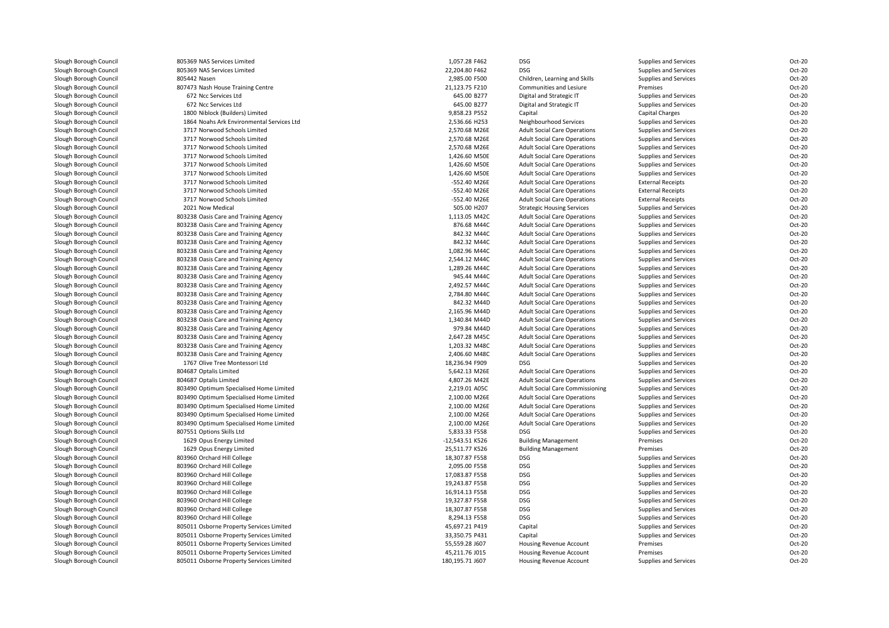| Slough Borough Council                           | 805369 NAS Services Limited                                                    | 1,057.28 F462   | <b>DSG</b>                                                                 | Supplies and Services                          | Oct-20 |
|--------------------------------------------------|--------------------------------------------------------------------------------|-----------------|----------------------------------------------------------------------------|------------------------------------------------|--------|
| Slough Borough Council                           | 805369 NAS Services Limited                                                    | 22,204.80 F462  | <b>DSG</b>                                                                 | Supplies and Services                          | Oct-20 |
| Slough Borough Council                           | 805442 Nasen                                                                   | 2,985.00 F500   | Children, Learning and Skills                                              | Supplies and Services                          | Oct-20 |
| Slough Borough Council                           | 807473 Nash House Training Centre                                              | 21,123.75 F210  | Communities and Lesiure                                                    | Premises                                       | Oct-20 |
| Slough Borough Council                           | 672 Ncc Services Ltd                                                           | 645.00 B277     | Digital and Strategic IT                                                   | Supplies and Services                          | Oct-20 |
| Slough Borough Council                           | 672 Ncc Services Ltd                                                           | 645.00 B277     | Digital and Strategic IT                                                   | Supplies and Services                          | Oct-20 |
| Slough Borough Council                           | 1800 Niblock (Builders) Limited                                                | 9,858.23 P552   | Capital                                                                    | <b>Capital Charges</b>                         | Oct-20 |
| Slough Borough Council                           | 1864 Noahs Ark Environmental Services Ltd                                      | 2,536.66 H253   | Neighbourhood Services                                                     | Supplies and Services                          | Oct-20 |
| Slough Borough Council                           | 3717 Norwood Schools Limited                                                   | 2,570.68 M26E   | <b>Adult Social Care Operations</b>                                        | Supplies and Services                          | Oct-20 |
| Slough Borough Council                           | 3717 Norwood Schools Limited                                                   | 2,570.68 M26E   | <b>Adult Social Care Operations</b>                                        |                                                | Oct-20 |
|                                                  | 3717 Norwood Schools Limited                                                   | 2,570.68 M26E   |                                                                            | Supplies and Services                          | Oct-20 |
| Slough Borough Council                           | 3717 Norwood Schools Limited                                                   | 1,426.60 M50E   | <b>Adult Social Care Operations</b>                                        | Supplies and Services                          | Oct-20 |
| Slough Borough Council                           | 3717 Norwood Schools Limited                                                   | 1,426.60 M50E   | <b>Adult Social Care Operations</b>                                        | Supplies and Services                          | Oct-20 |
| Slough Borough Council<br>Slough Borough Council | 3717 Norwood Schools Limited                                                   | 1,426.60 M50E   | <b>Adult Social Care Operations</b><br><b>Adult Social Care Operations</b> | Supplies and Services<br>Supplies and Services | Oct-20 |
| Slough Borough Council                           | 3717 Norwood Schools Limited                                                   | -552.40 M26E    | <b>Adult Social Care Operations</b>                                        | <b>External Receipts</b>                       | Oct-20 |
| Slough Borough Council                           | 3717 Norwood Schools Limited                                                   | -552.40 M26E    | <b>Adult Social Care Operations</b>                                        | <b>External Receipts</b>                       | Oct-20 |
| Slough Borough Council                           | 3717 Norwood Schools Limited                                                   | -552.40 M26E    | <b>Adult Social Care Operations</b>                                        | <b>External Receipts</b>                       | Oct-20 |
| Slough Borough Council                           | 2021 Now Medical                                                               | 505.00 H207     | <b>Strategic Housing Services</b>                                          | Supplies and Services                          | Oct-20 |
| Slough Borough Council                           | 803238 Oasis Care and Training Agency                                          | 1,113.05 M42C   | <b>Adult Social Care Operations</b>                                        | Supplies and Services                          | Oct-20 |
| Slough Borough Council                           | 803238 Oasis Care and Training Agency                                          | 876.68 M44C     | <b>Adult Social Care Operations</b>                                        | Supplies and Services                          | Oct-20 |
| Slough Borough Council                           | 803238 Oasis Care and Training Agency                                          | 842.32 M44C     | <b>Adult Social Care Operations</b>                                        | Supplies and Services                          | Oct-20 |
| Slough Borough Council                           |                                                                                | 842.32 M44C     |                                                                            |                                                | Oct-20 |
| Slough Borough Council                           | 803238 Oasis Care and Training Agency<br>803238 Oasis Care and Training Agency | 1,082.96 M44C   | <b>Adult Social Care Operations</b><br><b>Adult Social Care Operations</b> | Supplies and Services<br>Supplies and Services | Oct-20 |
| Slough Borough Council                           | 803238 Oasis Care and Training Agency                                          | 2,544.12 M44C   | <b>Adult Social Care Operations</b>                                        | Supplies and Services                          | Oct-20 |
| Slough Borough Council                           | 803238 Oasis Care and Training Agency                                          | 1,289.26 M44C   | <b>Adult Social Care Operations</b>                                        | Supplies and Services                          | Oct-20 |
| Slough Borough Council                           | 803238 Oasis Care and Training Agency                                          | 945.44 M44C     | <b>Adult Social Care Operations</b>                                        | Supplies and Services                          | Oct-20 |
| Slough Borough Council                           | 803238 Oasis Care and Training Agency                                          | 2,492.57 M44C   | <b>Adult Social Care Operations</b>                                        | Supplies and Services                          | Oct-20 |
| Slough Borough Council                           | 803238 Oasis Care and Training Agency                                          | 2,784.80 M44C   | <b>Adult Social Care Operations</b>                                        | Supplies and Services                          | Oct-20 |
| Slough Borough Council                           | 803238 Oasis Care and Training Agency                                          | 842.32 M44D     | <b>Adult Social Care Operations</b>                                        | Supplies and Services                          | Oct-20 |
| Slough Borough Council                           | 803238 Oasis Care and Training Agency                                          | 2,165.96 M44D   | <b>Adult Social Care Operations</b>                                        | Supplies and Services                          | Oct-20 |
| Slough Borough Council                           | 803238 Oasis Care and Training Agency                                          | 1,340.84 M44D   | <b>Adult Social Care Operations</b>                                        | Supplies and Services                          | Oct-20 |
| Slough Borough Council                           | 803238 Oasis Care and Training Agency                                          | 979.84 M44D     | <b>Adult Social Care Operations</b>                                        | Supplies and Services                          | Oct-20 |
| Slough Borough Council                           | 803238 Oasis Care and Training Agency                                          | 2,647.28 M45C   | <b>Adult Social Care Operations</b>                                        | Supplies and Services                          | Oct-20 |
| Slough Borough Council                           | 803238 Oasis Care and Training Agency                                          | 1,203.32 M48C   | <b>Adult Social Care Operations</b>                                        | Supplies and Services                          | Oct-20 |
| Slough Borough Council                           | 803238 Oasis Care and Training Agency                                          | 2,406.60 M48C   | <b>Adult Social Care Operations</b>                                        | Supplies and Services                          | Oct-20 |
| Slough Borough Council                           | 1767 Olive Tree Montessori Ltd                                                 | 18,236.94 F909  | <b>DSG</b>                                                                 | Supplies and Services                          | Oct-20 |
| Slough Borough Council                           | 804687 Optalis Limited                                                         | 5,642.13 M26E   | <b>Adult Social Care Operations</b>                                        | Supplies and Services                          | Oct-20 |
| Slough Borough Council                           | 804687 Optalis Limited                                                         | 4,807.26 M42E   | <b>Adult Social Care Operations</b>                                        | Supplies and Services                          | Oct-20 |
| Slough Borough Council                           | 803490 Optimum Specialised Home Limited                                        | 2,219.01 A05C   | <b>Adult Social Care Commissioning</b>                                     | Supplies and Services                          | Oct-20 |
| Slough Borough Council                           | 803490 Optimum Specialised Home Limited                                        | 2,100.00 M26E   | <b>Adult Social Care Operations</b>                                        |                                                | Oct-20 |
| Slough Borough Council                           | 803490 Optimum Specialised Home Limited                                        | 2,100.00 M26E   | <b>Adult Social Care Operations</b>                                        | Supplies and Services<br>Supplies and Services | Oct-20 |
| Slough Borough Council                           | 803490 Optimum Specialised Home Limited                                        | 2,100.00 M26E   | <b>Adult Social Care Operations</b>                                        | Supplies and Services                          | Oct-20 |
| Slough Borough Council                           | 803490 Optimum Specialised Home Limited                                        | 2,100.00 M26E   | <b>Adult Social Care Operations</b>                                        | Supplies and Services                          | Oct-20 |
| Slough Borough Council                           | 807551 Options Skills Ltd                                                      | 5,833.33 F558   | DSG                                                                        | Supplies and Services                          | Oct-20 |
| Slough Borough Council                           | 1629 Opus Energy Limited                                                       | -12,543.51 K526 | <b>Building Management</b>                                                 | Premises                                       | Oct-20 |
| Slough Borough Council                           | 1629 Opus Energy Limited                                                       | 25,511.77 K526  | <b>Building Management</b>                                                 | Premises                                       | Oct-20 |
| Slough Borough Council                           | 803960 Orchard Hill College                                                    | 18,307.87 F558  | <b>DSG</b>                                                                 | Supplies and Services                          | Oct-20 |
| Slough Borough Council                           | 803960 Orchard Hill College                                                    | 2,095.00 F558   | <b>DSG</b>                                                                 | Supplies and Services                          | Oct-20 |
| Slough Borough Council                           | 803960 Orchard Hill College                                                    | 17,083.87 F558  | <b>DSG</b>                                                                 | Supplies and Services                          | Oct-20 |
| Slough Borough Council                           | 803960 Orchard Hill College                                                    | 19,243.87 F558  | <b>DSG</b>                                                                 | Supplies and Services                          | Oct-20 |
| Slough Borough Council                           | 803960 Orchard Hill College                                                    | 16,914.13 F558  | <b>DSG</b>                                                                 | Supplies and Services                          | Oct-20 |
| Slough Borough Council                           | 803960 Orchard Hill College                                                    | 19,327.87 F558  | DSG                                                                        | Supplies and Services                          | Oct-20 |
| Slough Borough Council                           | 803960 Orchard Hill College                                                    | 18,307.87 F558  | <b>DSG</b>                                                                 | Supplies and Services                          | Oct-20 |
| Slough Borough Council                           | 803960 Orchard Hill College                                                    | 8,294.13 F558   | DSG                                                                        | Supplies and Services                          | Oct-20 |
| Slough Borough Council                           | 805011 Osborne Property Services Limited                                       | 45,697.21 P419  | Capital                                                                    | Supplies and Services                          | Oct-20 |
| Slough Borough Council                           | 805011 Osborne Property Services Limited                                       | 33,350.75 P431  | Capital                                                                    | Supplies and Services                          | Oct-20 |
| Slough Borough Council                           | 805011 Osborne Property Services Limited                                       | 55,559.28 J607  | Housing Revenue Account                                                    | Premises                                       | Oct-20 |
| Slough Borough Council                           | 805011 Osborne Property Services Limited                                       | 45,211.76 J015  | Housing Revenue Account                                                    | Premises                                       | Oct-20 |
| Slough Borough Council                           | 805011 Osborne Property Services Limited                                       | 180,195.71 J607 | Housing Revenue Account                                                    | Supplies and Services                          | Oct-20 |
|                                                  |                                                                                |                 |                                                                            |                                                |        |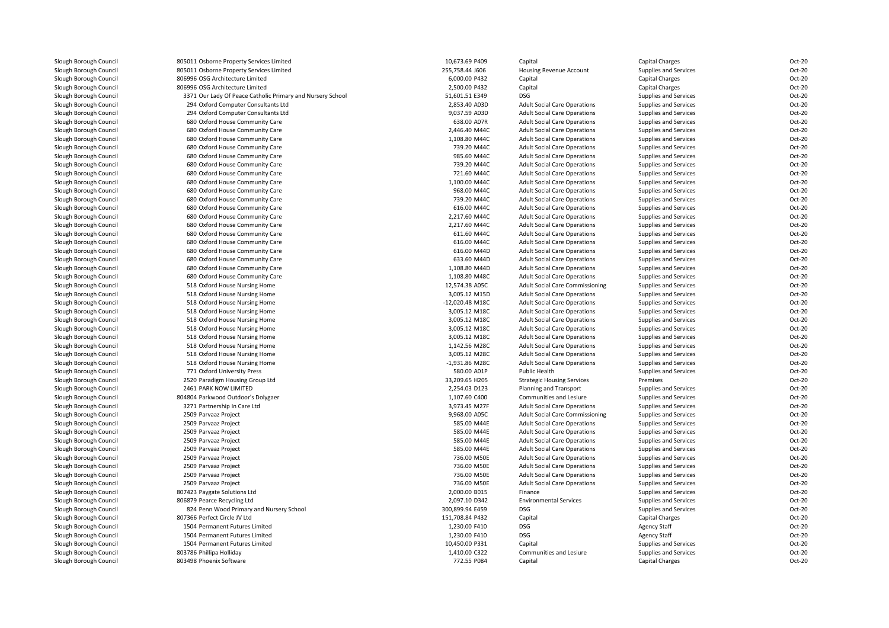| Slough Borough Council | 805011 Osborne Property Services Limited                   | 10,673.69 P409  | Capital                                | Capital Charges        | Oct-20           |
|------------------------|------------------------------------------------------------|-----------------|----------------------------------------|------------------------|------------------|
| Slough Borough Council | 805011 Osborne Property Services Limited                   | 255,758.44 J606 | Housing Revenue Account                | Supplies and Services  | Oct-20           |
| Slough Borough Council | 806996 OSG Architecture Limited                            | 6,000.00 P432   | Capital                                | Capital Charges        | Oct-20           |
| Slough Borough Council | 806996 OSG Architecture Limited                            | 2,500.00 P432   | Capital                                | Capital Charges        | Oct-20           |
| Slough Borough Council | 3371 Our Lady Of Peace Catholic Primary and Nursery School | 51,601.51 E349  | DSG                                    | Supplies and Services  | Oct-20           |
| Slough Borough Council | 294 Oxford Computer Consultants Ltd                        | 2,853.40 A03D   | <b>Adult Social Care Operations</b>    | Supplies and Services  | Oct-20           |
| Slough Borough Council | 294 Oxford Computer Consultants Ltd                        | 9,037.59 A03D   | <b>Adult Social Care Operations</b>    | Supplies and Services  | Oct-20           |
| Slough Borough Council | 680 Oxford House Community Care                            | 638.00 A07R     | <b>Adult Social Care Operations</b>    | Supplies and Services  | Oct-20           |
| Slough Borough Council | 680 Oxford House Community Care                            | 2,446.40 M44C   | <b>Adult Social Care Operations</b>    | Supplies and Services  | Oct-20           |
| Slough Borough Council | 680 Oxford House Community Care                            | 1,108.80 M44C   | <b>Adult Social Care Operations</b>    | Supplies and Services  | Oct-20           |
| Slough Borough Council | 680 Oxford House Community Care                            | 739.20 M44C     | <b>Adult Social Care Operations</b>    | Supplies and Services  | Oct-20           |
| Slough Borough Council | 680 Oxford House Community Care                            | 985.60 M44C     | <b>Adult Social Care Operations</b>    | Supplies and Services  | Oct-20           |
| Slough Borough Council | 680 Oxford House Community Care                            | 739.20 M44C     | <b>Adult Social Care Operations</b>    | Supplies and Services  | Oct-20           |
| Slough Borough Council | 680 Oxford House Community Care                            | 721.60 M44C     | <b>Adult Social Care Operations</b>    | Supplies and Services  | Oct-20           |
|                        | 680 Oxford House Community Care                            | 1,100.00 M44C   |                                        |                        | Oct-20           |
| Slough Borough Council |                                                            |                 | <b>Adult Social Care Operations</b>    | Supplies and Services  | Oct-20           |
| Slough Borough Council | 680 Oxford House Community Care                            | 968.00 M44C     | <b>Adult Social Care Operations</b>    | Supplies and Services  |                  |
| Slough Borough Council | 680 Oxford House Community Care                            | 739.20 M44C     | <b>Adult Social Care Operations</b>    | Supplies and Services  | Oct-20           |
| Slough Borough Council | 680 Oxford House Community Care                            | 616.00 M44C     | <b>Adult Social Care Operations</b>    | Supplies and Services  | Oct-20           |
| Slough Borough Council | 680 Oxford House Community Care                            | 2,217.60 M44C   | <b>Adult Social Care Operations</b>    | Supplies and Services  | Oct-20           |
| Slough Borough Council | 680 Oxford House Community Care                            | 2,217.60 M44C   | <b>Adult Social Care Operations</b>    | Supplies and Services  | Oct-20           |
| Slough Borough Council | 680 Oxford House Community Care                            | 611.60 M44C     | <b>Adult Social Care Operations</b>    | Supplies and Services  | Oct-20           |
| Slough Borough Council | 680 Oxford House Community Care                            | 616.00 M44C     | <b>Adult Social Care Operations</b>    | Supplies and Services  | Oct-20           |
| Slough Borough Council | 680 Oxford House Community Care                            | 616.00 M44D     | <b>Adult Social Care Operations</b>    | Supplies and Services  | Oct-20           |
| Slough Borough Council | 680 Oxford House Community Care                            | 633.60 M44D     | <b>Adult Social Care Operations</b>    | Supplies and Services  | Oct-20           |
| Slough Borough Council | 680 Oxford House Community Care                            | 1,108.80 M44D   | <b>Adult Social Care Operations</b>    | Supplies and Services  | Oct-20           |
| Slough Borough Council | 680 Oxford House Community Care                            | 1,108.80 M48C   | <b>Adult Social Care Operations</b>    | Supplies and Services  | Oct-20           |
| Slough Borough Council | 518 Oxford House Nursing Home                              | 12,574.38 A05C  | <b>Adult Social Care Commissioning</b> | Supplies and Services  | Oct-20           |
| Slough Borough Council | 518 Oxford House Nursing Home                              | 3,005.12 M15D   | <b>Adult Social Care Operations</b>    | Supplies and Services  | Oct-20           |
| Slough Borough Council | 518 Oxford House Nursing Home                              | -12,020.48 M18C | <b>Adult Social Care Operations</b>    | Supplies and Services  | Oct-20           |
| Slough Borough Council | 518 Oxford House Nursing Home                              | 3,005.12 M18C   | <b>Adult Social Care Operations</b>    | Supplies and Services  | Oct-20           |
| Slough Borough Council | 518 Oxford House Nursing Home                              | 3,005.12 M18C   | <b>Adult Social Care Operations</b>    | Supplies and Services  | Oct-20           |
| Slough Borough Council | 518 Oxford House Nursing Home                              | 3,005.12 M18C   | <b>Adult Social Care Operations</b>    | Supplies and Services  | Oct-20           |
| Slough Borough Council | 518 Oxford House Nursing Home                              | 3,005.12 M18C   | <b>Adult Social Care Operations</b>    | Supplies and Services  | Oct-20           |
| Slough Borough Council | 518 Oxford House Nursing Home                              | 1,142.56 M28C   | <b>Adult Social Care Operations</b>    | Supplies and Services  | Oct-20           |
| Slough Borough Council | 518 Oxford House Nursing Home                              | 3,005.12 M28C   | <b>Adult Social Care Operations</b>    | Supplies and Services  | Oct-20           |
| Slough Borough Council | 518 Oxford House Nursing Home                              | -1,931.86 M28C  | <b>Adult Social Care Operations</b>    | Supplies and Services  | Oct-20           |
| Slough Borough Council | 771 Oxford University Press                                | 580.00 A01P     | <b>Public Health</b>                   | Supplies and Services  | Oct-20           |
| Slough Borough Council | 2520 Paradigm Housing Group Ltd                            | 33,209.65 H205  | <b>Strategic Housing Services</b>      | Premises               | Oct-20           |
| Slough Borough Council | 2461 PARK NOW LIMITED                                      | 2,254.03 D123   | Planning and Transport                 | Supplies and Services  | Oct-20           |
| Slough Borough Council | 804804 Parkwood Outdoor's Dolygaer                         | 1,107.60 C400   | Communities and Lesiure                | Supplies and Services  | Oct-20           |
| Slough Borough Council | 3271 Partnership In Care Ltd                               | 3,973.45 M27F   | <b>Adult Social Care Operations</b>    | Supplies and Services  | Oct-20           |
| Slough Borough Council | 2509 Parvaaz Project                                       | 9,968.00 A05C   | <b>Adult Social Care Commissioning</b> | Supplies and Services  | Oct-20           |
| Slough Borough Council | 2509 Parvaaz Project                                       | 585.00 M44E     | <b>Adult Social Care Operations</b>    | Supplies and Services  | Oct-20           |
| Slough Borough Council | 2509 Parvaaz Project                                       | 585.00 M44E     | <b>Adult Social Care Operations</b>    | Supplies and Services  | Oct-20           |
| Slough Borough Council | 2509 Parvaaz Project                                       | 585.00 M44E     | <b>Adult Social Care Operations</b>    | Supplies and Services  | Oct-20           |
| Slough Borough Council | 2509 Parvaaz Project                                       | 585.00 M44E     | <b>Adult Social Care Operations</b>    | Supplies and Services  | Oct-20           |
| Slough Borough Council | 2509 Parvaaz Project                                       | 736.00 M50E     | <b>Adult Social Care Operations</b>    | Supplies and Services  | Oct-20           |
|                        |                                                            |                 |                                        |                        |                  |
| Slough Borough Council | 2509 Parvaaz Project                                       | 736.00 M50E     | <b>Adult Social Care Operations</b>    | Supplies and Services  | Oct-20<br>Oct-20 |
| Slough Borough Council | 2509 Parvaaz Project                                       | 736.00 M50E     | <b>Adult Social Care Operations</b>    | Supplies and Services  |                  |
| Slough Borough Council | 2509 Parvaaz Project                                       | 736.00 M50E     | <b>Adult Social Care Operations</b>    | Supplies and Services  | Oct-20           |
| Slough Borough Council | 807423 Paygate Solutions Ltd                               | 2,000.00 B015   | Finance                                | Supplies and Services  | Oct-20           |
| Slough Borough Council | 806879 Pearce Recycling Ltd                                | 2,097.10 D342   | <b>Environmental Services</b>          | Supplies and Services  | Oct-20           |
| Slough Borough Council | 824 Penn Wood Primary and Nursery School                   | 300,899.94 E459 | <b>DSG</b>                             | Supplies and Services  | Oct-20           |
| Slough Borough Council | 807366 Perfect Circle JV Ltd                               | 151,708.84 P432 | Capital                                | <b>Capital Charges</b> | Oct-20           |
| Slough Borough Council | 1504 Permanent Futures Limited                             | 1,230.00 F410   | <b>DSG</b>                             | <b>Agency Staff</b>    | Oct-20           |
| Slough Borough Council | 1504 Permanent Futures Limited                             | 1,230.00 F410   | <b>DSG</b>                             | <b>Agency Staff</b>    | Oct-20           |
| Slough Borough Council | 1504 Permanent Futures Limited                             | 10,450.00 P331  | Capital                                | Supplies and Services  | Oct-20           |
| Slough Borough Council | 803786 Phillipa Holliday                                   | 1,410.00 C322   | Communities and Lesiure                | Supplies and Services  | Oct-20           |
| Slough Borough Council | 803498 Phoenix Software                                    | 772.55 P084     | Capital                                | Capital Charges        | Oct-20           |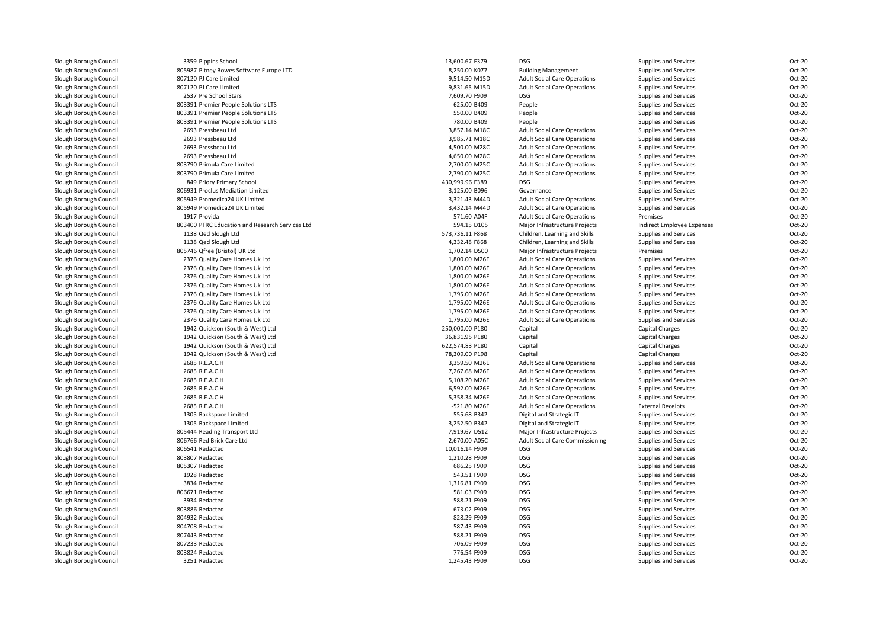| Slough Borough Council | 3359 Pippins School                             | 13,600.67 E379             | <b>DSG</b>                             | Supplies and Services      | Oct-20 |
|------------------------|-------------------------------------------------|----------------------------|----------------------------------------|----------------------------|--------|
| Slough Borough Council | 805987 Pitney Bowes Software Europe LTD         | 8,250.00 K077              | <b>Building Management</b>             | Supplies and Services      | Oct-20 |
| Slough Borough Council | 807120 PJ Care Limited                          | 9,514.50 M15D              | <b>Adult Social Care Operations</b>    | Supplies and Services      | Oct-20 |
| Slough Borough Council | 807120 PJ Care Limited                          | 9,831.65 M15D              | <b>Adult Social Care Operations</b>    | Supplies and Services      | Oct-20 |
| Slough Borough Council | 2537 Pre School Stars                           | 7,609.70 F909              | DSG                                    | Supplies and Services      | Oct-20 |
| Slough Borough Council | 803391 Premier People Solutions LTS             | 625.00 B409                | People                                 | Supplies and Services      | Oct-20 |
| Slough Borough Council | 803391 Premier People Solutions LTS             | 550.00 B409                | People                                 | Supplies and Services      | Oct-20 |
| Slough Borough Council | 803391 Premier People Solutions LTS             | 780.00 B409                | People                                 | Supplies and Services      | Oct-20 |
| Slough Borough Council | 2693 Pressbeau Ltd                              | 3,857.14 M18C              | <b>Adult Social Care Operations</b>    | Supplies and Services      | Oct-20 |
| Slough Borough Council | 2693 Pressbeau Ltd                              | 3,985.71 M18C              | <b>Adult Social Care Operations</b>    | Supplies and Services      | Oct-20 |
| Slough Borough Council | 2693 Pressbeau Ltd                              | 4,500.00 M28C              | <b>Adult Social Care Operations</b>    | Supplies and Services      | Oct-20 |
| Slough Borough Council | 2693 Pressbeau Ltd                              | 4,650.00 M28C              | <b>Adult Social Care Operations</b>    | Supplies and Services      | Oct-20 |
| Slough Borough Council | 803790 Primula Care Limited                     | 2,700.00 M25C              | <b>Adult Social Care Operations</b>    | Supplies and Services      | Oct-20 |
| Slough Borough Council | 803790 Primula Care Limited                     | 2,790.00 M25C              | <b>Adult Social Care Operations</b>    | Supplies and Services      | Oct-20 |
| Slough Borough Council | 849 Priory Primary School                       | 430,999.96 E389            | <b>DSG</b>                             | Supplies and Services      | Oct-20 |
| Slough Borough Council | 806931 Proclus Mediation Limited                | 3,125.00 B096              | Governance                             | Supplies and Services      | Oct-20 |
| Slough Borough Council | 805949 Promedica24 UK Limited                   | 3,321.43 M44D              | <b>Adult Social Care Operations</b>    | Supplies and Services      | Oct-20 |
| Slough Borough Council | 805949 Promedica24 UK Limited                   | 3,432.14 M44D              | <b>Adult Social Care Operations</b>    | Supplies and Services      | Oct-20 |
| Slough Borough Council | 1917 Provida                                    | 571.60 A04F                | <b>Adult Social Care Operations</b>    | Premises                   | Oct-20 |
|                        |                                                 |                            |                                        |                            | Oct-20 |
| Slough Borough Council | 803400 PTRC Education and Research Services Ltd | 594.15 D105                | Major Infrastructure Projects          | Indirect Employee Expenses |        |
| Slough Borough Council | 1138 Qed Slough Ltd                             | 573,736.11 F868            | Children, Learning and Skills          | Supplies and Services      | Oct-20 |
| Slough Borough Council | 1138 Qed Slough Ltd                             | 4,332.48 F868              | Children, Learning and Skills          | Supplies and Services      | Oct-20 |
| Slough Borough Council | 805746 Qfree (Bristol) UK Ltd                   | 1,702.14 D500              | Major Infrastructure Projects          | Premises                   | Oct-20 |
| Slough Borough Council | 2376 Quality Care Homes Uk Ltd                  | 1,800.00 M26E              | <b>Adult Social Care Operations</b>    | Supplies and Services      | Oct-20 |
| Slough Borough Council | 2376 Quality Care Homes Uk Ltd                  | 1,800.00 M26E              | <b>Adult Social Care Operations</b>    | Supplies and Services      | Oct-20 |
| Slough Borough Council | 2376 Quality Care Homes Uk Ltd                  | 1,800.00 M26E              | <b>Adult Social Care Operations</b>    | Supplies and Services      | Oct-20 |
| Slough Borough Council | 2376 Quality Care Homes Uk Ltd                  | 1,800.00 M26E              | <b>Adult Social Care Operations</b>    | Supplies and Services      | Oct-20 |
| Slough Borough Council | 2376 Quality Care Homes Uk Ltd                  | 1,795.00 M26E              | <b>Adult Social Care Operations</b>    | Supplies and Services      | Oct-20 |
| Slough Borough Council | 2376 Quality Care Homes Uk Ltd                  | 1,795.00 M26E              | <b>Adult Social Care Operations</b>    | Supplies and Services      | Oct-20 |
| Slough Borough Council | 2376 Quality Care Homes Uk Ltd                  | 1,795.00 M26E              | <b>Adult Social Care Operations</b>    | Supplies and Services      | Oct-20 |
| Slough Borough Council | 2376 Quality Care Homes Uk Ltd                  | 1,795.00 M26E              | <b>Adult Social Care Operations</b>    | Supplies and Services      | Oct-20 |
| Slough Borough Council | 1942 Quickson (South & West) Ltd                | 250,000.00 P180            | Capital                                | <b>Capital Charges</b>     | Oct-20 |
| Slough Borough Council | 1942 Quickson (South & West) Ltd                | 36,831.95 P180             | Capital                                | Capital Charges            | Oct-20 |
| Slough Borough Council | 1942 Quickson (South & West) Ltd                | 622,574.83 P180            | Capital                                | Capital Charges            | Oct-20 |
| Slough Borough Council | 1942 Quickson (South & West) Ltd                | 78,309.00 P198             | Capital                                | <b>Capital Charges</b>     | Oct-20 |
| Slough Borough Council | 2685 R.E.A.C.H                                  | 3,359.50 M26E              | <b>Adult Social Care Operations</b>    | Supplies and Services      | Oct-20 |
| Slough Borough Council | 2685 R.E.A.C.H                                  | 7,267.68 M26E              | <b>Adult Social Care Operations</b>    | Supplies and Services      | Oct-20 |
| Slough Borough Council | 2685 R.E.A.C.H                                  | 5,108.20 M26E              | <b>Adult Social Care Operations</b>    | Supplies and Services      | Oct-20 |
| Slough Borough Council | 2685 R.E.A.C.H                                  | 6,592.00 M26E              | <b>Adult Social Care Operations</b>    | Supplies and Services      | Oct-20 |
| Slough Borough Council | 2685 R.E.A.C.H                                  | 5,358.34 M26E              | <b>Adult Social Care Operations</b>    | Supplies and Services      | Oct-20 |
| Slough Borough Council | 2685 R.E.A.C.H                                  | -521.80 M26E               | <b>Adult Social Care Operations</b>    | <b>External Receipts</b>   | Oct-20 |
| Slough Borough Council | 1305 Rackspace Limited                          | 555.68 B342                | Digital and Strategic IT               | Supplies and Services      | Oct-20 |
| Slough Borough Council | 1305 Rackspace Limited                          | 3,252.50 B342              | Digital and Strategic IT               | Supplies and Services      | Oct-20 |
| Slough Borough Council | 805444 Reading Transport Ltd                    | 7,919.67 D512              | Major Infrastructure Projects          | Supplies and Services      | Oct-20 |
| Slough Borough Council | 806766 Red Brick Care Ltd                       | 2,670.00 A05C              | <b>Adult Social Care Commissioning</b> | Supplies and Services      | Oct-20 |
| Slough Borough Council | 806541 Redacted                                 | 10,016.14 F909             | <b>DSG</b>                             | Supplies and Services      | Oct-20 |
| Slough Borough Council | 803807 Redacted                                 | 1,210.28 F909              | <b>DSG</b>                             | Supplies and Services      | Oct-20 |
| Slough Borough Council | 805307 Redacted                                 | 686.25 F909                | <b>DSG</b>                             | Supplies and Services      | Oct-20 |
| Slough Borough Council | 1928 Redacted                                   | 543.51 F909                | <b>DSG</b>                             | Supplies and Services      | Oct-20 |
| Slough Borough Council | 3834 Redacted                                   | 1,316.81 F909              | <b>DSG</b>                             | Supplies and Services      | Oct-20 |
| Slough Borough Council | 806671 Redacted                                 |                            | <b>DSG</b>                             |                            | Oct-20 |
|                        | 3934 Redacted                                   | 581.03 F909<br>588.21 F909 | <b>DSG</b>                             | Supplies and Services      | Oct-20 |
| Slough Borough Council |                                                 |                            |                                        | Supplies and Services      |        |
| Slough Borough Council | 803886 Redacted                                 | 673.02 F909                | <b>DSG</b>                             | Supplies and Services      | Oct-20 |
| Slough Borough Council | 804932 Redacted                                 | 828.29 F909                | <b>DSG</b>                             | Supplies and Services      | Oct-20 |
| Slough Borough Council | 804708 Redacted                                 | 587.43 F909                | <b>DSG</b>                             | Supplies and Services      | Oct-20 |
| Slough Borough Council | 807443 Redacted                                 | 588.21 F909                | <b>DSG</b>                             | Supplies and Services      | Oct-20 |
| Slough Borough Council | 807233 Redacted                                 | 706.09 F909                | <b>DSG</b>                             | Supplies and Services      | Oct-20 |
| Slough Borough Council | 803824 Redacted                                 | 776.54 F909                | <b>DSG</b>                             | Supplies and Services      | Oct-20 |
| Slough Borough Council | 3251 Redacted                                   | 1,245.43 F909              | <b>DSG</b>                             | Supplies and Services      | Oct-20 |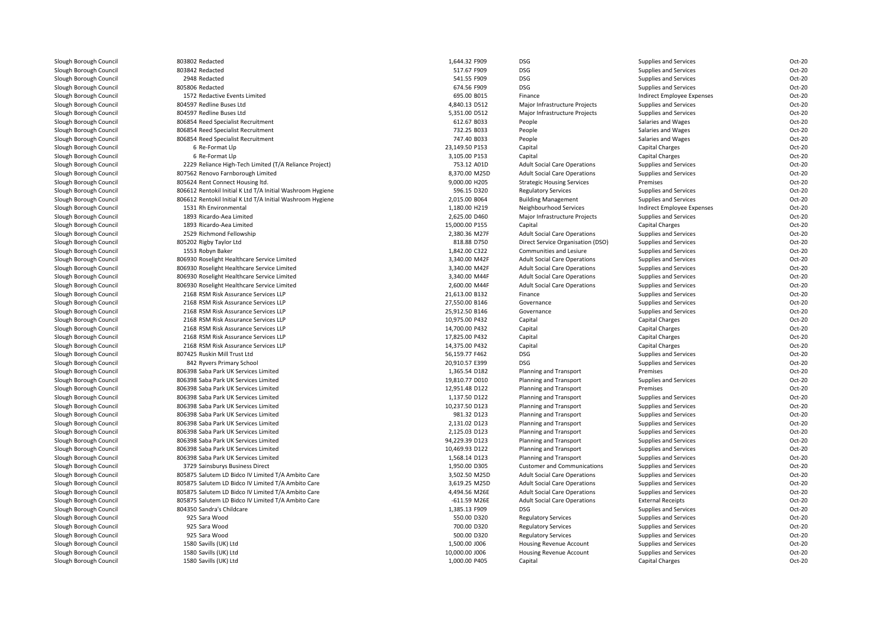| Slough Borough Council                           | 803802 Redacted                                                                                          | 1,644.32 F909                  | DSG                                                          | Supplies and Services                          | Oct-20 |
|--------------------------------------------------|----------------------------------------------------------------------------------------------------------|--------------------------------|--------------------------------------------------------------|------------------------------------------------|--------|
| Slough Borough Council                           | 803842 Redacted                                                                                          | 517.67 F909                    | <b>DSG</b>                                                   | Supplies and Services                          | Oct-20 |
| Slough Borough Council                           | 2948 Redacted                                                                                            | 541.55 F909                    | DSG                                                          | Supplies and Services                          | Oct-20 |
| Slough Borough Council                           | 805806 Redacted                                                                                          | 674.56 F909                    | DSG                                                          | Supplies and Services                          | Oct-20 |
| Slough Borough Council                           | 1572 Redactive Events Limited                                                                            | 695.00 B015                    | Finance                                                      | Indirect Employee Expenses                     | Oct-20 |
| Slough Borough Council                           | 804597 Redline Buses Ltd                                                                                 | 4,840.13 D512                  | Major Infrastructure Projects                                | Supplies and Services                          | Oct-20 |
| Slough Borough Council                           | 804597 Redline Buses Ltd                                                                                 | 5,351.00 D512                  | Major Infrastructure Projects                                | Supplies and Services                          | Oct-20 |
| Slough Borough Council                           | 806854 Reed Specialist Recruitment                                                                       | 612.67 B033                    | People                                                       | Salaries and Wages                             | Oct-20 |
| Slough Borough Council                           | 806854 Reed Specialist Recruitment                                                                       | 732.25 B033                    | People                                                       | Salaries and Wages                             | Oct-20 |
| Slough Borough Council                           | 806854 Reed Specialist Recruitment                                                                       | 747.40 B033                    | People                                                       | Salaries and Wages                             | Oct-20 |
| Slough Borough Council                           | 6 Re-Format Llp                                                                                          | 23,149.50 P153                 | Capital                                                      | <b>Capital Charges</b>                         | Oct-20 |
| Slough Borough Council                           | 6 Re-Format Llp                                                                                          | 3,105.00 P153                  | Capital                                                      | Capital Charges                                | Oct-20 |
| Slough Borough Council                           | 2229 Reliance High-Tech Limited (T/A Reliance Project)                                                   | 753.12 A01D                    | <b>Adult Social Care Operations</b>                          | Supplies and Services                          | Oct-20 |
| Slough Borough Council                           | 807562 Renovo Farnborough Limited                                                                        | 8.370.00 M25D                  | <b>Adult Social Care Operations</b>                          | Supplies and Services                          | Oct-20 |
| Slough Borough Council                           | 805624 Rent Connect Housing ltd.                                                                         | 9,000.00 H205                  | <b>Strategic Housing Services</b>                            | Premises                                       | Oct-20 |
| Slough Borough Council                           | 806612 Rentokil Initial K Ltd T/A Initial Washroom Hygiene                                               | 596.15 D320                    | <b>Regulatory Services</b>                                   | Supplies and Services                          | Oct-20 |
| Slough Borough Council                           | 806612 Rentokil Initial K Ltd T/A Initial Washroom Hygiene                                               | 2,015.00 B064                  | <b>Building Management</b>                                   | Supplies and Services                          | Oct-20 |
| Slough Borough Council                           | 1531 Rh Environmental                                                                                    | 1,180.00 H219                  | Neighbourhood Services                                       | Indirect Employee Expenses                     | Oct-20 |
| Slough Borough Council                           | 1893 Ricardo-Aea Limited                                                                                 | 2,625.00 D460                  | Major Infrastructure Projects                                | Supplies and Services                          | Oct-20 |
| Slough Borough Council                           | 1893 Ricardo-Aea Limited                                                                                 | 15,000.00 P155                 | Capital                                                      | <b>Capital Charges</b>                         | Oct-20 |
| Slough Borough Council                           | 2529 Richmond Fellowship                                                                                 | 2,380.36 M27F                  | <b>Adult Social Care Operations</b>                          | Supplies and Services                          | Oct-20 |
| Slough Borough Council                           | 805202 Rigby Taylor Ltd                                                                                  | 818.88 D750                    | Direct Service Organisation (DSO)                            | Supplies and Services                          | Oct-20 |
| Slough Borough Council                           | 1553 Robyn Baker                                                                                         | 1,842.00 C322                  | Communities and Lesiure                                      | Supplies and Services                          | Oct-20 |
| Slough Borough Council                           | 806930 Roselight Healthcare Service Limited                                                              | 3,340.00 M42F                  | <b>Adult Social Care Operations</b>                          | Supplies and Services                          | Oct-20 |
| Slough Borough Council                           | 806930 Roselight Healthcare Service Limited                                                              | 3,340.00 M42F                  | <b>Adult Social Care Operations</b>                          | Supplies and Services                          | Oct-20 |
| Slough Borough Council                           | 806930 Roselight Healthcare Service Limited                                                              | 3,340.00 M44F                  | <b>Adult Social Care Operations</b>                          | Supplies and Services                          | Oct-20 |
| Slough Borough Council                           | 806930 Roselight Healthcare Service Limited                                                              | 2,600.00 M44F                  | <b>Adult Social Care Operations</b>                          | Supplies and Services                          | Oct-20 |
| Slough Borough Council                           | 2168 RSM Risk Assurance Services LLP                                                                     | 21,613.00 B132                 | Finance                                                      | Supplies and Services                          | Oct-20 |
| Slough Borough Council                           | 2168 RSM Risk Assurance Services LLP                                                                     | 27,550.00 B146                 | Governance                                                   | Supplies and Services                          | Oct-20 |
| Slough Borough Council                           | 2168 RSM Risk Assurance Services LLP                                                                     | 25,912.50 B146                 | Governance                                                   | Supplies and Services                          | Oct-20 |
| Slough Borough Council                           | 2168 RSM Risk Assurance Services LLP                                                                     | 10,975.00 P432                 | Capital                                                      | <b>Capital Charges</b>                         | Oct-20 |
| Slough Borough Council                           | 2168 RSM Risk Assurance Services LLP                                                                     | 14,700.00 P432                 | Capital                                                      | <b>Capital Charges</b>                         | Oct-20 |
| Slough Borough Council                           | 2168 RSM Risk Assurance Services LLP                                                                     | 17,825.00 P432                 | Capital                                                      | <b>Capital Charges</b>                         | Oct-20 |
| Slough Borough Council                           | 2168 RSM Risk Assurance Services LLP                                                                     | 14,375.00 P432                 | Capital                                                      | Capital Charges                                | Oct-20 |
| Slough Borough Council                           | 807425 Ruskin Mill Trust Ltd                                                                             | 56,159.77 F462                 | <b>DSG</b>                                                   | Supplies and Services                          | Oct-20 |
| Slough Borough Council                           | 842 Ryvers Primary School                                                                                | 20,910.57 E399                 | <b>DSG</b>                                                   | Supplies and Services                          | Oct-20 |
| Slough Borough Council                           | 806398 Saba Park UK Services Limited                                                                     | 1,365.54 D182                  | Planning and Transport                                       | Premises                                       | Oct-20 |
| Slough Borough Council                           | 806398 Saba Park UK Services Limited                                                                     | 19,810.77 D010                 | Planning and Transport                                       | Supplies and Services                          | Oct-20 |
| Slough Borough Council                           | 806398 Saba Park UK Services Limited                                                                     | 12,951.48 D122                 | Planning and Transport                                       | Premises                                       | Oct-20 |
| Slough Borough Council                           | 806398 Saba Park UK Services Limited                                                                     | 1,137.50 D122                  | Planning and Transport                                       | Supplies and Services                          | Oct-20 |
| Slough Borough Council                           | 806398 Saba Park UK Services Limited                                                                     | 10,237.50 D123                 | Planning and Transport                                       | Supplies and Services                          | Oct-20 |
| Slough Borough Council                           | 806398 Saba Park UK Services Limited                                                                     | 981.32 D123                    | Planning and Transport                                       | Supplies and Services                          | Oct-20 |
| Slough Borough Council                           | 806398 Saba Park UK Services Limited                                                                     | 2,131.02 D123                  | Planning and Transport                                       | Supplies and Services                          | Oct-20 |
| Slough Borough Council                           | 806398 Saba Park UK Services Limited                                                                     | 2,125.03 D123                  | Planning and Transport                                       | Supplies and Services                          | Oct-20 |
| Slough Borough Council                           | 806398 Saba Park UK Services Limited                                                                     | 94,229.39 D123                 | Planning and Transport                                       | Supplies and Services                          | Oct-20 |
| Slough Borough Council                           | 806398 Saba Park UK Services Limited                                                                     | 10,469.93 D122                 | Planning and Transport                                       | Supplies and Services                          | Oct-20 |
|                                                  |                                                                                                          | 1,568.14 D123                  |                                                              |                                                | Oct-20 |
| Slough Borough Council<br>Slough Borough Council | 806398 Saba Park UK Services Limited                                                                     | 1,950.00 D305                  | Planning and Transport<br><b>Customer and Communications</b> | Supplies and Services<br>Supplies and Services | Oct-20 |
|                                                  | 3729 Sainsburys Business Direct                                                                          |                                |                                                              |                                                | Oct-20 |
| Slough Borough Council<br>Slough Borough Council | 805875 Salutem LD Bidco IV Limited T/A Ambito Care<br>805875 Salutem LD Bidco IV Limited T/A Ambito Care | 3,502.50 M25D<br>3,619.25 M25D | <b>Adult Social Care Operations</b>                          | Supplies and Services                          | Oct-20 |
|                                                  |                                                                                                          |                                | <b>Adult Social Care Operations</b>                          | Supplies and Services                          |        |
| Slough Borough Council                           | 805875 Salutem LD Bidco IV Limited T/A Ambito Care                                                       | 4,494.56 M26E                  | <b>Adult Social Care Operations</b>                          | Supplies and Services                          | Oct-20 |
| Slough Borough Council                           | 805875 Salutem LD Bidco IV Limited T/A Ambito Care                                                       | $-611.59$ M26E                 | <b>Adult Social Care Operations</b>                          | <b>External Receipts</b>                       | Oct-20 |
| Slough Borough Council                           | 804350 Sandra's Childcare                                                                                | 1,385.13 F909                  | DSG                                                          | Supplies and Services                          | Oct-20 |
| Slough Borough Council                           | 925 Sara Wood                                                                                            | 550.00 D320                    | <b>Regulatory Services</b>                                   | Supplies and Services                          | Oct-20 |
| Slough Borough Council                           | 925 Sara Wood                                                                                            | 700.00 D320                    | <b>Regulatory Services</b>                                   | Supplies and Services                          | Oct-20 |
| Slough Borough Council                           | 925 Sara Wood                                                                                            | 500.00 D320                    | <b>Regulatory Services</b>                                   | Supplies and Services                          | Oct-20 |
| Slough Borough Council                           | 1580 Savills (UK) Ltd                                                                                    | 1,500.00 J006                  | Housing Revenue Account                                      | Supplies and Services                          | Oct-20 |
| Slough Borough Council                           | 1580 Savills (UK) Ltd                                                                                    | 10.000.00 J006                 | <b>Housing Revenue Account</b>                               | Supplies and Services                          | Oct-20 |
| Slough Borough Council                           | 1580 Savills (UK) Ltd                                                                                    | 1,000.00 P405                  | Capital                                                      | <b>Capital Charges</b>                         | Oct-20 |
|                                                  |                                                                                                          |                                |                                                              |                                                |        |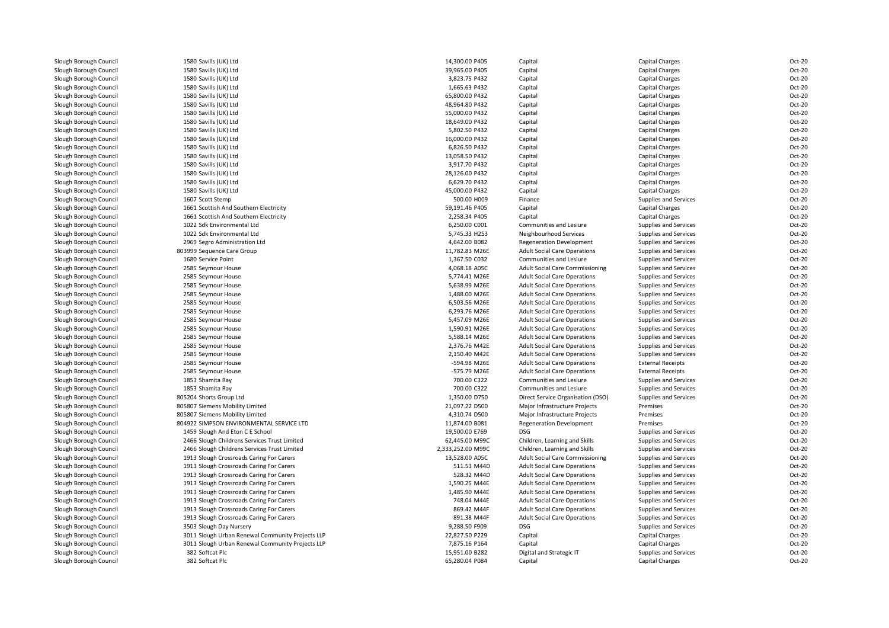| Slough Borough Council | 1580 Savills (UK) Ltd                            | 14,300.00 P405    | Capital                                                                    | Capital Charges                                | Oct-20           |
|------------------------|--------------------------------------------------|-------------------|----------------------------------------------------------------------------|------------------------------------------------|------------------|
| Slough Borough Council | 1580 Savills (UK) Ltd                            | 39,965.00 P405    | Capital                                                                    | Capital Charges                                | Oct-20           |
| Slough Borough Council | 1580 Savills (UK) Ltd                            | 3,823.75 P432     | Capital                                                                    | Capital Charges                                | Oct-20           |
| Slough Borough Council | 1580 Savills (UK) Ltd                            | 1,665.63 P432     | Capital                                                                    | Capital Charges                                | Oct-20           |
| Slough Borough Council | 1580 Savills (UK) Ltd                            | 65,800.00 P432    | Capital                                                                    | Capital Charges                                | Oct-20           |
| Slough Borough Council | 1580 Savills (UK) Ltd                            | 48,964.80 P432    | Capital                                                                    | Capital Charges                                | Oct-20           |
| Slough Borough Council | 1580 Savills (UK) Ltd                            | 55,000.00 P432    | Capital                                                                    | Capital Charges                                | Oct-20           |
| Slough Borough Council | 1580 Savills (UK) Ltd                            | 18,649.00 P432    | Capital                                                                    | Capital Charges                                | Oct-20           |
| Slough Borough Council | 1580 Savills (UK) Ltd                            | 5,802.50 P432     | Capital                                                                    | Capital Charges                                | Oct-20           |
| Slough Borough Council | 1580 Savills (UK) Ltd                            | 16,000.00 P432    | Capital                                                                    | Capital Charges                                | Oct-20           |
| Slough Borough Council | 1580 Savills (UK) Ltd                            | 6.826.50 P432     | Capital                                                                    | Capital Charges                                | Oct-20           |
| Slough Borough Council | 1580 Savills (UK) Ltd                            | 13,058.50 P432    | Capital                                                                    | Capital Charges                                | Oct-20           |
| Slough Borough Council | 1580 Savills (UK) Ltd                            | 3,917.70 P432     | Capital                                                                    | Capital Charges                                | Oct-20           |
| Slough Borough Council | 1580 Savills (UK) Ltd                            | 28,126.00 P432    | Capital                                                                    | Capital Charges                                | Oct-20           |
| Slough Borough Council | 1580 Savills (UK) Ltd                            | 6,629.70 P432     | Capital                                                                    | Capital Charges                                | Oct-20           |
| Slough Borough Council | 1580 Savills (UK) Ltd                            | 45,000.00 P432    | Capital                                                                    | Capital Charges                                | Oct-20           |
| Slough Borough Council | 1607 Scott Stemp                                 | 500.00 H009       | Finance                                                                    | Supplies and Services                          | Oct-20           |
| Slough Borough Council | 1661 Scottish And Southern Electricity           | 59,191.46 P405    | Capital                                                                    | Capital Charges                                | Oct-20           |
| Slough Borough Council | 1661 Scottish And Southern Electricity           | 2,258.34 P405     | Capital                                                                    | <b>Capital Charges</b>                         | Oct-20           |
| Slough Borough Council | 1022 Sdk Environmental Ltd                       | 6,250.00 C001     | Communities and Lesiure                                                    | Supplies and Services                          | Oct-20           |
| Slough Borough Council | 1022 Sdk Environmental Ltd                       | 5,745.33 H253     | Neighbourhood Services                                                     | Supplies and Services                          | Oct-20           |
| Slough Borough Council | 2969 Segro Administration Ltd                    | 4,642.00 B082     | <b>Regeneration Development</b>                                            | Supplies and Services                          | Oct-20           |
| Slough Borough Council | 803999 Sequence Care Group                       | 11,782.83 M26E    | <b>Adult Social Care Operations</b>                                        | Supplies and Services                          | Oct-20           |
| Slough Borough Council | 1680 Service Point                               | 1,367.50 C032     | Communities and Lesiure                                                    | Supplies and Services                          | Oct-20           |
| Slough Borough Council | 2585 Seymour House                               | 4,068.18 A05C     | <b>Adult Social Care Commissioning</b>                                     | Supplies and Services                          | Oct-20           |
| Slough Borough Council | 2585 Seymour House                               | 5,774.41 M26E     | <b>Adult Social Care Operations</b>                                        | Supplies and Services                          | Oct-20           |
| Slough Borough Council | 2585 Seymour House                               | 5,638.99 M26E     | <b>Adult Social Care Operations</b>                                        | Supplies and Services                          | Oct-20           |
| Slough Borough Council | 2585 Seymour House                               | 1,488.00 M26E     | <b>Adult Social Care Operations</b>                                        | Supplies and Services                          | Oct-20           |
| Slough Borough Council | 2585 Seymour House                               | 6,503.56 M26E     | <b>Adult Social Care Operations</b>                                        | Supplies and Services                          | Oct-20           |
| Slough Borough Council | 2585 Seymour House                               | 6,293.76 M26E     | <b>Adult Social Care Operations</b>                                        | Supplies and Services                          | Oct-20           |
| Slough Borough Council | 2585 Seymour House                               | 5,457.09 M26E     | <b>Adult Social Care Operations</b>                                        | Supplies and Services                          | Oct-20           |
| Slough Borough Council |                                                  | 1,590.91 M26E     |                                                                            |                                                |                  |
| Slough Borough Council | 2585 Seymour House<br>2585 Seymour House         | 5,588.14 M26E     | <b>Adult Social Care Operations</b><br><b>Adult Social Care Operations</b> | Supplies and Services<br>Supplies and Services | Oct-20<br>Oct-20 |
|                        |                                                  |                   |                                                                            |                                                |                  |
| Slough Borough Council | 2585 Seymour House                               | 2,376.76 M42E     | <b>Adult Social Care Operations</b>                                        | Supplies and Services                          | Oct-20           |
| Slough Borough Council | 2585 Seymour House                               | 2,150.40 M42E     | <b>Adult Social Care Operations</b>                                        | Supplies and Services                          | Oct-20           |
| Slough Borough Council | 2585 Seymour House                               | -594.98 M26E      | <b>Adult Social Care Operations</b>                                        | <b>External Receipts</b>                       | Oct-20           |
| Slough Borough Council | 2585 Seymour House                               | -575.79 M26E      | <b>Adult Social Care Operations</b>                                        | <b>External Receipts</b>                       | Oct-20           |
| Slough Borough Council | 1853 Shamita Ray                                 | 700.00 C322       | <b>Communities and Lesiure</b>                                             | Supplies and Services                          | Oct-20           |
| Slough Borough Council | 1853 Shamita Ray                                 | 700.00 C322       | Communities and Lesiure                                                    | Supplies and Services                          | Oct-20           |
| Slough Borough Council | 805204 Shorts Group Ltd                          | 1,350.00 D750     | Direct Service Organisation (DSO)                                          | Supplies and Services                          | Oct-20           |
| Slough Borough Council | 805807 Siemens Mobility Limited                  | 21,097.22 D500    | Major Infrastructure Projects                                              | Premises                                       | Oct-20           |
| Slough Borough Council | 805807 Siemens Mobility Limited                  | 4,310.74 D500     | Major Infrastructure Projects                                              | Premises                                       | Oct-20           |
| Slough Borough Council | 804922 SIMPSON ENVIRONMENTAL SERVICE LTD         | 11,874.00 B081    | <b>Regeneration Development</b>                                            | Premises                                       | Oct-20           |
| Slough Borough Council | 1459 Slough And Eton C E School                  | 19,500.00 E769    | <b>DSG</b>                                                                 | Supplies and Services                          | Oct-20           |
| Slough Borough Council | 2466 Slough Childrens Services Trust Limited     | 62,445.00 M99C    | Children, Learning and Skills                                              | Supplies and Services                          | Oct-20           |
| Slough Borough Council | 2466 Slough Childrens Services Trust Limited     | 2,333,252.00 M99C | Children, Learning and Skills                                              | Supplies and Services                          | Oct-20           |
| Slough Borough Council | 1913 Slough Crossroads Caring For Carers         | 13,528.00 A05C    | <b>Adult Social Care Commissioning</b>                                     | Supplies and Services                          | Oct-20           |
| Slough Borough Council | 1913 Slough Crossroads Caring For Carers         | 511.53 M44D       | <b>Adult Social Care Operations</b>                                        | Supplies and Services                          | Oct-20           |
| Slough Borough Council | 1913 Slough Crossroads Caring For Carers         | 528.32 M44D       | <b>Adult Social Care Operations</b>                                        | Supplies and Services                          | Oct-20           |
| Slough Borough Council | 1913 Slough Crossroads Caring For Carers         | 1,590.25 M44E     | <b>Adult Social Care Operations</b>                                        | Supplies and Services                          | Oct-20           |
| Slough Borough Council | 1913 Slough Crossroads Caring For Carers         | 1,485.90 M44E     | <b>Adult Social Care Operations</b>                                        | Supplies and Services                          | Oct-20           |
| Slough Borough Council | 1913 Slough Crossroads Caring For Carers         | 748.04 M44E       | <b>Adult Social Care Operations</b>                                        | Supplies and Services                          | Oct-20           |
| Slough Borough Council | 1913 Slough Crossroads Caring For Carers         | 869.42 M44F       | <b>Adult Social Care Operations</b>                                        | Supplies and Services                          | Oct-20           |
| Slough Borough Council | 1913 Slough Crossroads Caring For Carers         | 891.38 M44F       | <b>Adult Social Care Operations</b>                                        | Supplies and Services                          | Oct-20           |
| Slough Borough Council | 3503 Slough Day Nursery                          | 9,288.50 F909     | <b>DSG</b>                                                                 | Supplies and Services                          | Oct-20           |
| Slough Borough Council | 3011 Slough Urban Renewal Community Projects LLP | 22,827.50 P229    | Capital                                                                    | Capital Charges                                | Oct-20           |
| Slough Borough Council | 3011 Slough Urban Renewal Community Projects LLP | 7,875.16 P164     | Capital                                                                    | Capital Charges                                | Oct-20           |
| Slough Borough Council | 382 Softcat Plc                                  | 15,951.00 B282    | Digital and Strategic IT                                                   | Supplies and Services                          | Oct-20           |
| Slough Borough Council | 382 Softcat Plc                                  | 65,280.04 P084    | Capital                                                                    | Capital Charges                                | Oct-20           |
|                        |                                                  |                   |                                                                            |                                                |                  |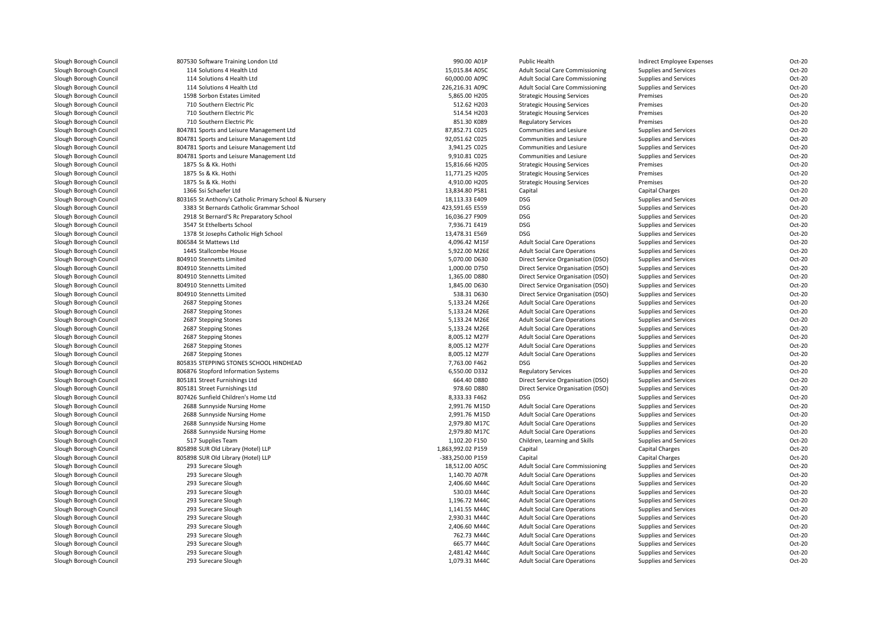| Slough Borough Council | 807530 Software Training London Ltd                   | 990.00 A01P       | Public Health                          | Indirect Employee Expenses | Oct-20           |
|------------------------|-------------------------------------------------------|-------------------|----------------------------------------|----------------------------|------------------|
| Slough Borough Council | 114 Solutions 4 Health Ltd                            | 15,015.84 A05C    | <b>Adult Social Care Commissioning</b> | Supplies and Services      | Oct-20           |
| Slough Borough Council | 114 Solutions 4 Health Ltd                            | 60,000.00 A09C    | <b>Adult Social Care Commissioning</b> | Supplies and Services      | Oct-20           |
| Slough Borough Council | 114 Solutions 4 Health Ltd                            | 226,216.31 A09C   | <b>Adult Social Care Commissioning</b> | Supplies and Services      | Oct-20           |
| Slough Borough Council | 1598 Sorbon Estates Limited                           | 5,865.00 H205     | <b>Strategic Housing Services</b>      | Premises                   | Oct-20           |
| Slough Borough Council | 710 Southern Electric Plc                             | 512.62 H203       | <b>Strategic Housing Services</b>      | Premises                   | Oct-20           |
| Slough Borough Council | 710 Southern Electric Plc                             | 514.54 H203       | <b>Strategic Housing Services</b>      | Premises                   | Oct-20           |
| Slough Borough Council | 710 Southern Electric Plc                             | 851.30 K089       | <b>Regulatory Services</b>             | Premises                   | Oct-20           |
| Slough Borough Council | 804781 Sports and Leisure Management Ltd              | 87,852.71 C025    | Communities and Lesiure                | Supplies and Services      | Oct-20           |
| Slough Borough Council | 804781 Sports and Leisure Management Ltd              | 92,051.62 C025    | Communities and Lesiure                | Supplies and Services      | Oct-20           |
| Slough Borough Council | 804781 Sports and Leisure Management Ltd              | 3,941.25 C025     | <b>Communities and Lesiure</b>         | Supplies and Services      | Oct-20           |
| Slough Borough Council | 804781 Sports and Leisure Management Ltd              | 9,910.81 C025     | Communities and Lesiure                | Supplies and Services      | Oct-20           |
| Slough Borough Council | 1875 Ss & Kk. Hothi                                   | 15,816.66 H205    | <b>Strategic Housing Services</b>      | Premises                   | Oct-20           |
| Slough Borough Council | 1875 Ss & Kk. Hothi                                   | 11,771.25 H205    | <b>Strategic Housing Services</b>      | Premises                   | Oct-20           |
| Slough Borough Council | 1875 Ss & Kk. Hothi                                   | 4,910.00 H205     | <b>Strategic Housing Services</b>      | Premises                   | Oct-20           |
| Slough Borough Council | 1366 Ssi Schaefer Ltd                                 | 13,834.80 P581    | Capital                                | Capital Charges            | Oct-20           |
| Slough Borough Council | 803165 St Anthony's Catholic Primary School & Nursery | 18,113.33 E409    | <b>DSG</b>                             | Supplies and Services      | Oct-20           |
| Slough Borough Council | 3383 St Bernards Catholic Grammar School              | 423,591.65 E559   | DSG                                    | Supplies and Services      | Oct-20           |
| Slough Borough Council | 2918 St Bernard'S Rc Preparatory School               | 16,036.27 F909    | <b>DSG</b>                             | Supplies and Services      | Oct-20           |
| Slough Borough Council | 3547 St Ethelberts School                             | 7,936.71 E419     | <b>DSG</b>                             | Supplies and Services      | Oct-20           |
| Slough Borough Council | 1378 St Josephs Catholic High School                  | 13,478.31 E569    | <b>DSG</b>                             | Supplies and Services      | Oct-20           |
| Slough Borough Council | 806584 St Mattews Ltd                                 | 4,096.42 M15F     | <b>Adult Social Care Operations</b>    | Supplies and Services      | Oct-20           |
| Slough Borough Council | 1445 Stallcombe House                                 | 5,922.00 M26E     | <b>Adult Social Care Operations</b>    | Supplies and Services      | Oct-20           |
| Slough Borough Council | 804910 Stennetts Limited                              | 5,070.00 D630     | Direct Service Organisation (DSO)      | Supplies and Services      | Oct-20           |
| Slough Borough Council | 804910 Stennetts Limited                              | 1,000.00 D750     | Direct Service Organisation (DSO)      | Supplies and Services      | Oct-20           |
| Slough Borough Council | 804910 Stennetts Limited                              | 1,365.00 D880     | Direct Service Organisation (DSO)      | Supplies and Services      | Oct-20           |
| Slough Borough Council | 804910 Stennetts Limited                              | 1,845.00 D630     | Direct Service Organisation (DSO)      | Supplies and Services      | Oct-20           |
| Slough Borough Council | 804910 Stennetts Limited                              | 538.31 D630       | Direct Service Organisation (DSO)      | Supplies and Services      | Oct-20           |
| Slough Borough Council | 2687 Stepping Stones                                  | 5,133.24 M26E     | <b>Adult Social Care Operations</b>    | Supplies and Services      | Oct-20           |
| Slough Borough Council | 2687 Stepping Stones                                  | 5,133.24 M26E     | <b>Adult Social Care Operations</b>    | Supplies and Services      | Oct-20           |
| Slough Borough Council | 2687 Stepping Stones                                  | 5,133.24 M26E     | <b>Adult Social Care Operations</b>    | Supplies and Services      | Oct-20           |
| Slough Borough Council |                                                       |                   |                                        |                            | Oct-20           |
|                        | 2687 Stepping Stones                                  | 5,133.24 M26E     | <b>Adult Social Care Operations</b>    | Supplies and Services      |                  |
| Slough Borough Council | 2687 Stepping Stones                                  | 8,005.12 M27F     | <b>Adult Social Care Operations</b>    | Supplies and Services      | Oct-20<br>Oct-20 |
| Slough Borough Council | 2687 Stepping Stones                                  | 8,005.12 M27F     | <b>Adult Social Care Operations</b>    | Supplies and Services      |                  |
| Slough Borough Council | 2687 Stepping Stones                                  | 8,005.12 M27F     | <b>Adult Social Care Operations</b>    | Supplies and Services      | Oct-20           |
| Slough Borough Council | 805835 STEPPING STONES SCHOOL HINDHEAD                | 7,763.00 F462     | DSG                                    | Supplies and Services      | Oct-20           |
| Slough Borough Council | 806876 Stopford Information Systems                   | 6,550.00 D332     | <b>Regulatory Services</b>             | Supplies and Services      | Oct-20           |
| Slough Borough Council | 805181 Street Furnishings Ltd                         | 664.40 D880       | Direct Service Organisation (DSO)      | Supplies and Services      | Oct-20           |
| Slough Borough Council | 805181 Street Furnishings Ltd                         | 978.60 D880       | Direct Service Organisation (DSO)      | Supplies and Services      | Oct-20           |
| Slough Borough Council | 807426 Sunfield Children's Home Ltd                   | 8,333.33 F462     | <b>DSG</b>                             | Supplies and Services      | Oct-20           |
| Slough Borough Council | 2688 Sunnyside Nursing Home                           | 2,991.76 M15D     | <b>Adult Social Care Operations</b>    | Supplies and Services      | Oct-20           |
| Slough Borough Council | 2688 Sunnyside Nursing Home                           | 2,991.76 M15D     | <b>Adult Social Care Operations</b>    | Supplies and Services      | Oct-20           |
| Slough Borough Council | 2688 Sunnyside Nursing Home                           | 2,979.80 M17C     | <b>Adult Social Care Operations</b>    | Supplies and Services      | Oct-20           |
| Slough Borough Council | 2688 Sunnyside Nursing Home                           | 2,979.80 M17C     | <b>Adult Social Care Operations</b>    | Supplies and Services      | Oct-20           |
| Slough Borough Council | 517 Supplies Team                                     | 1,102.20 F150     | Children, Learning and Skills          | Supplies and Services      | Oct-20           |
| Slough Borough Council | 805898 SUR Old Library (Hotel) LLP                    | 1,863,992.02 P159 | Capital                                | <b>Capital Charges</b>     | Oct-20           |
| Slough Borough Council | 805898 SUR Old Library (Hotel) LLP                    | -383,250.00 P159  | Capital                                | <b>Capital Charges</b>     | Oct-20           |
| Slough Borough Council | 293 Surecare Slough                                   | 18,512.00 A05C    | <b>Adult Social Care Commissioning</b> | Supplies and Services      | Oct-20           |
| Slough Borough Council | 293 Surecare Slough                                   | 1,140.70 A07R     | <b>Adult Social Care Operations</b>    | Supplies and Services      | Oct-20           |
| Slough Borough Council | 293 Surecare Slough                                   | 2,406.60 M44C     | <b>Adult Social Care Operations</b>    | Supplies and Services      | Oct-20           |
| Slough Borough Council | 293 Surecare Slough                                   | 530.03 M44C       | <b>Adult Social Care Operations</b>    | Supplies and Services      | Oct-20           |
| Slough Borough Council | 293 Surecare Slough                                   | 1,196.72 M44C     | <b>Adult Social Care Operations</b>    | Supplies and Services      | Oct-20           |
| Slough Borough Council | 293 Surecare Slough                                   | 1,141.55 M44C     | <b>Adult Social Care Operations</b>    | Supplies and Services      | Oct-20           |
| Slough Borough Council | 293 Surecare Slough                                   | 2,930.31 M44C     | <b>Adult Social Care Operations</b>    | Supplies and Services      | Oct-20           |
| Slough Borough Council | 293 Surecare Slough                                   | 2,406.60 M44C     | <b>Adult Social Care Operations</b>    | Supplies and Services      | Oct-20           |
| Slough Borough Council | 293 Surecare Slough                                   | 762.73 M44C       | <b>Adult Social Care Operations</b>    | Supplies and Services      | Oct-20           |
| Slough Borough Council | 293 Surecare Slough                                   | 665.77 M44C       | <b>Adult Social Care Operations</b>    | Supplies and Services      | Oct-20           |
| Slough Borough Council | 293 Surecare Slough                                   | 2,481.42 M44C     | <b>Adult Social Care Operations</b>    | Supplies and Services      | Oct-20           |
| Slough Borough Council | 293 Surecare Slough                                   | 1,079.31 M44C     | <b>Adult Social Care Operations</b>    | Supplies and Services      | Oct-20           |
|                        |                                                       |                   |                                        |                            |                  |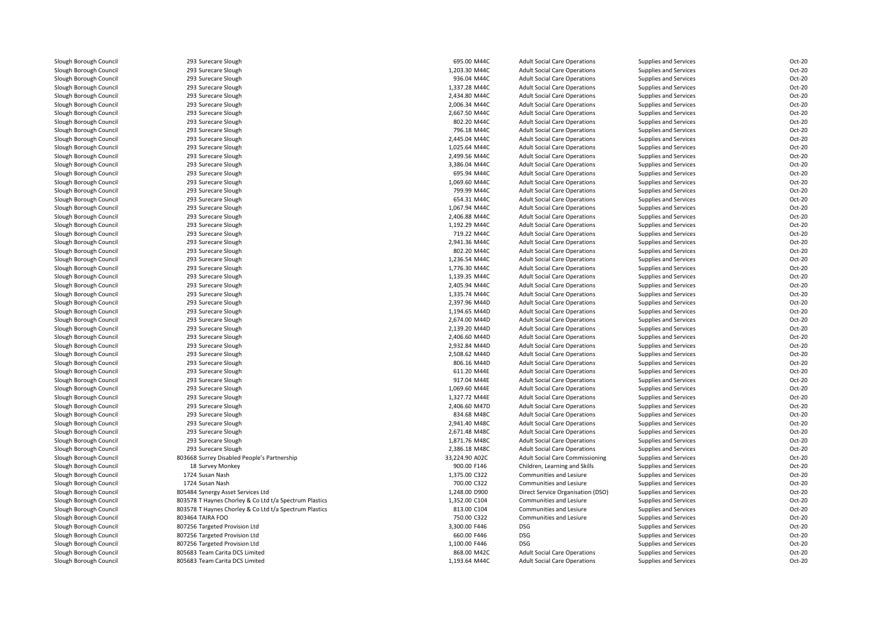| Slough Borough Council | 293 Surecare Slough                                    | 695.00 M44C    | <b>Adult Social Care Operations</b>    | Supplies and Services | Oct-20 |
|------------------------|--------------------------------------------------------|----------------|----------------------------------------|-----------------------|--------|
| Slough Borough Council | 293 Surecare Slough                                    | 1,203.30 M44C  | <b>Adult Social Care Operations</b>    | Supplies and Services | Oct-20 |
| Slough Borough Council | 293 Surecare Slough                                    | 936.04 M44C    | <b>Adult Social Care Operations</b>    | Supplies and Services | Oct-20 |
| Slough Borough Council | 293 Surecare Slough                                    | 1,337.28 M44C  | <b>Adult Social Care Operations</b>    | Supplies and Services | Oct-20 |
| Slough Borough Council | 293 Surecare Slough                                    | 2,434.80 M44C  | <b>Adult Social Care Operations</b>    | Supplies and Services | Oct-20 |
| Slough Borough Council | 293 Surecare Slough                                    | 2,006.34 M44C  | <b>Adult Social Care Operations</b>    | Supplies and Services | Oct-20 |
| Slough Borough Council | 293 Surecare Slough                                    | 2,667.50 M44C  | <b>Adult Social Care Operations</b>    | Supplies and Services | Oct-20 |
| Slough Borough Council | 293 Surecare Slough                                    | 802.20 M44C    | <b>Adult Social Care Operations</b>    | Supplies and Services | Oct-20 |
| Slough Borough Council | 293 Surecare Slough                                    | 796.18 M44C    | <b>Adult Social Care Operations</b>    | Supplies and Services | Oct-20 |
| Slough Borough Council | 293 Surecare Slough                                    | 2,445.04 M44C  | <b>Adult Social Care Operations</b>    | Supplies and Services | Oct-20 |
| Slough Borough Council | 293 Surecare Slough                                    | 1,025.64 M44C  | <b>Adult Social Care Operations</b>    | Supplies and Services | Oct-20 |
| Slough Borough Council | 293 Surecare Slough                                    | 2,499.56 M44C  | <b>Adult Social Care Operations</b>    | Supplies and Services | Oct-20 |
| Slough Borough Council | 293 Surecare Slough                                    | 3,386.04 M44C  | <b>Adult Social Care Operations</b>    | Supplies and Services | Oct-20 |
| Slough Borough Council | 293 Surecare Slough                                    | 695.94 M44C    | <b>Adult Social Care Operations</b>    | Supplies and Services | Oct-20 |
| Slough Borough Council | 293 Surecare Slough                                    | 1,069.60 M44C  | <b>Adult Social Care Operations</b>    | Supplies and Services | Oct-20 |
| Slough Borough Council | 293 Surecare Slough                                    | 799.99 M44C    | <b>Adult Social Care Operations</b>    | Supplies and Services | Oct-20 |
| Slough Borough Council |                                                        | 654.31 M44C    |                                        |                       | Oct-20 |
|                        | 293 Surecare Slough                                    |                | <b>Adult Social Care Operations</b>    | Supplies and Services | Oct-20 |
| Slough Borough Council | 293 Surecare Slough                                    | 1,067.94 M44C  | <b>Adult Social Care Operations</b>    | Supplies and Services |        |
| Slough Borough Council | 293 Surecare Slough                                    | 2,406.88 M44C  | <b>Adult Social Care Operations</b>    | Supplies and Services | Oct-20 |
| Slough Borough Council | 293 Surecare Slough                                    | 1,192.29 M44C  | <b>Adult Social Care Operations</b>    | Supplies and Services | Oct-20 |
| Slough Borough Council | 293 Surecare Slough                                    | 719.22 M44C    | <b>Adult Social Care Operations</b>    | Supplies and Services | Oct-20 |
| Slough Borough Council | 293 Surecare Slough                                    | 2,941.36 M44C  | <b>Adult Social Care Operations</b>    | Supplies and Services | Oct-20 |
| Slough Borough Council | 293 Surecare Slough                                    | 802.20 M44C    | <b>Adult Social Care Operations</b>    | Supplies and Services | Oct-20 |
| Slough Borough Council | 293 Surecare Slough                                    | 1,236.54 M44C  | <b>Adult Social Care Operations</b>    | Supplies and Services | Oct-20 |
| Slough Borough Council | 293 Surecare Slough                                    | 1,776.30 M44C  | <b>Adult Social Care Operations</b>    | Supplies and Services | Oct-20 |
| Slough Borough Council | 293 Surecare Slough                                    | 1,139.35 M44C  | <b>Adult Social Care Operations</b>    | Supplies and Services | Oct-20 |
| Slough Borough Council | 293 Surecare Slough                                    | 2,405.94 M44C  | <b>Adult Social Care Operations</b>    | Supplies and Services | Oct-20 |
| Slough Borough Council | 293 Surecare Slough                                    | 1,335.74 M44C  | <b>Adult Social Care Operations</b>    | Supplies and Services | Oct-20 |
| Slough Borough Council | 293 Surecare Slough                                    | 2,397.96 M44D  | <b>Adult Social Care Operations</b>    | Supplies and Services | Oct-20 |
| Slough Borough Council | 293 Surecare Slough                                    | 1,194.65 M44D  | <b>Adult Social Care Operations</b>    | Supplies and Services | Oct-20 |
| Slough Borough Council | 293 Surecare Slough                                    | 2,674.00 M44D  | <b>Adult Social Care Operations</b>    | Supplies and Services | Oct-20 |
| Slough Borough Council | 293 Surecare Slough                                    | 2,139.20 M44D  | <b>Adult Social Care Operations</b>    | Supplies and Services | Oct-20 |
| Slough Borough Council | 293 Surecare Slough                                    | 2,406.60 M44D  | <b>Adult Social Care Operations</b>    | Supplies and Services | Oct-20 |
| Slough Borough Council | 293 Surecare Slough                                    | 2,932.84 M44D  | <b>Adult Social Care Operations</b>    | Supplies and Services | Oct-20 |
| Slough Borough Council | 293 Surecare Slough                                    | 2,508.62 M44D  | <b>Adult Social Care Operations</b>    | Supplies and Services | Oct-20 |
| Slough Borough Council | 293 Surecare Slough                                    | 806.16 M44D    | <b>Adult Social Care Operations</b>    | Supplies and Services | Oct-20 |
| Slough Borough Council | 293 Surecare Slough                                    | 611.20 M44E    | <b>Adult Social Care Operations</b>    | Supplies and Services | Oct-20 |
| Slough Borough Council | 293 Surecare Slough                                    | 917.04 M44E    | <b>Adult Social Care Operations</b>    | Supplies and Services | Oct-20 |
| Slough Borough Council | 293 Surecare Slough                                    | 1,069.60 M44E  | <b>Adult Social Care Operations</b>    | Supplies and Services | Oct-20 |
| Slough Borough Council | 293 Surecare Slough                                    | 1,327.72 M44E  | <b>Adult Social Care Operations</b>    | Supplies and Services | Oct-20 |
| Slough Borough Council | 293 Surecare Slough                                    | 2,406.60 M47D  | <b>Adult Social Care Operations</b>    | Supplies and Services | Oct-20 |
| Slough Borough Council | 293 Surecare Slough                                    | 834.68 M48C    | <b>Adult Social Care Operations</b>    | Supplies and Services | Oct-20 |
| Slough Borough Council | 293 Surecare Slough                                    | 2,941.40 M48C  | <b>Adult Social Care Operations</b>    | Supplies and Services | Oct-20 |
| Slough Borough Council | 293 Surecare Slough                                    | 2,671.48 M48C  | <b>Adult Social Care Operations</b>    | Supplies and Services | Oct-20 |
| Slough Borough Council | 293 Surecare Slough                                    | 1,871.76 M48C  | <b>Adult Social Care Operations</b>    | Supplies and Services | Oct-20 |
| Slough Borough Council | 293 Surecare Slough                                    | 2,386.18 M48C  | <b>Adult Social Care Operations</b>    |                       | Oct-20 |
|                        |                                                        |                |                                        | Supplies and Services |        |
| Slough Borough Council | 803668 Surrey Disabled People's Partnership            | 33,224.90 A02C | <b>Adult Social Care Commissioning</b> | Supplies and Services | Oct-20 |
| Slough Borough Council | 18 Survey Monkey                                       | 900.00 F146    | Children, Learning and Skills          | Supplies and Services | Oct-20 |
| Slough Borough Council | 1724 Susan Nash                                        | 1,375.00 C322  | Communities and Lesiure                | Supplies and Services | Oct-20 |
| Slough Borough Council | 1724 Susan Nash                                        | 700.00 C322    | Communities and Lesiure                | Supplies and Services | Oct-20 |
| Slough Borough Council | 805484 Synergy Asset Services Ltd                      | 1,248.00 D900  | Direct Service Organisation (DSO)      | Supplies and Services | Oct-20 |
| Slough Borough Council | 803578 T Haynes Chorley & Co Ltd t/a Spectrum Plastics | 1,352.00 C104  | Communities and Lesiure                | Supplies and Services | Oct-20 |
| Slough Borough Council | 803578 T Haynes Chorley & Co Ltd t/a Spectrum Plastics | 813.00 C104    | Communities and Lesiure                | Supplies and Services | Oct-20 |
| Slough Borough Council | 803464 TAIRA FOO                                       | 750.00 C322    | Communities and Lesiure                | Supplies and Services | Oct-20 |
| Slough Borough Council | 807256 Targeted Provision Ltd                          | 3,300.00 F446  | <b>DSG</b>                             | Supplies and Services | Oct-20 |
| Slough Borough Council | 807256 Targeted Provision Ltd                          | 660.00 F446    | <b>DSG</b>                             | Supplies and Services | Oct-20 |
| Slough Borough Council | 807256 Targeted Provision Ltd                          | 1,100.00 F446  | <b>DSG</b>                             | Supplies and Services | Oct-20 |
| Slough Borough Council | 805683 Team Carita DCS Limited                         | 868.00 M42C    | <b>Adult Social Care Operations</b>    | Supplies and Services | Oct-20 |
| Slough Borough Council | 805683 Team Carita DCS Limited                         | 1,193.64 M44C  | <b>Adult Social Care Operations</b>    | Supplies and Services | Oct-20 |
|                        |                                                        |                |                                        |                       |        |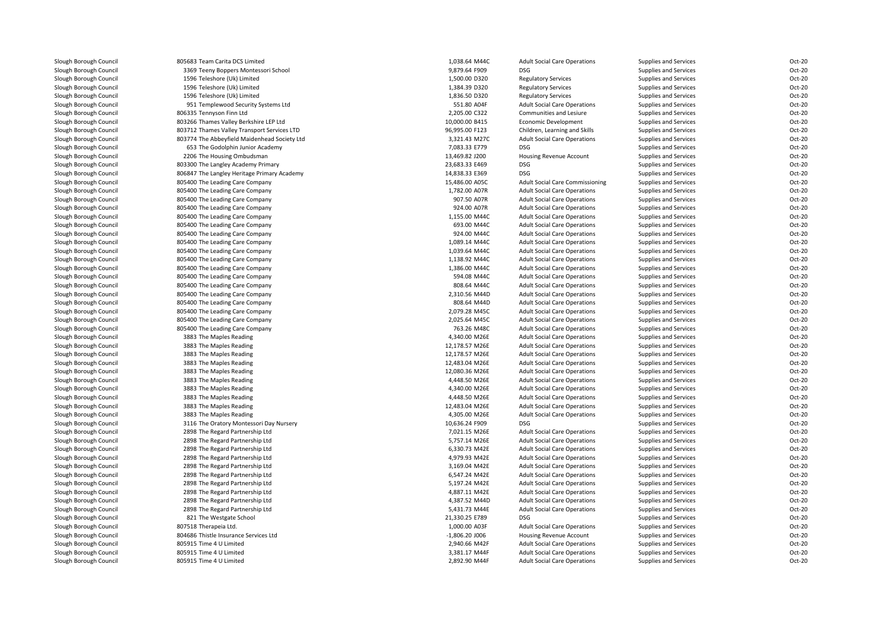| Slough Borough Council | 805683 Team Carita DCS Limited               | 1,038.64 M44C    | <b>Adult Social Care Operations</b>    | Supplies and Services                          | Oct-20 |
|------------------------|----------------------------------------------|------------------|----------------------------------------|------------------------------------------------|--------|
| Slough Borough Council | 3369 Teeny Boppers Montessori School         | 9,879.64 F909    | <b>DSG</b>                             | Supplies and Services                          | Oct-20 |
| Slough Borough Council | 1596 Teleshore (Uk) Limited                  | 1,500.00 D320    | <b>Regulatory Services</b>             | Supplies and Services                          | Oct-20 |
| Slough Borough Council | 1596 Teleshore (Uk) Limited                  | 1,384.39 D320    | <b>Regulatory Services</b>             | Supplies and Services                          | Oct-20 |
| Slough Borough Council | 1596 Teleshore (Uk) Limited                  | 1,836.50 D320    | <b>Regulatory Services</b>             | Supplies and Services                          | Oct-20 |
| Slough Borough Council | 951 Templewood Security Systems Ltd          | 551.80 A04F      | <b>Adult Social Care Operations</b>    | Supplies and Services                          | Oct-20 |
| Slough Borough Council | 806335 Tennyson Finn Ltd                     | 2,205.00 C322    | Communities and Lesiure                | Supplies and Services                          | Oct-20 |
| Slough Borough Council | 803266 Thames Valley Berkshire LEP Ltd       | 10,000.00 B415   | Economic Development                   | Supplies and Services                          | Oct-20 |
| Slough Borough Council | 803712 Thames Valley Transport Services LTD  | 96,995.00 F123   | Children, Learning and Skills          | Supplies and Services                          | Oct-20 |
| Slough Borough Council | 803774 The Abbeyfield Maidenhead Society Ltd | 3,321.43 M27C    | <b>Adult Social Care Operations</b>    | Supplies and Services                          | Oct-20 |
| Slough Borough Council | 653 The Godolphin Junior Academy             | 7,083.33 E779    | <b>DSG</b>                             | Supplies and Services                          | Oct-20 |
| Slough Borough Council | 2206 The Housing Ombudsman                   | 13,469.82 J200   | Housing Revenue Account                | Supplies and Services                          | Oct-20 |
| Slough Borough Council | 803300 The Langley Academy Primary           | 23,683.33 E469   | DSG                                    | Supplies and Services                          | Oct-20 |
| Slough Borough Council | 806847 The Langley Heritage Primary Academy  | 14,838.33 E369   | <b>DSG</b>                             | Supplies and Services                          | Oct-20 |
| Slough Borough Council | 805400 The Leading Care Company              | 15,486.00 A05C   | <b>Adult Social Care Commissioning</b> | Supplies and Services                          | Oct-20 |
| Slough Borough Council | 805400 The Leading Care Company              | 1,782.00 A07R    | <b>Adult Social Care Operations</b>    | Supplies and Services                          | Oct-20 |
| Slough Borough Council | 805400 The Leading Care Company              | 907.50 A07R      | <b>Adult Social Care Operations</b>    | Supplies and Services                          | Oct-20 |
| Slough Borough Council | 805400 The Leading Care Company              | 924.00 A07R      | <b>Adult Social Care Operations</b>    | Supplies and Services                          | Oct-20 |
| Slough Borough Council | 805400 The Leading Care Company              | 1,155.00 M44C    | <b>Adult Social Care Operations</b>    | Supplies and Services                          | Oct-20 |
| Slough Borough Council | 805400 The Leading Care Company              | 693.00 M44C      | <b>Adult Social Care Operations</b>    | Supplies and Services                          | Oct-20 |
| Slough Borough Council | 805400 The Leading Care Company              | 924.00 M44C      | <b>Adult Social Care Operations</b>    | Supplies and Services                          | Oct-20 |
| Slough Borough Council | 805400 The Leading Care Company              | 1,089.14 M44C    | <b>Adult Social Care Operations</b>    | Supplies and Services                          | Oct-20 |
| Slough Borough Council | 805400 The Leading Care Company              | 1,039.64 M44C    | <b>Adult Social Care Operations</b>    | Supplies and Services                          | Oct-20 |
| Slough Borough Council | 805400 The Leading Care Company              | 1,138.92 M44C    | <b>Adult Social Care Operations</b>    | Supplies and Services                          | Oct-20 |
| Slough Borough Council | 805400 The Leading Care Company              | 1,386.00 M44C    | <b>Adult Social Care Operations</b>    | Supplies and Services                          | Oct-20 |
| Slough Borough Council | 805400 The Leading Care Company              | 594.08 M44C      | <b>Adult Social Care Operations</b>    | Supplies and Services                          | Oct-20 |
| Slough Borough Council | 805400 The Leading Care Company              | 808.64 M44C      | <b>Adult Social Care Operations</b>    | Supplies and Services                          | Oct-20 |
| Slough Borough Council | 805400 The Leading Care Company              | 2,310.56 M44D    | <b>Adult Social Care Operations</b>    | Supplies and Services                          | Oct-20 |
| Slough Borough Council | 805400 The Leading Care Company              | 808.64 M44D      | <b>Adult Social Care Operations</b>    | Supplies and Services                          | Oct-20 |
| Slough Borough Council | 805400 The Leading Care Company              | 2,079.28 M45C    | <b>Adult Social Care Operations</b>    | Supplies and Services                          | Oct-20 |
| Slough Borough Council | 805400 The Leading Care Company              | 2,025.64 M45C    | <b>Adult Social Care Operations</b>    | Supplies and Services                          | Oct-20 |
| Slough Borough Council | 805400 The Leading Care Company              | 763.26 M48C      | <b>Adult Social Care Operations</b>    | Supplies and Services                          | Oct-20 |
| Slough Borough Council | 3883 The Maples Reading                      | 4,340.00 M26E    | <b>Adult Social Care Operations</b>    | Supplies and Services                          | Oct-20 |
| Slough Borough Council | 3883 The Maples Reading                      | 12,178.57 M26E   | <b>Adult Social Care Operations</b>    | Supplies and Services                          | Oct-20 |
| Slough Borough Council | 3883 The Maples Reading                      | 12,178.57 M26E   | <b>Adult Social Care Operations</b>    | Supplies and Services                          | Oct-20 |
| Slough Borough Council | 3883 The Maples Reading                      | 12,483.04 M26E   | <b>Adult Social Care Operations</b>    | Supplies and Services                          | Oct-20 |
| Slough Borough Council | 3883 The Maples Reading                      | 12,080.36 M26E   | <b>Adult Social Care Operations</b>    | Supplies and Services                          | Oct-20 |
| Slough Borough Council | 3883 The Maples Reading                      | 4,448.50 M26E    | <b>Adult Social Care Operations</b>    | Supplies and Services                          | Oct-20 |
| Slough Borough Council | 3883 The Maples Reading                      | 4,340.00 M26E    | <b>Adult Social Care Operations</b>    | Supplies and Services                          | Oct-20 |
| Slough Borough Council | 3883 The Maples Reading                      | 4,448.50 M26E    | <b>Adult Social Care Operations</b>    | Supplies and Services                          | Oct-20 |
| Slough Borough Council | 3883 The Maples Reading                      | 12,483.04 M26E   | <b>Adult Social Care Operations</b>    | Supplies and Services                          | Oct-20 |
| Slough Borough Council | 3883 The Maples Reading                      | 4,305.00 M26E    | <b>Adult Social Care Operations</b>    | Supplies and Services                          | Oct-20 |
| Slough Borough Council | 3116 The Oratory Montessori Day Nursery      | 10,636.24 F909   | DSG                                    | Supplies and Services                          | Oct-20 |
| Slough Borough Council | 2898 The Regard Partnership Ltd              | 7,021.15 M26E    | <b>Adult Social Care Operations</b>    | Supplies and Services                          | Oct-20 |
| Slough Borough Council | 2898 The Regard Partnership Ltd              | 5,757.14 M26E    | <b>Adult Social Care Operations</b>    | Supplies and Services                          | Oct-20 |
| Slough Borough Council | 2898 The Regard Partnership Ltd              | 6,330.73 M42E    | <b>Adult Social Care Operations</b>    |                                                | Oct-20 |
| Slough Borough Council | 2898 The Regard Partnership Ltd              | 4,979.93 M42E    | <b>Adult Social Care Operations</b>    | Supplies and Services<br>Supplies and Services | Oct-20 |
| Slough Borough Council | 2898 The Regard Partnership Ltd              | 3,169.04 M42E    | <b>Adult Social Care Operations</b>    | Supplies and Services                          | Oct-20 |
|                        |                                              | 6,547.24 M42E    |                                        |                                                | Oct-20 |
| Slough Borough Council | 2898 The Regard Partnership Ltd              | 5,197.24 M42E    | <b>Adult Social Care Operations</b>    | Supplies and Services                          | Oct-20 |
| Slough Borough Council | 2898 The Regard Partnership Ltd              |                  | <b>Adult Social Care Operations</b>    | Supplies and Services                          |        |
| Slough Borough Council | 2898 The Regard Partnership Ltd              | 4,887.11 M42E    | <b>Adult Social Care Operations</b>    | Supplies and Services                          | Oct-20 |
| Slough Borough Council | 2898 The Regard Partnership Ltd              | 4,387.52 M44D    | <b>Adult Social Care Operations</b>    | Supplies and Services                          | Oct-20 |
| Slough Borough Council | 2898 The Regard Partnership Ltd              | 5,431.73 M44E    | <b>Adult Social Care Operations</b>    | Supplies and Services                          | Oct-20 |
| Slough Borough Council | 821 The Westgate School                      | 21,330.25 E789   | DSG                                    | Supplies and Services                          | Oct-20 |
| Slough Borough Council | 807518 Therapeia Ltd.                        | 1,000.00 A03F    | <b>Adult Social Care Operations</b>    | Supplies and Services                          | Oct-20 |
| Slough Borough Council | 804686 Thistle Insurance Services Ltd        | $-1,806.20$ J006 | Housing Revenue Account                | Supplies and Services                          | Oct-20 |
| Slough Borough Council | 805915 Time 4 U Limited                      | 2,940.66 M42F    | <b>Adult Social Care Operations</b>    | Supplies and Services                          | Oct-20 |
| Slough Borough Council | 805915 Time 4 U Limited                      | 3.381.17 M44F    | <b>Adult Social Care Operations</b>    | Supplies and Services                          | Oct-20 |
| Slough Borough Council | 805915 Time 4 U Limited                      | 2,892.90 M44F    | <b>Adult Social Care Operations</b>    | Supplies and Services                          | Oct-20 |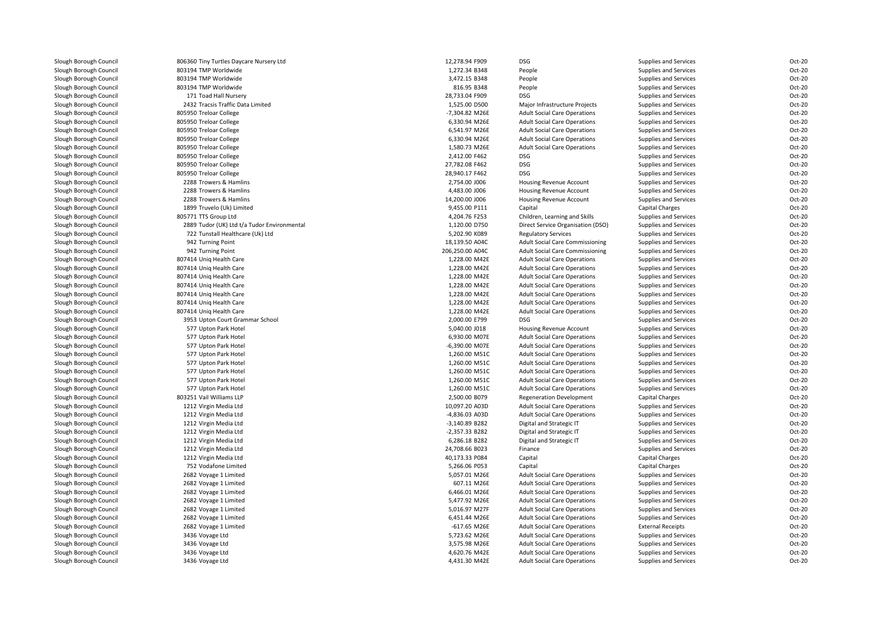| Slough Borough Council | 806360 Tiny Turtles Daycare Nursery Ltd     | 12,278.94 F909   | DSG                                    | Supplies and Services    | Oct-20 |
|------------------------|---------------------------------------------|------------------|----------------------------------------|--------------------------|--------|
| Slough Borough Council | 803194 TMP Worldwide                        | 1,272.34 B348    | People                                 | Supplies and Services    | Oct-20 |
| Slough Borough Council | 803194 TMP Worldwide                        | 3,472.15 B348    | People                                 | Supplies and Services    | Oct-20 |
| Slough Borough Council | 803194 TMP Worldwide                        | 816.95 B348      | People                                 | Supplies and Services    | Oct-20 |
| Slough Borough Council | 171 Toad Hall Nursery                       | 28,733.04 F909   | <b>DSG</b>                             | Supplies and Services    | Oct-20 |
| Slough Borough Council | 2432 Tracsis Traffic Data Limited           | 1,525.00 D500    | Major Infrastructure Projects          | Supplies and Services    | Oct-20 |
| Slough Borough Council | 805950 Treloar College                      | -7,304.82 M26E   | <b>Adult Social Care Operations</b>    | Supplies and Services    | Oct-20 |
| Slough Borough Council | 805950 Treloar College                      | 6,330.94 M26E    | <b>Adult Social Care Operations</b>    | Supplies and Services    | Oct-20 |
| Slough Borough Council | 805950 Treloar College                      | 6,541.97 M26E    | <b>Adult Social Care Operations</b>    | Supplies and Services    | Oct-20 |
| Slough Borough Council | 805950 Treloar College                      | 6,330.94 M26E    | <b>Adult Social Care Operations</b>    | Supplies and Services    | Oct-20 |
| Slough Borough Council | 805950 Treloar College                      | 1.580.73 M26E    | <b>Adult Social Care Operations</b>    | Supplies and Services    | Oct-20 |
| Slough Borough Council | 805950 Treloar College                      | 2,412.00 F462    | DSG                                    | Supplies and Services    | Oct-20 |
| Slough Borough Council | 805950 Treloar College                      | 27,782.08 F462   | <b>DSG</b>                             | Supplies and Services    | Oct-20 |
| Slough Borough Council | 805950 Treloar College                      | 28,940.17 F462   | <b>DSG</b>                             | Supplies and Services    | Oct-20 |
|                        | 2288 Trowers & Hamlins                      | 2,754.00 J006    |                                        |                          | Oct-20 |
| Slough Borough Council | 2288 Trowers & Hamlins                      | 4,483.00 J006    | Housing Revenue Account                | Supplies and Services    | Oct-20 |
| Slough Borough Council |                                             |                  | Housing Revenue Account                | Supplies and Services    |        |
| Slough Borough Council | 2288 Trowers & Hamlins                      | 14,200.00 J006   | Housing Revenue Account                | Supplies and Services    | Oct-20 |
| Slough Borough Council | 1899 Truvelo (Uk) Limited                   | 9,455.00 P111    | Capital                                | Capital Charges          | Oct-20 |
| Slough Borough Council | 805771 TTS Group Ltd                        | 4,204.76 F253    | Children, Learning and Skills          | Supplies and Services    | Oct-20 |
| Slough Borough Council | 2889 Tudor (UK) Ltd t/a Tudor Environmental | 1,120.00 D750    | Direct Service Organisation (DSO)      | Supplies and Services    | Oct-20 |
| Slough Borough Council | 722 Tunstall Healthcare (Uk) Ltd            | 5,202.90 K089    | <b>Regulatory Services</b>             | Supplies and Services    | Oct-20 |
| Slough Borough Council | 942 Turning Point                           | 18,139.50 A04C   | Adult Social Care Commissioning        | Supplies and Services    | Oct-20 |
| Slough Borough Council | 942 Turning Point                           | 206,250.00 A04C  | <b>Adult Social Care Commissioning</b> | Supplies and Services    | Oct-20 |
| Slough Borough Council | 807414 Unig Health Care                     | 1,228.00 M42E    | <b>Adult Social Care Operations</b>    | Supplies and Services    | Oct-20 |
| Slough Borough Council | 807414 Uniq Health Care                     | 1,228.00 M42E    | <b>Adult Social Care Operations</b>    | Supplies and Services    | Oct-20 |
| Slough Borough Council | 807414 Unig Health Care                     | 1,228.00 M42E    | <b>Adult Social Care Operations</b>    | Supplies and Services    | Oct-20 |
| Slough Borough Council | 807414 Unig Health Care                     | 1,228.00 M42E    | <b>Adult Social Care Operations</b>    | Supplies and Services    | Oct-20 |
| Slough Borough Council | 807414 Uniq Health Care                     | 1,228.00 M42E    | <b>Adult Social Care Operations</b>    | Supplies and Services    | Oct-20 |
| Slough Borough Council | 807414 Uniq Health Care                     | 1,228.00 M42E    | <b>Adult Social Care Operations</b>    | Supplies and Services    | Oct-20 |
| Slough Borough Council | 807414 Uniq Health Care                     | 1,228.00 M42E    | <b>Adult Social Care Operations</b>    | Supplies and Services    | Oct-20 |
| Slough Borough Council | 3953 Upton Court Grammar School             | 2,000.00 E799    | <b>DSG</b>                             | Supplies and Services    | Oct-20 |
| Slough Borough Council | 577 Upton Park Hotel                        | 5,040.00 J018    | Housing Revenue Account                | Supplies and Services    | Oct-20 |
| Slough Borough Council | 577 Upton Park Hotel                        | 6,930.00 M07E    | <b>Adult Social Care Operations</b>    | Supplies and Services    | Oct-20 |
| Slough Borough Council | 577 Upton Park Hotel                        | -6,390.00 M07E   | <b>Adult Social Care Operations</b>    | Supplies and Services    | Oct-20 |
| Slough Borough Council | 577 Upton Park Hotel                        | 1,260.00 M51C    | <b>Adult Social Care Operations</b>    | Supplies and Services    | Oct-20 |
| Slough Borough Council | 577 Upton Park Hotel                        | 1,260.00 M51C    | <b>Adult Social Care Operations</b>    | Supplies and Services    | Oct-20 |
| Slough Borough Council | 577 Upton Park Hotel                        | 1,260.00 M51C    | <b>Adult Social Care Operations</b>    | Supplies and Services    | Oct-20 |
| Slough Borough Council | 577 Upton Park Hotel                        | 1,260.00 M51C    | <b>Adult Social Care Operations</b>    | Supplies and Services    | Oct-20 |
| Slough Borough Council | 577 Upton Park Hotel                        | 1,260.00 M51C    | <b>Adult Social Care Operations</b>    | Supplies and Services    | Oct-20 |
| Slough Borough Council | 803251 Vail Williams LLP                    | 2,500.00 B079    | <b>Regeneration Development</b>        | Capital Charges          | Oct-20 |
| Slough Borough Council | 1212 Virgin Media Ltd                       | 10,097.20 A03D   | <b>Adult Social Care Operations</b>    | Supplies and Services    | Oct-20 |
| Slough Borough Council | 1212 Virgin Media Ltd                       | -4,836.03 A03D   | <b>Adult Social Care Operations</b>    | Supplies and Services    | Oct-20 |
| Slough Borough Council | 1212 Virgin Media Ltd                       | -3,140.89 B282   | Digital and Strategic IT               | Supplies and Services    | Oct-20 |
| Slough Borough Council | 1212 Virgin Media Ltd                       | $-2,357.33$ B282 | Digital and Strategic IT               | Supplies and Services    | Oct-20 |
| Slough Borough Council | 1212 Virgin Media Ltd                       | 6,286.18 B282    | Digital and Strategic IT               | Supplies and Services    | Oct-20 |
| Slough Borough Council | 1212 Virgin Media Ltd                       | 24,708.66 B023   | Finance                                | Supplies and Services    | Oct-20 |
| Slough Borough Council | 1212 Virgin Media Ltd                       | 40,173.33 P084   | Capital                                | Capital Charges          | Oct-20 |
| Slough Borough Council | 752 Vodafone Limited                        | 5,266.06 P053    | Capital                                | Capital Charges          | Oct-20 |
| Slough Borough Council | 2682 Voyage 1 Limited                       | 5,057.01 M26E    | <b>Adult Social Care Operations</b>    | Supplies and Services    | Oct-20 |
| Slough Borough Council | 2682 Voyage 1 Limited                       | 607.11 M26E      | <b>Adult Social Care Operations</b>    | Supplies and Services    | Oct-20 |
| Slough Borough Council | 2682 Voyage 1 Limited                       | 6,466.01 M26E    | <b>Adult Social Care Operations</b>    | Supplies and Services    | Oct-20 |
| Slough Borough Council | 2682 Voyage 1 Limited                       | 5,477.92 M26E    | <b>Adult Social Care Operations</b>    | Supplies and Services    | Oct-20 |
| Slough Borough Council | 2682 Voyage 1 Limited                       | 5,016.97 M27F    | <b>Adult Social Care Operations</b>    | Supplies and Services    | Oct-20 |
| Slough Borough Council | 2682 Voyage 1 Limited                       | 6,451.44 M26E    | <b>Adult Social Care Operations</b>    | Supplies and Services    | Oct-20 |
| Slough Borough Council | 2682 Voyage 1 Limited                       | -617.65 M26E     | <b>Adult Social Care Operations</b>    | <b>External Receipts</b> | Oct-20 |
|                        |                                             |                  |                                        |                          | Oct-20 |
| Slough Borough Council | 3436 Voyage Ltd                             | 5,723.62 M26E    | <b>Adult Social Care Operations</b>    | Supplies and Services    |        |
| Slough Borough Council | 3436 Voyage Ltd                             | 3,575.98 M26E    | <b>Adult Social Care Operations</b>    | Supplies and Services    | Oct-20 |
| Slough Borough Council | 3436 Voyage Ltd                             | 4,620.76 M42E    | <b>Adult Social Care Operations</b>    | Supplies and Services    | Oct-20 |
| Slough Borough Council | 3436 Voyage Ltd                             | 4,431.30 M42E    | <b>Adult Social Care Operations</b>    | Supplies and Services    | Oct-20 |